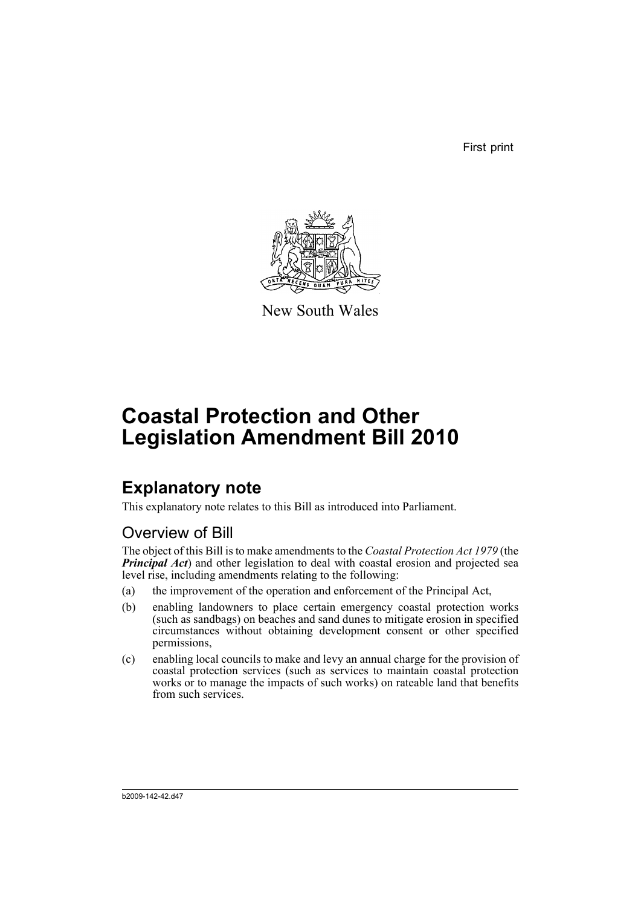First print



New South Wales

# **Coastal Protection and Other Legislation Amendment Bill 2010**

# **Explanatory note**

This explanatory note relates to this Bill as introduced into Parliament.

# Overview of Bill

The object of this Bill is to make amendments to the *Coastal Protection Act 1979* (the **Principal Act**) and other legislation to deal with coastal erosion and projected sea level rise, including amendments relating to the following:

- (a) the improvement of the operation and enforcement of the Principal Act,
- (b) enabling landowners to place certain emergency coastal protection works (such as sandbags) on beaches and sand dunes to mitigate erosion in specified circumstances without obtaining development consent or other specified permissions,
- (c) enabling local councils to make and levy an annual charge for the provision of coastal protection services (such as services to maintain coastal protection works or to manage the impacts of such works) on rateable land that benefits from such services.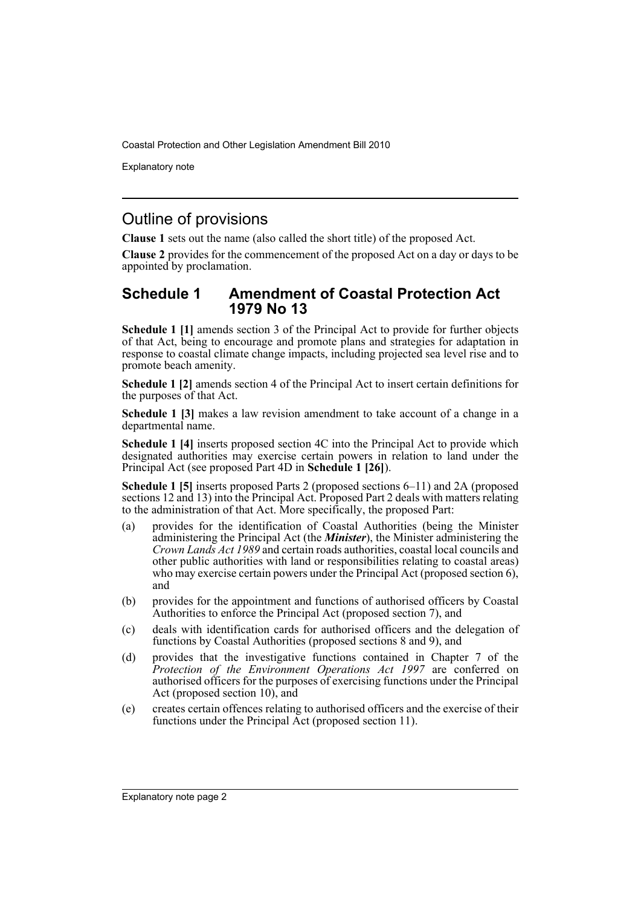Explanatory note

# Outline of provisions

**Clause 1** sets out the name (also called the short title) of the proposed Act.

**Clause 2** provides for the commencement of the proposed Act on a day or days to be appointed by proclamation.

## **Schedule 1 Amendment of Coastal Protection Act 1979 No 13**

**Schedule 1 [1]** amends section 3 of the Principal Act to provide for further objects of that Act, being to encourage and promote plans and strategies for adaptation in response to coastal climate change impacts, including projected sea level rise and to promote beach amenity.

**Schedule 1 [2]** amends section 4 of the Principal Act to insert certain definitions for the purposes of that Act.

**Schedule 1 [3]** makes a law revision amendment to take account of a change in a departmental name.

**Schedule 1 [4]** inserts proposed section 4C into the Principal Act to provide which designated authorities may exercise certain powers in relation to land under the Principal Act (see proposed Part 4D in **Schedule 1 [26]**).

**Schedule 1 [5]** inserts proposed Parts 2 (proposed sections 6–11) and 2A (proposed sections 12 and 13) into the Principal Act. Proposed Part 2 deals with matters relating to the administration of that Act. More specifically, the proposed Part:

- (a) provides for the identification of Coastal Authorities (being the Minister administering the Principal Act (the *Minister*), the Minister administering the *Crown Lands Act 1989* and certain roads authorities, coastal local councils and other public authorities with land or responsibilities relating to coastal areas) who may exercise certain powers under the Principal Act (proposed section 6), and
- (b) provides for the appointment and functions of authorised officers by Coastal Authorities to enforce the Principal Act (proposed section 7), and
- (c) deals with identification cards for authorised officers and the delegation of functions by Coastal Authorities (proposed sections 8 and 9), and
- (d) provides that the investigative functions contained in Chapter 7 of the *Protection of the Environment Operations Act 1997* are conferred on authorised officers for the purposes of exercising functions under the Principal Act (proposed section 10), and
- (e) creates certain offences relating to authorised officers and the exercise of their functions under the Principal Act (proposed section 11).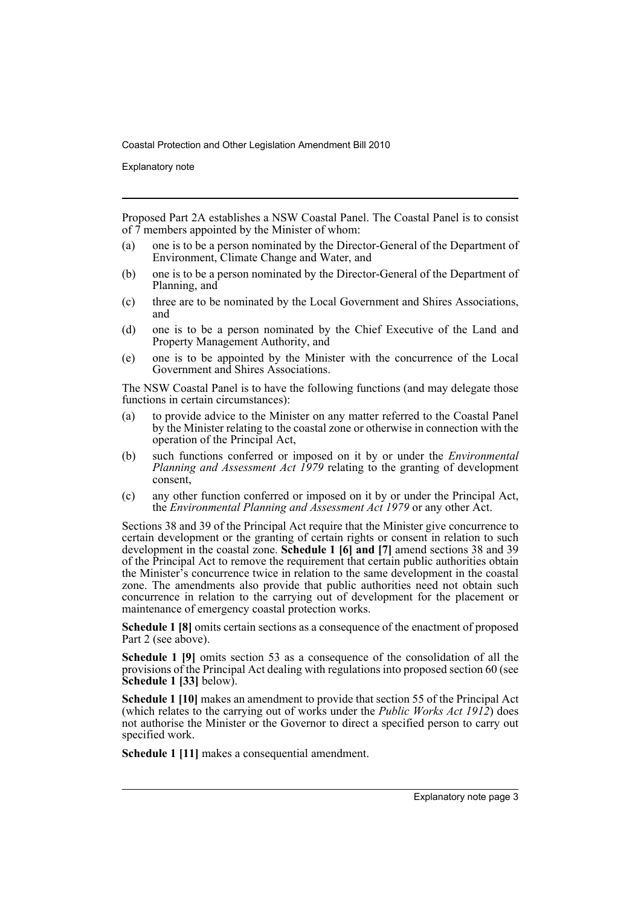Explanatory note

Proposed Part 2A establishes a NSW Coastal Panel. The Coastal Panel is to consist of  $\overline{7}$  members appointed by the Minister of whom:

- (a) one is to be a person nominated by the Director-General of the Department of Environment, Climate Change and Water, and
- (b) one is to be a person nominated by the Director-General of the Department of Planning, and
- (c) three are to be nominated by the Local Government and Shires Associations, and
- (d) one is to be a person nominated by the Chief Executive of the Land and Property Management Authority, and
- (e) one is to be appointed by the Minister with the concurrence of the Local Government and Shires Associations.

The NSW Coastal Panel is to have the following functions (and may delegate those functions in certain circumstances):

- (a) to provide advice to the Minister on any matter referred to the Coastal Panel by the Minister relating to the coastal zone or otherwise in connection with the operation of the Principal Act,
- (b) such functions conferred or imposed on it by or under the *Environmental Planning and Assessment Act 1979* relating to the granting of development consent,
- (c) any other function conferred or imposed on it by or under the Principal Act, the *Environmental Planning and Assessment Act 1979* or any other Act.

Sections 38 and 39 of the Principal Act require that the Minister give concurrence to certain development or the granting of certain rights or consent in relation to such development in the coastal zone. **Schedule 1 [6] and [7]** amend sections 38 and 39 of the Principal Act to remove the requirement that certain public authorities obtain the Minister's concurrence twice in relation to the same development in the coastal zone. The amendments also provide that public authorities need not obtain such concurrence in relation to the carrying out of development for the placement or maintenance of emergency coastal protection works.

**Schedule 1 [8]** omits certain sections as a consequence of the enactment of proposed Part 2 (see above).

**Schedule 1 [9]** omits section 53 as a consequence of the consolidation of all the provisions of the Principal Act dealing with regulations into proposed section 60 (see **Schedule 1 [33]** below).

**Schedule 1 [10]** makes an amendment to provide that section 55 of the Principal Act (which relates to the carrying out of works under the *Public Works Act 1912*) does not authorise the Minister or the Governor to direct a specified person to carry out specified work.

**Schedule 1 [11]** makes a consequential amendment.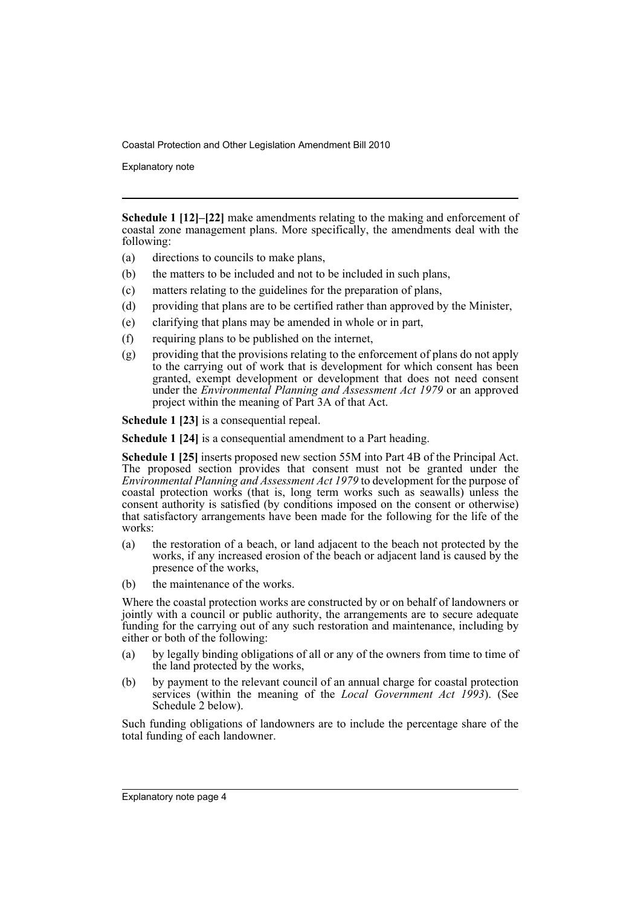Explanatory note

**Schedule 1 [12]–[22]** make amendments relating to the making and enforcement of coastal zone management plans. More specifically, the amendments deal with the following:

- (a) directions to councils to make plans,
- (b) the matters to be included and not to be included in such plans,
- (c) matters relating to the guidelines for the preparation of plans,
- (d) providing that plans are to be certified rather than approved by the Minister,
- (e) clarifying that plans may be amended in whole or in part,
- (f) requiring plans to be published on the internet,
- (g) providing that the provisions relating to the enforcement of plans do not apply to the carrying out of work that is development for which consent has been granted, exempt development or development that does not need consent under the *Environmental Planning and Assessment Act 1979* or an approved project within the meaning of Part 3A of that Act.

**Schedule 1 [23]** is a consequential repeal.

**Schedule 1 [24]** is a consequential amendment to a Part heading.

**Schedule 1 [25]** inserts proposed new section 55M into Part 4B of the Principal Act. The proposed section provides that consent must not be granted under the *Environmental Planning and Assessment Act 1979* to development for the purpose of coastal protection works (that is, long term works such as seawalls) unless the consent authority is satisfied (by conditions imposed on the consent or otherwise) that satisfactory arrangements have been made for the following for the life of the works:

- (a) the restoration of a beach, or land adjacent to the beach not protected by the works, if any increased erosion of the beach or adjacent land is caused by the presence of the works,
- (b) the maintenance of the works.

Where the coastal protection works are constructed by or on behalf of landowners or jointly with a council or public authority, the arrangements are to secure adequate funding for the carrying out of any such restoration and maintenance, including by either or both of the following:

- (a) by legally binding obligations of all or any of the owners from time to time of the land protected by the works,
- (b) by payment to the relevant council of an annual charge for coastal protection services (within the meaning of the *Local Government Act 1993*). (See Schedule 2 below).

Such funding obligations of landowners are to include the percentage share of the total funding of each landowner.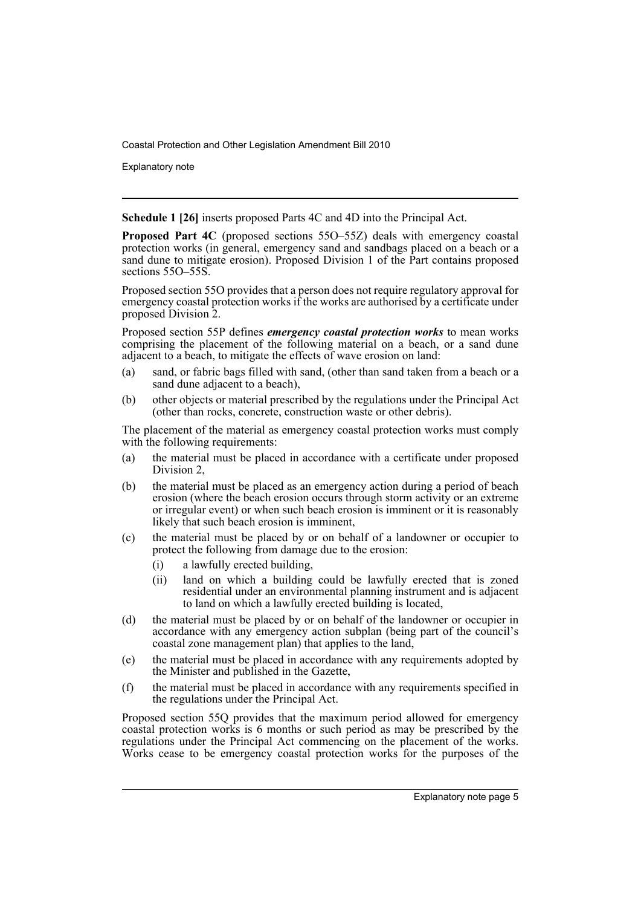Explanatory note

**Schedule 1 [26]** inserts proposed Parts 4C and 4D into the Principal Act.

**Proposed Part 4C** (proposed sections 55O–55Z) deals with emergency coastal protection works (in general, emergency sand and sandbags placed on a beach or a sand dune to mitigate erosion). Proposed Division 1 of the Part contains proposed sections 550–55S.

Proposed section 55O provides that a person does not require regulatory approval for emergency coastal protection works if the works are authorised by a certificate under proposed Division 2.

Proposed section 55P defines *emergency coastal protection works* to mean works comprising the placement of the following material on a beach, or a sand dune adjacent to a beach, to mitigate the effects of wave erosion on land:

- (a) sand, or fabric bags filled with sand, (other than sand taken from a beach or a sand dune adjacent to a beach),
- (b) other objects or material prescribed by the regulations under the Principal Act (other than rocks, concrete, construction waste or other debris).

The placement of the material as emergency coastal protection works must comply with the following requirements:

- (a) the material must be placed in accordance with a certificate under proposed Division 2,
- (b) the material must be placed as an emergency action during a period of beach erosion (where the beach erosion occurs through storm activity or an extreme or irregular event) or when such beach erosion is imminent or it is reasonably likely that such beach erosion is imminent,
- (c) the material must be placed by or on behalf of a landowner or occupier to protect the following from damage due to the erosion:
	- (i) a lawfully erected building,
	- (ii) land on which a building could be lawfully erected that is zoned residential under an environmental planning instrument and is adjacent to land on which a lawfully erected building is located,
- (d) the material must be placed by or on behalf of the landowner or occupier in accordance with any emergency action subplan (being part of the council's coastal zone management plan) that applies to the land,
- (e) the material must be placed in accordance with any requirements adopted by the Minister and published in the Gazette,
- (f) the material must be placed in accordance with any requirements specified in the regulations under the Principal Act.

Proposed section 55Q provides that the maximum period allowed for emergency coastal protection works is 6 months or such period as may be prescribed by the regulations under the Principal Act commencing on the placement of the works. Works cease to be emergency coastal protection works for the purposes of the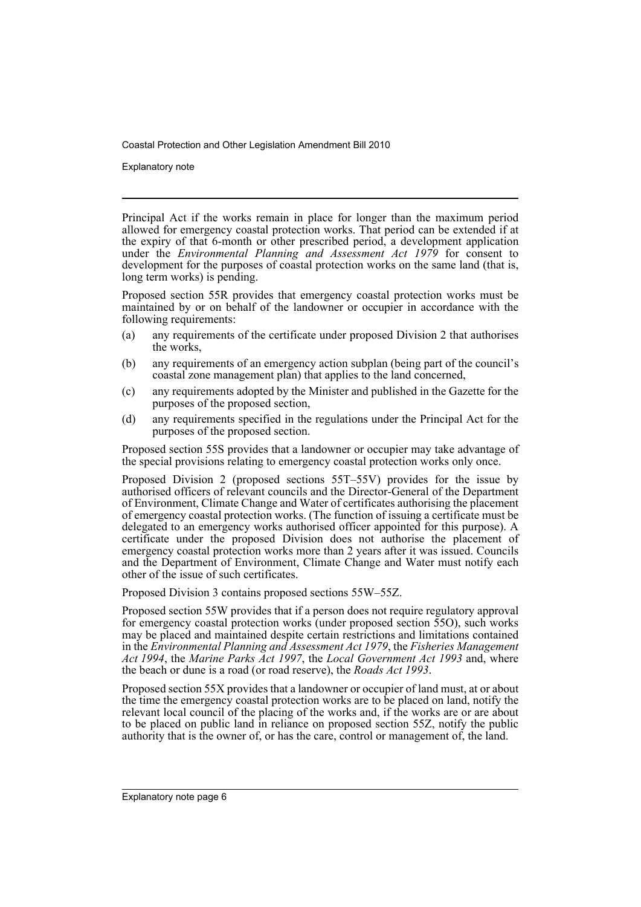Explanatory note

Principal Act if the works remain in place for longer than the maximum period allowed for emergency coastal protection works. That period can be extended if at the expiry of that 6-month or other prescribed period, a development application under the *Environmental Planning and Assessment Act 1979* for consent to development for the purposes of coastal protection works on the same land (that is, long term works) is pending.

Proposed section 55R provides that emergency coastal protection works must be maintained by or on behalf of the landowner or occupier in accordance with the following requirements:

- (a) any requirements of the certificate under proposed Division 2 that authorises the works,
- (b) any requirements of an emergency action subplan (being part of the council's coastal zone management plan) that applies to the land concerned,
- (c) any requirements adopted by the Minister and published in the Gazette for the purposes of the proposed section,
- (d) any requirements specified in the regulations under the Principal Act for the purposes of the proposed section.

Proposed section 55S provides that a landowner or occupier may take advantage of the special provisions relating to emergency coastal protection works only once.

Proposed Division 2 (proposed sections 55T–55V) provides for the issue by authorised officers of relevant councils and the Director-General of the Department of Environment, Climate Change and Water of certificates authorising the placement of emergency coastal protection works. (The function of issuing a certificate must be delegated to an emergency works authorised officer appointed for this purpose). A certificate under the proposed Division does not authorise the placement of emergency coastal protection works more than 2 years after it was issued. Councils and the Department of Environment, Climate Change and Water must notify each other of the issue of such certificates.

Proposed Division 3 contains proposed sections 55W–55Z.

Proposed section 55W provides that if a person does not require regulatory approval for emergency coastal protection works (under proposed section 55O), such works may be placed and maintained despite certain restrictions and limitations contained in the *Environmental Planning and Assessment Act 1979*, the *Fisheries Management Act 1994*, the *Marine Parks Act 1997*, the *Local Government Act 1993* and, where the beach or dune is a road (or road reserve), the *Roads Act 1993*.

Proposed section 55X provides that a landowner or occupier of land must, at or about the time the emergency coastal protection works are to be placed on land, notify the relevant local council of the placing of the works and, if the works are or are about to be placed on public land in reliance on proposed section 55Z, notify the public authority that is the owner of, or has the care, control or management of, the land.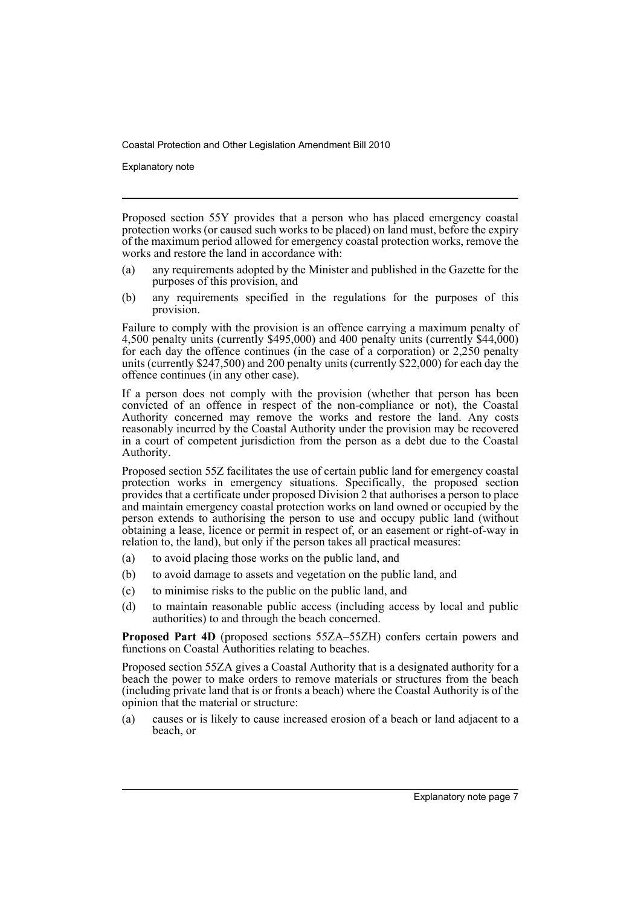Explanatory note

Proposed section 55Y provides that a person who has placed emergency coastal protection works (or caused such works to be placed) on land must, before the expiry of the maximum period allowed for emergency coastal protection works, remove the works and restore the land in accordance with:

- (a) any requirements adopted by the Minister and published in the Gazette for the purposes of this provision, and
- (b) any requirements specified in the regulations for the purposes of this provision.

Failure to comply with the provision is an offence carrying a maximum penalty of 4,500 penalty units (currently \$495,000) and 400 penalty units (currently \$44,000) for each day the offence continues (in the case of a corporation) or  $2,250$  penalty units (currently \$247,500) and 200 penalty units (currently \$22,000) for each day the offence continues (in any other case).

If a person does not comply with the provision (whether that person has been convicted of an offence in respect of the non-compliance or not), the Coastal Authority concerned may remove the works and restore the land. Any costs reasonably incurred by the Coastal Authority under the provision may be recovered in a court of competent jurisdiction from the person as a debt due to the Coastal Authority.

Proposed section 55Z facilitates the use of certain public land for emergency coastal protection works in emergency situations. Specifically, the proposed section provides that a certificate under proposed Division 2 that authorises a person to place and maintain emergency coastal protection works on land owned or occupied by the person extends to authorising the person to use and occupy public land (without obtaining a lease, licence or permit in respect of, or an easement or right-of-way in relation to, the land), but only if the person takes all practical measures:

- (a) to avoid placing those works on the public land, and
- (b) to avoid damage to assets and vegetation on the public land, and
- (c) to minimise risks to the public on the public land, and
- (d) to maintain reasonable public access (including access by local and public authorities) to and through the beach concerned.

**Proposed Part 4D** (proposed sections 55ZA–55ZH) confers certain powers and functions on Coastal Authorities relating to beaches.

Proposed section 55ZA gives a Coastal Authority that is a designated authority for a beach the power to make orders to remove materials or structures from the beach (including private land that is or fronts a beach) where the Coastal Authority is of the opinion that the material or structure:

(a) causes or is likely to cause increased erosion of a beach or land adjacent to a beach, or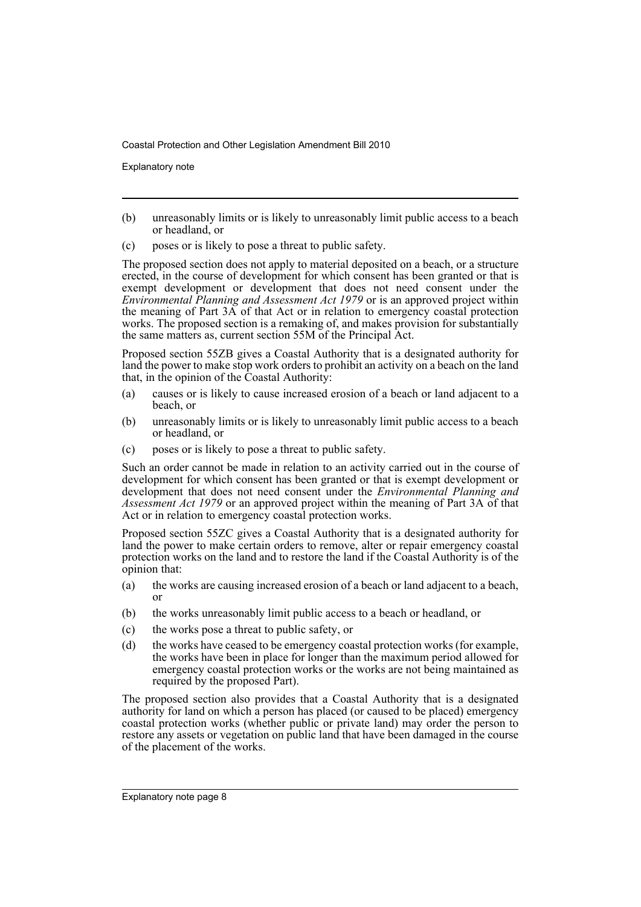Explanatory note

- (b) unreasonably limits or is likely to unreasonably limit public access to a beach or headland, or
- (c) poses or is likely to pose a threat to public safety.

The proposed section does not apply to material deposited on a beach, or a structure erected, in the course of development for which consent has been granted or that is exempt development or development that does not need consent under the *Environmental Planning and Assessment Act 1979* or is an approved project within the meaning of Part 3A of that Act or in relation to emergency coastal protection works. The proposed section is a remaking of, and makes provision for substantially the same matters as, current section 55M of the Principal Act.

Proposed section 55ZB gives a Coastal Authority that is a designated authority for land the power to make stop work orders to prohibit an activity on a beach on the land that, in the opinion of the Coastal Authority:

- (a) causes or is likely to cause increased erosion of a beach or land adjacent to a beach, or
- (b) unreasonably limits or is likely to unreasonably limit public access to a beach or headland, or
- (c) poses or is likely to pose a threat to public safety.

Such an order cannot be made in relation to an activity carried out in the course of development for which consent has been granted or that is exempt development or development that does not need consent under the *Environmental Planning and Assessment Act 1979* or an approved project within the meaning of Part 3A of that Act or in relation to emergency coastal protection works.

Proposed section 55ZC gives a Coastal Authority that is a designated authority for land the power to make certain orders to remove, alter or repair emergency coastal protection works on the land and to restore the land if the Coastal Authority is of the opinion that:

- (a) the works are causing increased erosion of a beach or land adjacent to a beach, or
- (b) the works unreasonably limit public access to a beach or headland, or
- (c) the works pose a threat to public safety, or
- (d) the works have ceased to be emergency coastal protection works (for example, the works have been in place for longer than the maximum period allowed for emergency coastal protection works or the works are not being maintained as required by the proposed Part).

The proposed section also provides that a Coastal Authority that is a designated authority for land on which a person has placed (or caused to be placed) emergency coastal protection works (whether public or private land) may order the person to restore any assets or vegetation on public land that have been damaged in the course of the placement of the works.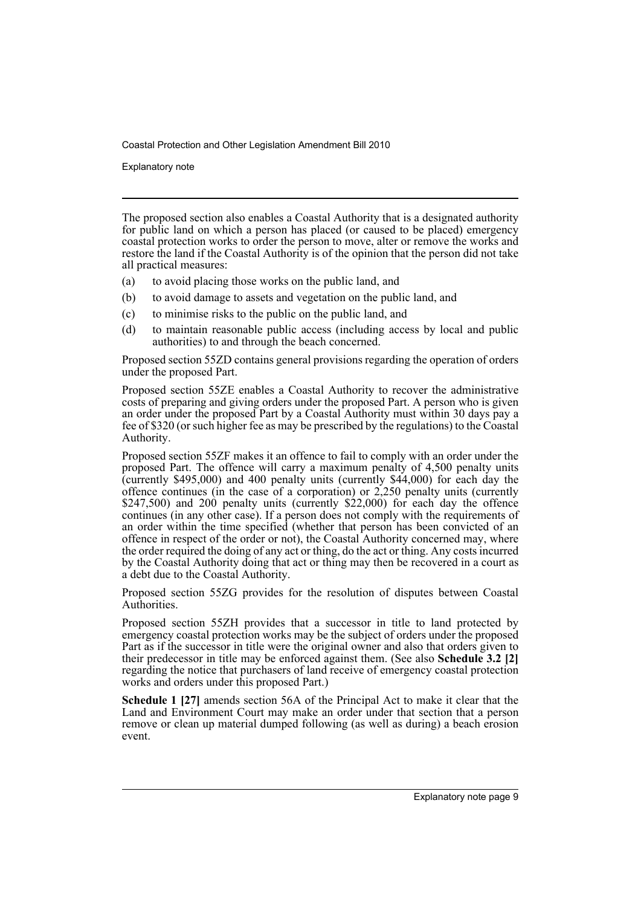Explanatory note

The proposed section also enables a Coastal Authority that is a designated authority for public land on which a person has placed (or caused to be placed) emergency coastal protection works to order the person to move, alter or remove the works and restore the land if the Coastal Authority is of the opinion that the person did not take all practical measures:

- (a) to avoid placing those works on the public land, and
- (b) to avoid damage to assets and vegetation on the public land, and
- (c) to minimise risks to the public on the public land, and
- (d) to maintain reasonable public access (including access by local and public authorities) to and through the beach concerned.

Proposed section 55ZD contains general provisions regarding the operation of orders under the proposed Part.

Proposed section 55ZE enables a Coastal Authority to recover the administrative costs of preparing and giving orders under the proposed Part. A person who is given an order under the proposed Part by a Coastal Authority must within 30 days pay a fee of \$320 (or such higher fee as may be prescribed by the regulations) to the Coastal Authority.

Proposed section 55ZF makes it an offence to fail to comply with an order under the proposed Part. The offence will carry a maximum penalty of 4,500 penalty units (currently \$495,000) and 400 penalty units (currently \$44,000) for each day the offence continues (in the case of a corporation) or 2,250 penalty units (currently \$247,500) and 200 penalty units (currently  $\frac{$22,000}{9}$  for each day the offence continues (in any other case). If a person does not comply with the requirements of an order within the time specified (whether that person has been convicted of an offence in respect of the order or not), the Coastal Authority concerned may, where the order required the doing of any act or thing, do the act or thing. Any costs incurred by the Coastal Authority doing that act or thing may then be recovered in a court as a debt due to the Coastal Authority.

Proposed section 55ZG provides for the resolution of disputes between Coastal Authorities.

Proposed section 55ZH provides that a successor in title to land protected by emergency coastal protection works may be the subject of orders under the proposed Part as if the successor in title were the original owner and also that orders given to their predecessor in title may be enforced against them. (See also **Schedule 3.2 [2]** regarding the notice that purchasers of land receive of emergency coastal protection works and orders under this proposed Part.)

**Schedule 1 [27]** amends section 56A of the Principal Act to make it clear that the Land and Environment Court may make an order under that section that a person remove or clean up material dumped following (as well as during) a beach erosion event.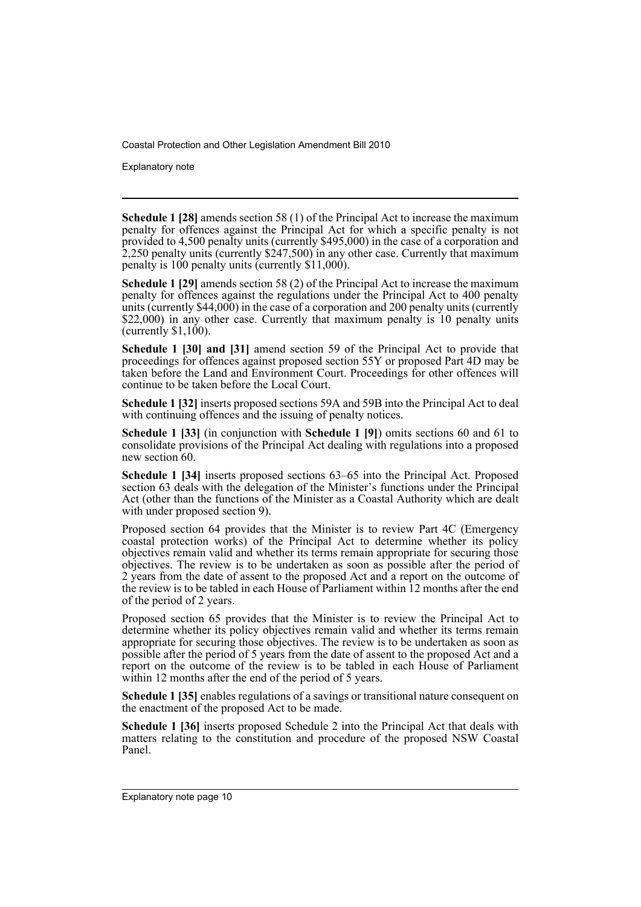Explanatory note

**Schedule 1 [28]** amends section 58 (1) of the Principal Act to increase the maximum penalty for offences against the Principal Act for which a specific penalty is not provided to 4,500 penalty units (currently \$495,000) in the case of a corporation and 2,250 penalty units (currently \$247,500) in any other case. Currently that maximum penalty is 100 penalty units (currently \$11,000).

**Schedule 1 [29]** amends section 58 (2) of the Principal Act to increase the maximum penalty for offences against the regulations under the Principal Act to 400 penalty units (currently  $$44,000$ ) in the case of a corporation and 200 penalty units (currently \$22,000) in any other case. Currently that maximum penalty is 10 penalty units (currently  $$1,100$ ).

**Schedule 1 [30] and [31]** amend section 59 of the Principal Act to provide that proceedings for offences against proposed section 55Y or proposed Part 4D may be taken before the Land and Environment Court. Proceedings for other offences will continue to be taken before the Local Court.

**Schedule 1 [32]** inserts proposed sections 59A and 59B into the Principal Act to deal with continuing offences and the issuing of penalty notices.

**Schedule 1 [33]** (in conjunction with **Schedule 1 [9]**) omits sections 60 and 61 to consolidate provisions of the Principal Act dealing with regulations into a proposed new section 60.

**Schedule 1 [34]** inserts proposed sections 63–65 into the Principal Act. Proposed section 63 deals with the delegation of the Minister's functions under the Principal Act (other than the functions of the Minister as a Coastal Authority which are dealt with under proposed section 9).

Proposed section 64 provides that the Minister is to review Part 4C (Emergency coastal protection works) of the Principal Act to determine whether its policy objectives remain valid and whether its terms remain appropriate for securing those objectives. The review is to be undertaken as soon as possible after the period of 2 years from the date of assent to the proposed Act and a report on the outcome of the review is to be tabled in each House of Parliament within 12 months after the end of the period of 2 years.

Proposed section 65 provides that the Minister is to review the Principal Act to determine whether its policy objectives remain valid and whether its terms remain appropriate for securing those objectives. The review is to be undertaken as soon as possible after the period of 5 years from the date of assent to the proposed Act and a report on the outcome of the review is to be tabled in each House of Parliament within 12 months after the end of the period of 5 years.

**Schedule 1 [35]** enables regulations of a savings or transitional nature consequent on the enactment of the proposed Act to be made.

**Schedule 1 [36]** inserts proposed Schedule 2 into the Principal Act that deals with matters relating to the constitution and procedure of the proposed NSW Coastal Panel.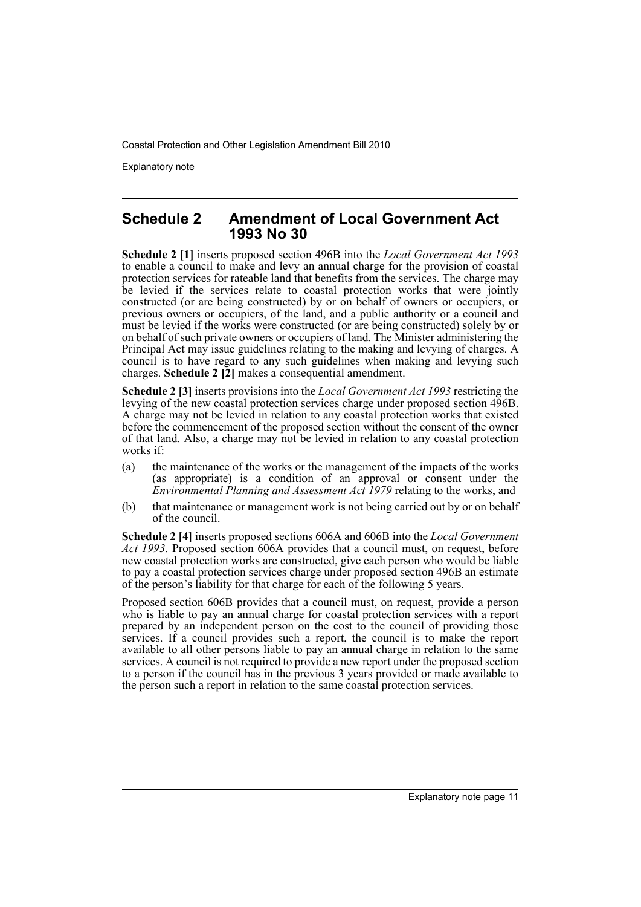Explanatory note

### **Schedule 2 Amendment of Local Government Act 1993 No 30**

**Schedule 2 [1]** inserts proposed section 496B into the *Local Government Act 1993* to enable a council to make and levy an annual charge for the provision of coastal protection services for rateable land that benefits from the services. The charge may be levied if the services relate to coastal protection works that were jointly constructed (or are being constructed) by or on behalf of owners or occupiers, or previous owners or occupiers, of the land, and a public authority or a council and must be levied if the works were constructed (or are being constructed) solely by or on behalf of such private owners or occupiers of land. The Minister administering the Principal Act may issue guidelines relating to the making and levying of charges. A council is to have regard to any such guidelines when making and levying such charges. **Schedule 2 [2]** makes a consequential amendment.

**Schedule 2 [3]** inserts provisions into the *Local Government Act 1993* restricting the levying of the new coastal protection services charge under proposed section 496B. A charge may not be levied in relation to any coastal protection works that existed before the commencement of the proposed section without the consent of the owner of that land. Also, a charge may not be levied in relation to any coastal protection works if:

- (a) the maintenance of the works or the management of the impacts of the works (as appropriate) is a condition of an approval or consent under the *Environmental Planning and Assessment Act 1979* relating to the works, and
- (b) that maintenance or management work is not being carried out by or on behalf of the council.

**Schedule 2 [4]** inserts proposed sections 606A and 606B into the *Local Government Act 1993*. Proposed section 606A provides that a council must, on request, before new coastal protection works are constructed, give each person who would be liable to pay a coastal protection services charge under proposed section 496B an estimate of the person's liability for that charge for each of the following 5 years.

Proposed section 606B provides that a council must, on request, provide a person who is liable to pay an annual charge for coastal protection services with a report prepared by an independent person on the cost to the council of providing those services. If a council provides such a report, the council is to make the report available to all other persons liable to pay an annual charge in relation to the same services. A council is not required to provide a new report under the proposed section to a person if the council has in the previous 3 years provided or made available to the person such a report in relation to the same coastal protection services.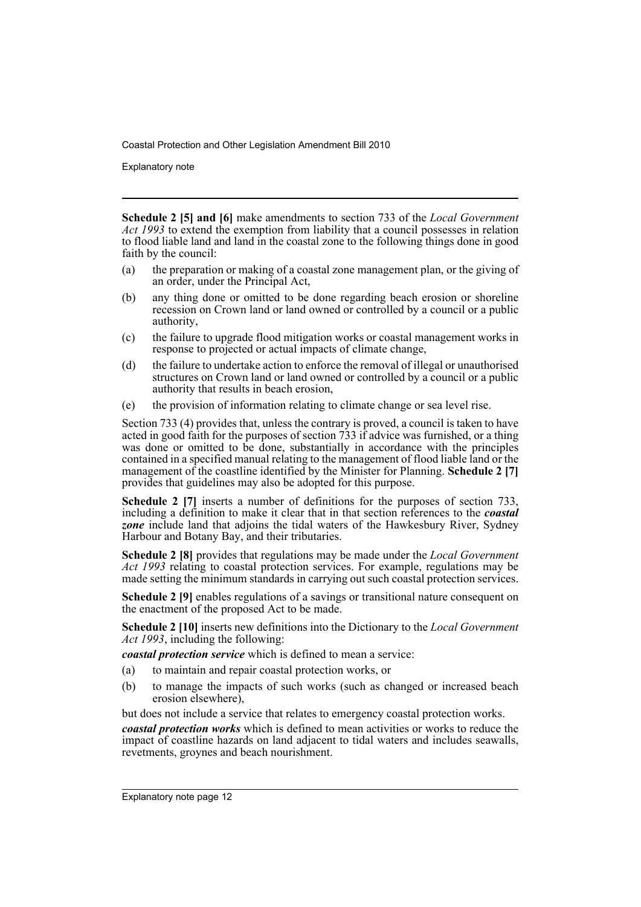Explanatory note

**Schedule 2 [5] and [6]** make amendments to section 733 of the *Local Government Act 1993* to extend the exemption from liability that a council possesses in relation to flood liable land and land in the coastal zone to the following things done in good faith by the council:

- (a) the preparation or making of a coastal zone management plan, or the giving of an order, under the Principal Act,
- (b) any thing done or omitted to be done regarding beach erosion or shoreline recession on Crown land or land owned or controlled by a council or a public authority,
- (c) the failure to upgrade flood mitigation works or coastal management works in response to projected or actual impacts of climate change,
- (d) the failure to undertake action to enforce the removal of illegal or unauthorised structures on Crown land or land owned or controlled by a council or a public authority that results in beach erosion,
- (e) the provision of information relating to climate change or sea level rise.

Section 733 (4) provides that, unless the contrary is proved, a council is taken to have acted in good faith for the purposes of section 733 if advice was furnished, or a thing was done or omitted to be done, substantially in accordance with the principles contained in a specified manual relating to the management of flood liable land or the management of the coastline identified by the Minister for Planning. **Schedule 2 [7]** provides that guidelines may also be adopted for this purpose.

**Schedule 2** [7] inserts a number of definitions for the purposes of section 733, including a definition to make it clear that in that section references to the *coastal zone* include land that adjoins the tidal waters of the Hawkesbury River, Sydney Harbour and Botany Bay, and their tributaries.

**Schedule 2 [8]** provides that regulations may be made under the *Local Government Act 1993* relating to coastal protection services. For example, regulations may be made setting the minimum standards in carrying out such coastal protection services.

**Schedule 2 [9]** enables regulations of a sayings or transitional nature consequent on the enactment of the proposed Act to be made.

**Schedule 2 [10]** inserts new definitions into the Dictionary to the *Local Government Act 1993*, including the following:

*coastal protection service* which is defined to mean a service:

- (a) to maintain and repair coastal protection works, or
- (b) to manage the impacts of such works (such as changed or increased beach erosion elsewhere),

but does not include a service that relates to emergency coastal protection works.

*coastal protection works* which is defined to mean activities or works to reduce the impact of coastline hazards on land adjacent to tidal waters and includes seawalls, revetments, groynes and beach nourishment.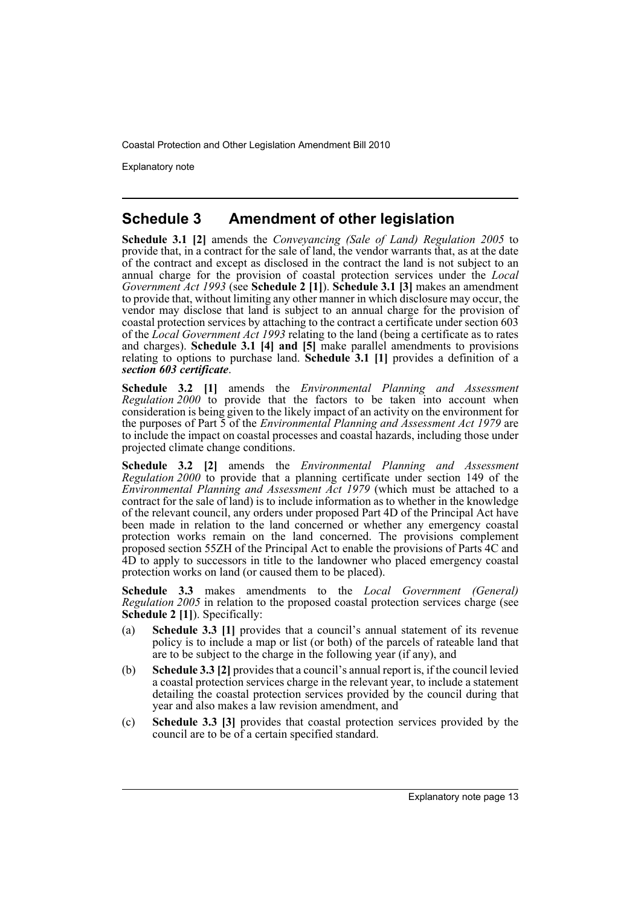Explanatory note

# **Schedule 3 Amendment of other legislation**

**Schedule 3.1 [2]** amends the *Conveyancing (Sale of Land) Regulation 2005* to provide that, in a contract for the sale of land, the vendor warrants that, as at the date of the contract and except as disclosed in the contract the land is not subject to an annual charge for the provision of coastal protection services under the *Local Government Act 1993* (see **Schedule 2 [1]**). **Schedule 3.1 [3]** makes an amendment to provide that, without limiting any other manner in which disclosure may occur, the vendor may disclose that land is subject to an annual charge for the provision of coastal protection services by attaching to the contract a certificate under section 603 of the *Local Government Act 1993* relating to the land (being a certificate as to rates and charges). **Schedule 3.1 [4] and [5]** make parallel amendments to provisions relating to options to purchase land. **Schedule 3.1 [1]** provides a definition of a *section 603 certificate*.

**Schedule 3.2 [1]** amends the *Environmental Planning and Assessment Regulation 2000* to provide that the factors to be taken into account when consideration is being given to the likely impact of an activity on the environment for the purposes of Part 5 of the *Environmental Planning and Assessment Act 1979* are to include the impact on coastal processes and coastal hazards, including those under projected climate change conditions.

**Schedule 3.2 [2]** amends the *Environmental Planning and Assessment Regulation 2000* to provide that a planning certificate under section 149 of the *Environmental Planning and Assessment Act 1979* (which must be attached to a contract for the sale of land) is to include information as to whether in the knowledge of the relevant council, any orders under proposed Part 4D of the Principal Act have been made in relation to the land concerned or whether any emergency coastal protection works remain on the land concerned. The provisions complement proposed section 55ZH of the Principal Act to enable the provisions of Parts 4C and 4D to apply to successors in title to the landowner who placed emergency coastal protection works on land (or caused them to be placed).

**Schedule 3.3** makes amendments to the *Local Government (General) Regulation 2005* in relation to the proposed coastal protection services charge (see **Schedule 2 [1]**). Specifically:

- (a) **Schedule 3.3 [1]** provides that a council's annual statement of its revenue policy is to include a map or list (or both) of the parcels of rateable land that are to be subject to the charge in the following year (if any), and
- (b) **Schedule 3.3 [2]** provides that a council's annual report is, if the council levied a coastal protection services charge in the relevant year, to include a statement detailing the coastal protection services provided by the council during that year and also makes a law revision amendment, and
- (c) **Schedule 3.3 [3]** provides that coastal protection services provided by the council are to be of a certain specified standard.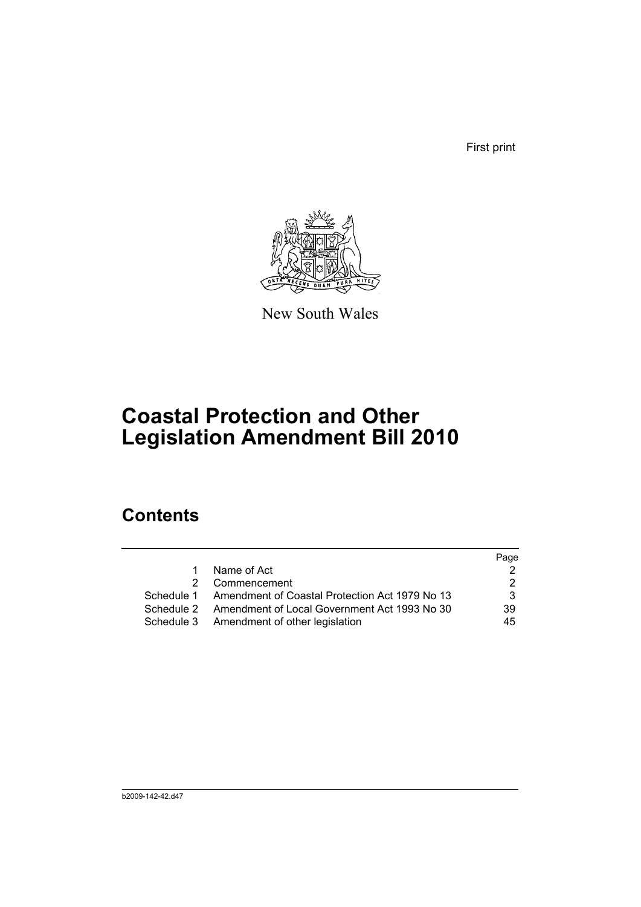First print



New South Wales

# **Coastal Protection and Other Legislation Amendment Bill 2010**

# **Contents**

|   |                                                           | Page |
|---|-----------------------------------------------------------|------|
| 1 | Name of Act                                               |      |
|   | 2 Commencement                                            |      |
|   | Schedule 1 Amendment of Coastal Protection Act 1979 No 13 | 3    |
|   | Schedule 2 Amendment of Local Government Act 1993 No 30   | 39   |
|   | Schedule 3 Amendment of other legislation                 | 45   |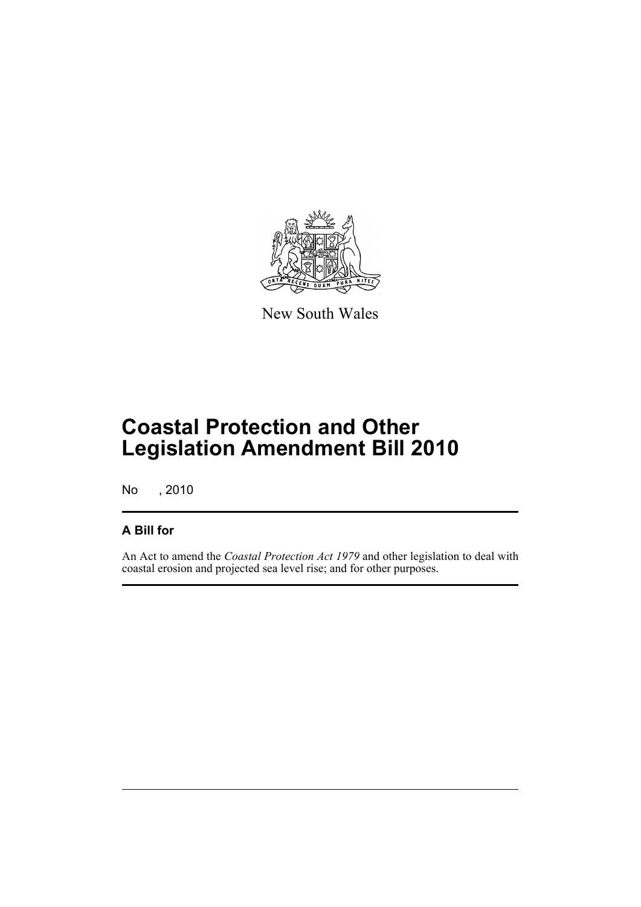

New South Wales

# **Coastal Protection and Other Legislation Amendment Bill 2010**

No , 2010

## **A Bill for**

An Act to amend the *Coastal Protection Act 1979* and other legislation to deal with coastal erosion and projected sea level rise; and for other purposes.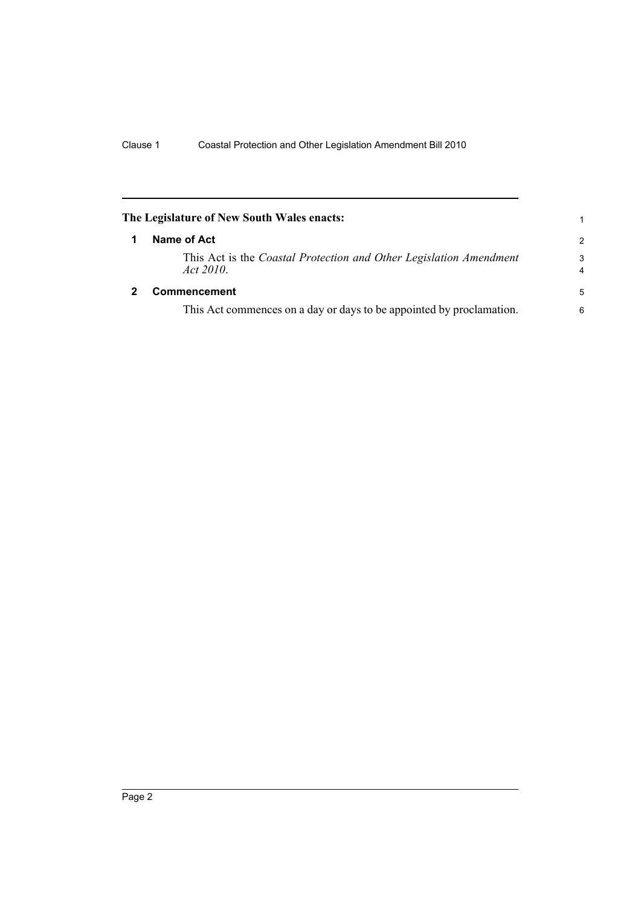<span id="page-17-1"></span><span id="page-17-0"></span>

|   | The Legislature of New South Wales enacts:                                      |                     |
|---|---------------------------------------------------------------------------------|---------------------|
| 1 | Name of Act                                                                     | $\overline{2}$      |
|   | This Act is the Coastal Protection and Other Legislation Amendment<br>Act 2010. | 3<br>$\overline{4}$ |
| 2 | <b>Commencement</b>                                                             | 5                   |
|   | This Act commences on a day or days to be appointed by proclamation.            | 6                   |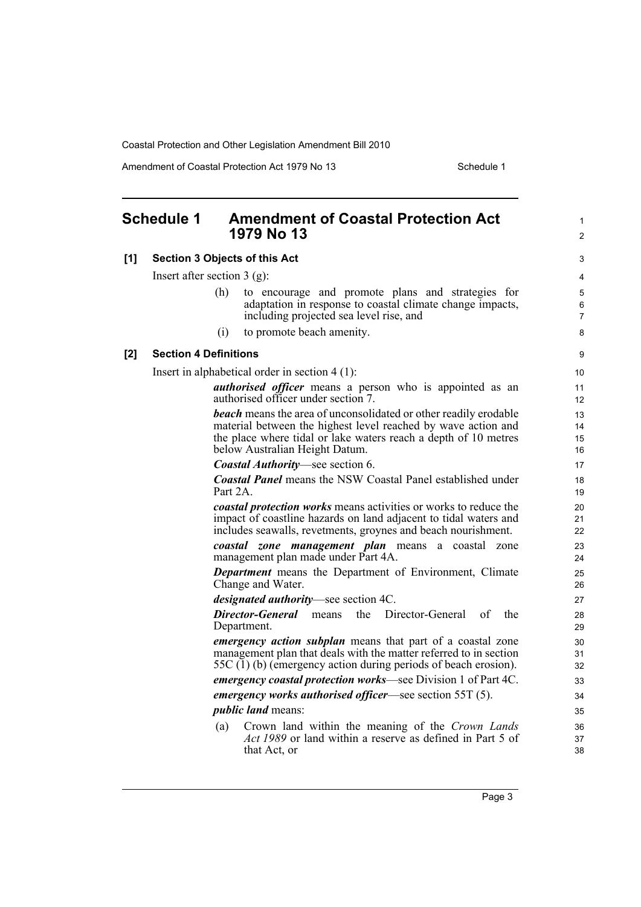Amendment of Coastal Protection Act 1979 No 13 Schedule 1

<span id="page-18-0"></span>

| <b>Schedule 1</b> |                              | <b>Amendment of Coastal Protection Act</b><br>1979 No 13                                                                                                                                                                                      | $\mathbf{1}$<br>$\overline{2}$ |
|-------------------|------------------------------|-----------------------------------------------------------------------------------------------------------------------------------------------------------------------------------------------------------------------------------------------|--------------------------------|
| [1]               |                              | <b>Section 3 Objects of this Act</b>                                                                                                                                                                                                          | 3                              |
|                   |                              | Insert after section $3$ (g):                                                                                                                                                                                                                 | 4                              |
|                   |                              | (h)<br>to encourage and promote plans and strategies for<br>adaptation in response to coastal climate change impacts,<br>including projected sea level rise, and                                                                              | 5<br>6<br>$\overline{7}$       |
|                   |                              | to promote beach amenity.<br>(i)                                                                                                                                                                                                              | 8                              |
| [2]               | <b>Section 4 Definitions</b> |                                                                                                                                                                                                                                               | 9                              |
|                   |                              | Insert in alphabetical order in section $4(1)$ :                                                                                                                                                                                              | 10                             |
|                   |                              | <i>authorised officer</i> means a person who is appointed as an<br>authorised officer under section 7.                                                                                                                                        | 11<br>12                       |
|                   |                              | <b>beach</b> means the area of unconsolidated or other readily erodable<br>material between the highest level reached by wave action and<br>the place where tidal or lake waters reach a depth of 10 metres<br>below Australian Height Datum. | 13<br>14<br>15<br>16           |
|                   |                              | <b>Coastal Authority</b> —see section 6.                                                                                                                                                                                                      | 17                             |
|                   |                              | <b>Coastal Panel</b> means the NSW Coastal Panel established under<br>Part 2A.                                                                                                                                                                | 18<br>19                       |
|                   |                              | <i>coastal protection works</i> means activities or works to reduce the<br>impact of coastline hazards on land adjacent to tidal waters and<br>includes seawalls, revetments, groynes and beach nourishment.                                  | 20<br>21<br>22                 |
|                   |                              | coastal zone management plan means a coastal zone<br>management plan made under Part 4A.                                                                                                                                                      | 23<br>24                       |
|                   |                              | <b>Department</b> means the Department of Environment, Climate<br>Change and Water.                                                                                                                                                           | 25<br>26                       |
|                   |                              | <i>designated authority</i> —see section 4C.                                                                                                                                                                                                  | 27                             |
|                   |                              | <b>Director-General</b> means<br>the<br>Director-General<br>οf<br>the<br>Department.                                                                                                                                                          | 28<br>29                       |
|                   |                              | <i>emergency action subplan</i> means that part of a coastal zone<br>management plan that deals with the matter referred to in section<br>55C (1) (b) (emergency action during periods of beach erosion).                                     | 30<br>31<br>32                 |
|                   |                              | emergency coastal protection works-see Division 1 of Part 4C.                                                                                                                                                                                 | 33                             |
|                   |                              | <i>emergency works authorised officer—see section</i> $55T(5)$ .                                                                                                                                                                              | 34                             |
|                   |                              | <i>public land</i> means:                                                                                                                                                                                                                     | 35                             |
|                   |                              | Crown land within the meaning of the Crown Lands<br>(a)<br><i>Act 1989</i> or land within a reserve as defined in Part 5 of<br>that Act, or                                                                                                   | 36<br>37<br>38                 |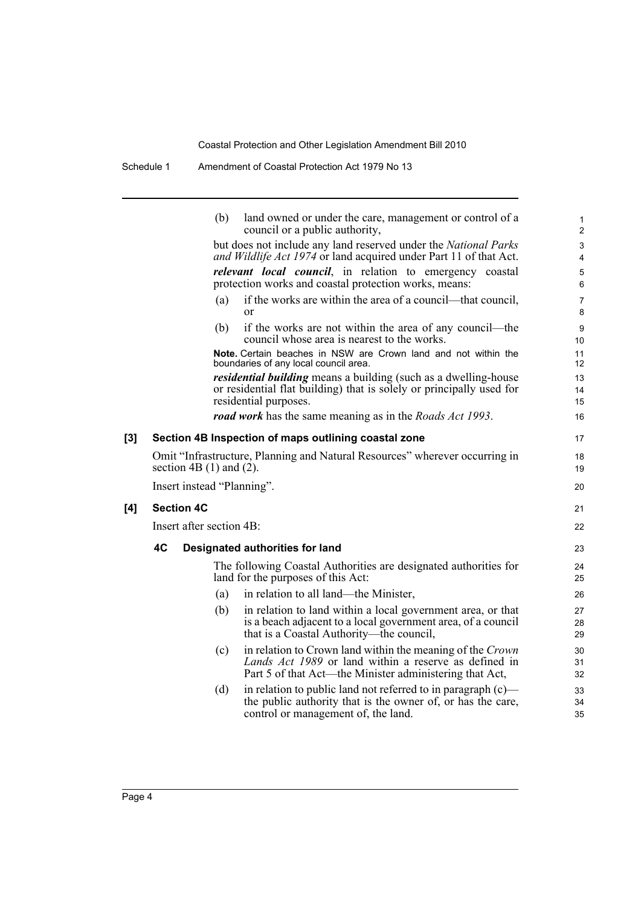Schedule 1 Amendment of Coastal Protection Act 1979 No 13

|     |    | (b)                         | land owned or under the care, management or control of a<br>council or a public authority,                                | $\mathbf{1}$<br>$\overline{2}$ |
|-----|----|-----------------------------|---------------------------------------------------------------------------------------------------------------------------|--------------------------------|
|     |    |                             | but does not include any land reserved under the National Parks                                                           | $\mathsf 3$                    |
|     |    |                             | and Wildlife Act 1974 or land acquired under Part 11 of that Act.                                                         | 4                              |
|     |    |                             | <i>relevant local council</i> , in relation to emergency coastal<br>protection works and coastal protection works, means: | 5<br>6                         |
|     |    | (a)                         | if the works are within the area of a council—that council,<br>or                                                         | $\overline{7}$<br>8            |
|     |    | (b)                         | if the works are not within the area of any council—the<br>council whose area is nearest to the works.                    | 9<br>10                        |
|     |    |                             | Note. Certain beaches in NSW are Crown land and not within the<br>boundaries of any local council area.                   | 11<br>12                       |
|     |    |                             | <i>residential building</i> means a building (such as a dwelling-house                                                    | 13                             |
|     |    |                             | or residential flat building) that is solely or principally used for                                                      | 14                             |
|     |    |                             | residential purposes.                                                                                                     | 15                             |
|     |    |                             | <b>road work</b> has the same meaning as in the <i>Roads Act 1993</i> .                                                   | 16                             |
| [3] |    |                             | Section 4B Inspection of maps outlining coastal zone                                                                      | 17                             |
|     |    | section $4B(1)$ and $(2)$ . | Omit "Infrastructure, Planning and Natural Resources" wherever occurring in                                               | 18<br>19                       |
|     |    | Insert instead "Planning".  |                                                                                                                           | 20                             |
| [4] |    | <b>Section 4C</b>           |                                                                                                                           | 21                             |
|     |    | Insert after section 4B:    |                                                                                                                           | 22                             |
|     | 4C |                             | Designated authorities for land                                                                                           | 23                             |
|     |    |                             | The following Coastal Authorities are designated authorities for<br>land for the purposes of this Act:                    | 24<br>25                       |
|     |    | (a)                         | in relation to all land—the Minister,                                                                                     | 26                             |
|     |    | (b)                         | in relation to land within a local government area, or that                                                               | 27                             |
|     |    |                             | is a beach adjacent to a local government area, of a council<br>that is a Coastal Authority—the council,                  | 28<br>29                       |
|     |    | (c)                         | in relation to Crown land within the meaning of the Crown                                                                 | 30                             |
|     |    |                             | Lands Act 1989 or land within a reserve as defined in<br>Part 5 of that Act—the Minister administering that Act,          | 31<br>32                       |
|     |    | (d)                         | in relation to public land not referred to in paragraph $(c)$ —                                                           | 33                             |
|     |    |                             | the public authority that is the owner of, or has the care,<br>control or management of, the land.                        | 34<br>35                       |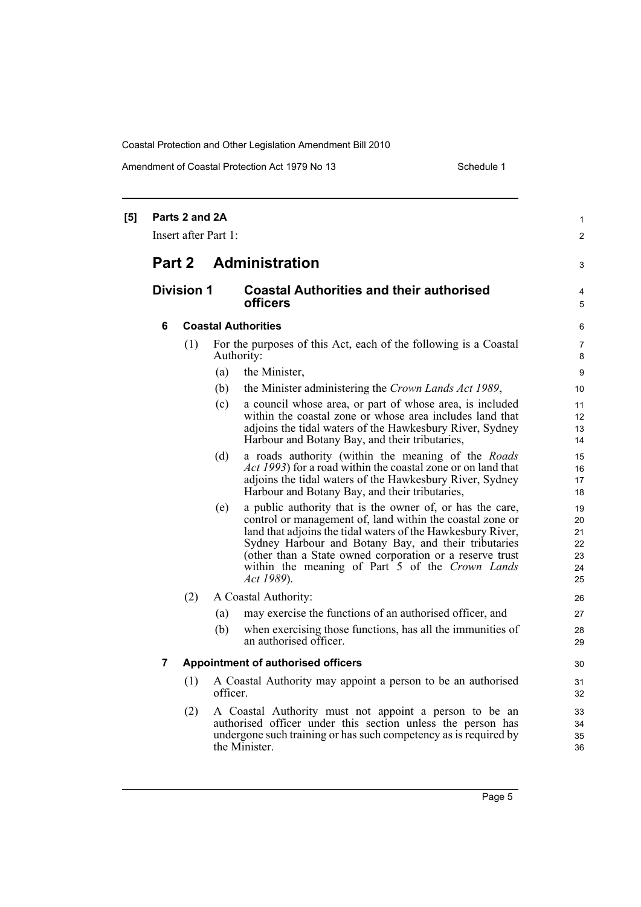Amendment of Coastal Protection Act 1979 No 13 Schedule 1

| [5] | Parts 2 and 2A<br>Insert after Part 1: |     |            |                                                                                                                                                                                                                                                                                                                                                                            | $\mathbf{1}$<br>$\overline{2}$         |
|-----|----------------------------------------|-----|------------|----------------------------------------------------------------------------------------------------------------------------------------------------------------------------------------------------------------------------------------------------------------------------------------------------------------------------------------------------------------------------|----------------------------------------|
|     | Part 2                                 |     |            | <b>Administration</b>                                                                                                                                                                                                                                                                                                                                                      | 3                                      |
|     | <b>Division 1</b>                      |     |            | <b>Coastal Authorities and their authorised</b><br>officers                                                                                                                                                                                                                                                                                                                | 4<br>5                                 |
|     | 6                                      |     |            | <b>Coastal Authorities</b>                                                                                                                                                                                                                                                                                                                                                 |                                        |
|     |                                        | (1) |            | For the purposes of this Act, each of the following is a Coastal<br>Authority:                                                                                                                                                                                                                                                                                             | 7<br>8                                 |
|     |                                        |     | (a)        | the Minister,                                                                                                                                                                                                                                                                                                                                                              | 9                                      |
|     |                                        |     | (b)        | the Minister administering the Crown Lands Act 1989,                                                                                                                                                                                                                                                                                                                       | 10                                     |
|     |                                        |     | (c)        | a council whose area, or part of whose area, is included<br>within the coastal zone or whose area includes land that<br>adjoins the tidal waters of the Hawkesbury River, Sydney<br>Harbour and Botany Bay, and their tributaries,                                                                                                                                         | 11<br>12<br>13<br>14                   |
|     |                                        |     | (d)        | a roads authority (within the meaning of the Roads<br><i>Act 1993</i> ) for a road within the coastal zone or on land that<br>adjoins the tidal waters of the Hawkesbury River, Sydney<br>Harbour and Botany Bay, and their tributaries,                                                                                                                                   | 15<br>16<br>17<br>18                   |
|     |                                        |     | (e)        | a public authority that is the owner of, or has the care,<br>control or management of, land within the coastal zone or<br>land that adjoins the tidal waters of the Hawkesbury River,<br>Sydney Harbour and Botany Bay, and their tributaries<br>(other than a State owned corporation or a reserve trust<br>within the meaning of Part 5 of the Crown Lands<br>Act 1989). | 19<br>20<br>21<br>22<br>23<br>24<br>25 |
|     |                                        | (2) |            | A Coastal Authority:                                                                                                                                                                                                                                                                                                                                                       | 26                                     |
|     |                                        |     | (a)<br>(b) | may exercise the functions of an authorised officer, and<br>when exercising those functions, has all the immunities of<br>an authorised officer.                                                                                                                                                                                                                           | 27<br>28<br>29                         |
|     | 7                                      |     |            | <b>Appointment of authorised officers</b>                                                                                                                                                                                                                                                                                                                                  | 30                                     |
|     |                                        | (1) | officer.   | A Coastal Authority may appoint a person to be an authorised                                                                                                                                                                                                                                                                                                               | 31<br>32                               |
|     |                                        | (2) |            | A Coastal Authority must not appoint a person to be an<br>authorised officer under this section unless the person has<br>undergone such training or has such competency as is required by<br>the Minister.                                                                                                                                                                 | 33<br>34<br>35<br>36                   |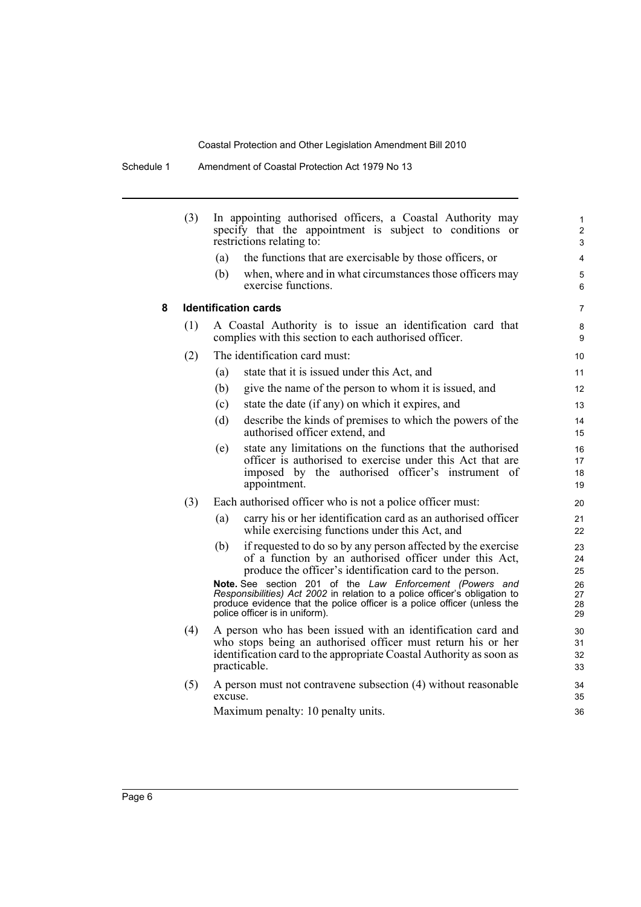|   | (3) |         | In appointing authorised officers, a Coastal Authority may<br>specify that the appointment is subject to conditions or<br>restrictions relating to:                                                                                                                                                                                                                                                                                        | 1<br>$\overline{2}$<br>3               |
|---|-----|---------|--------------------------------------------------------------------------------------------------------------------------------------------------------------------------------------------------------------------------------------------------------------------------------------------------------------------------------------------------------------------------------------------------------------------------------------------|----------------------------------------|
|   |     | (a)     | the functions that are exercisable by those officers, or                                                                                                                                                                                                                                                                                                                                                                                   | 4                                      |
|   |     | (b)     | when, where and in what circumstances those officers may<br>exercise functions.                                                                                                                                                                                                                                                                                                                                                            | 5<br>6                                 |
| 8 |     |         | <b>Identification cards</b>                                                                                                                                                                                                                                                                                                                                                                                                                | $\overline{7}$                         |
|   | (1) |         | A Coastal Authority is to issue an identification card that<br>complies with this section to each authorised officer.                                                                                                                                                                                                                                                                                                                      | 8<br>9                                 |
|   | (2) |         | The identification card must:                                                                                                                                                                                                                                                                                                                                                                                                              | 10                                     |
|   |     | (a)     | state that it is issued under this Act, and                                                                                                                                                                                                                                                                                                                                                                                                | 11                                     |
|   |     | (b)     | give the name of the person to whom it is issued, and                                                                                                                                                                                                                                                                                                                                                                                      | 12                                     |
|   |     | (c)     | state the date (if any) on which it expires, and                                                                                                                                                                                                                                                                                                                                                                                           | 13                                     |
|   |     | (d)     | describe the kinds of premises to which the powers of the<br>authorised officer extend, and                                                                                                                                                                                                                                                                                                                                                | 14<br>15                               |
|   |     | (e)     | state any limitations on the functions that the authorised<br>officer is authorised to exercise under this Act that are<br>imposed by the authorised officer's instrument of<br>appointment.                                                                                                                                                                                                                                               | 16<br>17<br>18<br>19                   |
|   | (3) |         | Each authorised officer who is not a police officer must:                                                                                                                                                                                                                                                                                                                                                                                  | 20                                     |
|   |     | (a)     | carry his or her identification card as an authorised officer<br>while exercising functions under this Act, and                                                                                                                                                                                                                                                                                                                            | 21<br>22                               |
|   |     | (b)     | if requested to do so by any person affected by the exercise<br>of a function by an authorised officer under this Act,<br>produce the officer's identification card to the person.<br>Note. See section 201 of the Law Enforcement (Powers and<br>Responsibilities) Act 2002 in relation to a police officer's obligation to<br>produce evidence that the police officer is a police officer (unless the<br>police officer is in uniform). | 23<br>24<br>25<br>26<br>27<br>28<br>29 |
|   | (4) |         | A person who has been issued with an identification card and<br>who stops being an authorised officer must return his or her<br>identification card to the appropriate Coastal Authority as soon as<br>practicable.                                                                                                                                                                                                                        | 30<br>31<br>32<br>33                   |
|   | (5) | excuse. | A person must not contravene subsection (4) without reasonable                                                                                                                                                                                                                                                                                                                                                                             | 34<br>35                               |
|   |     |         | Maximum penalty: 10 penalty units.                                                                                                                                                                                                                                                                                                                                                                                                         | 36                                     |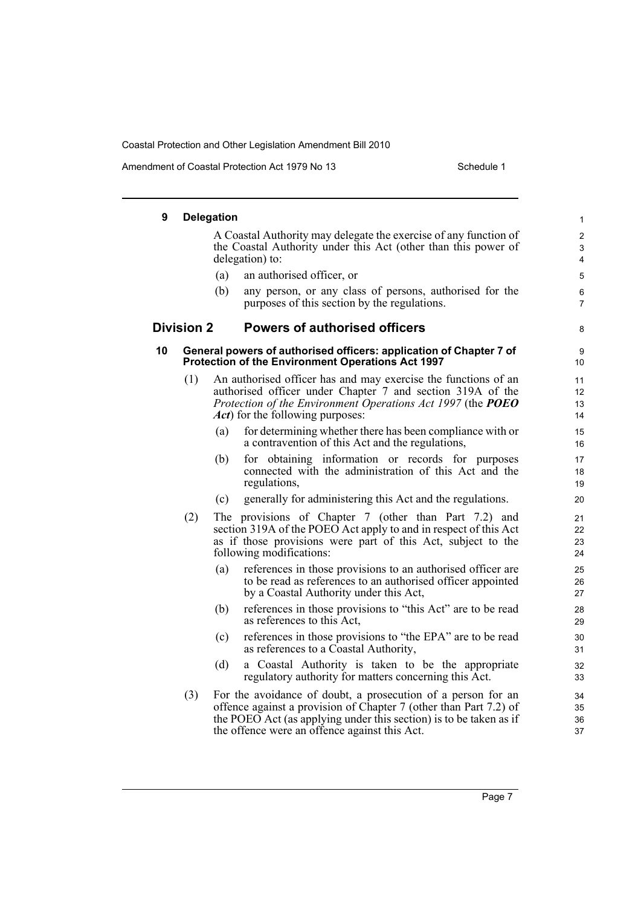Amendment of Coastal Protection Act 1979 No 13 Schedule 1

| 9  |                   | <b>Delegation</b> |                                                                                                                                                                                                                                                          | 1                        |
|----|-------------------|-------------------|----------------------------------------------------------------------------------------------------------------------------------------------------------------------------------------------------------------------------------------------------------|--------------------------|
|    |                   |                   | A Coastal Authority may delegate the exercise of any function of<br>the Coastal Authority under this Act (other than this power of<br>delegation) to:                                                                                                    | $\overline{c}$<br>3<br>4 |
|    |                   | (a)               | an authorised officer, or                                                                                                                                                                                                                                | 5                        |
|    |                   | (b)               | any person, or any class of persons, authorised for the<br>purposes of this section by the regulations.                                                                                                                                                  | 6<br>$\overline{7}$      |
|    | <b>Division 2</b> |                   | <b>Powers of authorised officers</b>                                                                                                                                                                                                                     | 8                        |
| 10 |                   |                   | General powers of authorised officers: application of Chapter 7 of<br>Protection of the Environment Operations Act 1997                                                                                                                                  | 9<br>10                  |
|    | (1)               |                   | An authorised officer has and may exercise the functions of an<br>authorised officer under Chapter 7 and section 319A of the<br>Protection of the Environment Operations Act 1997 (the POEO<br><i>Act</i> ) for the following purposes:                  | 11<br>12<br>13<br>14     |
|    |                   | (a)               | for determining whether there has been compliance with or<br>a contravention of this Act and the regulations,                                                                                                                                            | 15<br>16                 |
|    |                   | (b)               | for obtaining information or records for purposes<br>connected with the administration of this Act and the<br>regulations,                                                                                                                               | 17<br>18<br>19           |
|    |                   | (c)               | generally for administering this Act and the regulations.                                                                                                                                                                                                | 20                       |
|    | (2)               |                   | The provisions of Chapter 7 (other than Part 7.2) and<br>section 319A of the POEO Act apply to and in respect of this Act<br>as if those provisions were part of this Act, subject to the<br>following modifications:                                    | 21<br>22<br>23<br>24     |
|    |                   | (a)               | references in those provisions to an authorised officer are<br>to be read as references to an authorised officer appointed<br>by a Coastal Authority under this Act,                                                                                     | 25<br>26<br>27           |
|    |                   | (b)               | references in those provisions to "this Act" are to be read<br>as references to this Act,                                                                                                                                                                | 28<br>29                 |
|    |                   | (c)               | references in those provisions to "the EPA" are to be read<br>as references to a Coastal Authority,                                                                                                                                                      | 30<br>31                 |
|    |                   | (d)               | a Coastal Authority is taken to be the appropriate<br>regulatory authority for matters concerning this Act.                                                                                                                                              | 32<br>33                 |
|    | (3)               |                   | For the avoidance of doubt, a prosecution of a person for an<br>offence against a provision of Chapter 7 (other than Part 7.2) of<br>the POEO Act (as applying under this section) is to be taken as if<br>the offence were an offence against this Act. | 34<br>35<br>36<br>37     |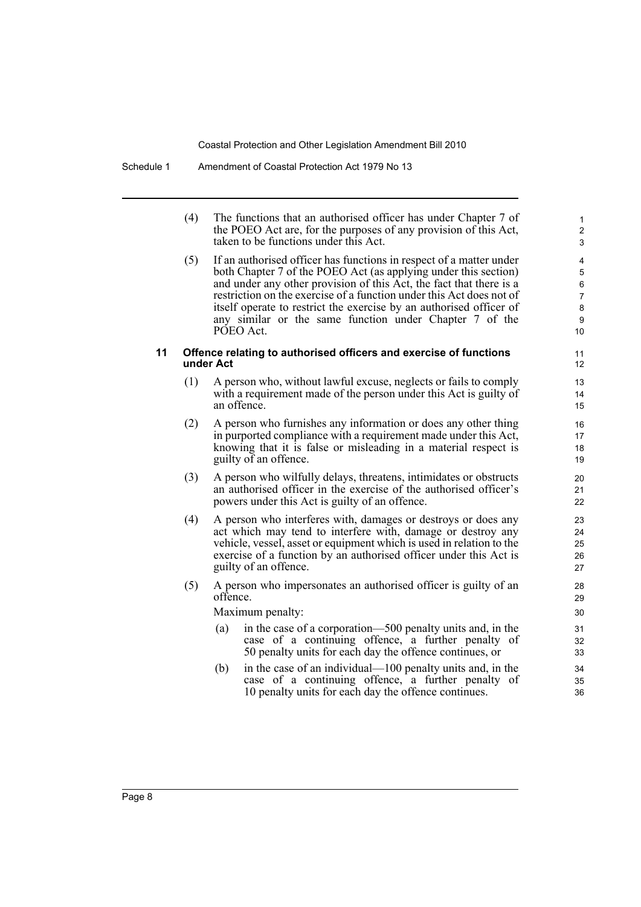(4) The functions that an authorised officer has under Chapter 7 of the POEO Act are, for the purposes of any provision of this Act, taken to be functions under this Act.

(5) If an authorised officer has functions in respect of a matter under both Chapter 7 of the POEO Act (as applying under this section) and under any other provision of this Act, the fact that there is a restriction on the exercise of a function under this Act does not of itself operate to restrict the exercise by an authorised officer of any similar or the same function under Chapter 7 of the PÓEO Act.

#### **11 Offence relating to authorised officers and exercise of functions under Act**

- (1) A person who, without lawful excuse, neglects or fails to comply with a requirement made of the person under this Act is guilty of an offence.
- (2) A person who furnishes any information or does any other thing in purported compliance with a requirement made under this Act, knowing that it is false or misleading in a material respect is guilty of an offence.
- (3) A person who wilfully delays, threatens, intimidates or obstructs an authorised officer in the exercise of the authorised officer's powers under this Act is guilty of an offence.
- (4) A person who interferes with, damages or destroys or does any act which may tend to interfere with, damage or destroy any vehicle, vessel, asset or equipment which is used in relation to the exercise of a function by an authorised officer under this Act is guilty of an offence.
- (5) A person who impersonates an authorised officer is guilty of an offence.

Maximum penalty:

- (a) in the case of a corporation—500 penalty units and, in the case of a continuing offence, a further penalty of 50 penalty units for each day the offence continues, or
- (b) in the case of an individual—100 penalty units and, in the case of a continuing offence, a further penalty of 10 penalty units for each day the offence continues.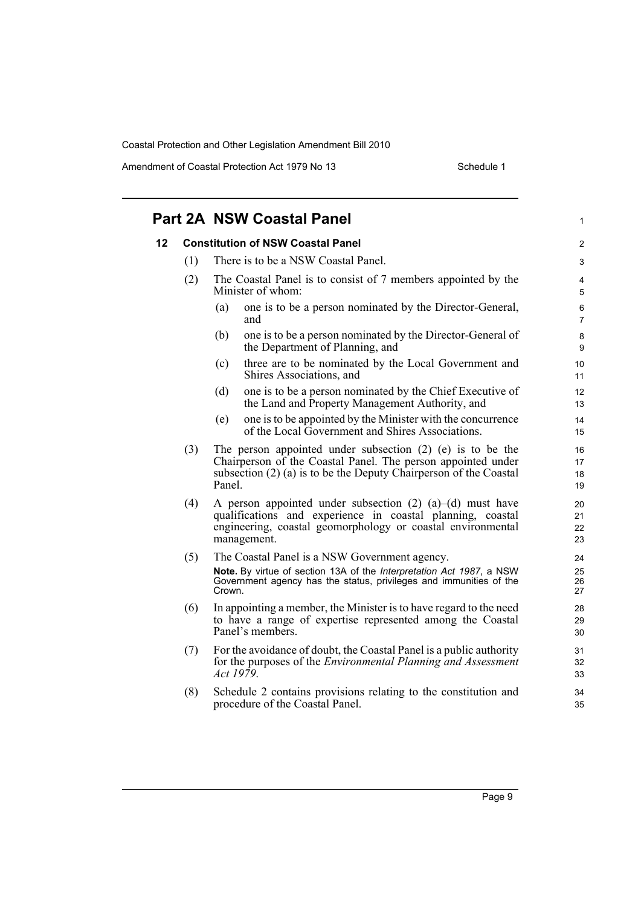Amendment of Coastal Protection Act 1979 No 13 Schedule 1

|    |     | <b>Part 2A NSW Coastal Panel</b>                                                                                                                                                                                |                      |  |  |
|----|-----|-----------------------------------------------------------------------------------------------------------------------------------------------------------------------------------------------------------------|----------------------|--|--|
| 12 |     | <b>Constitution of NSW Coastal Panel</b>                                                                                                                                                                        | 2                    |  |  |
|    | (1) | There is to be a NSW Coastal Panel.                                                                                                                                                                             | 3                    |  |  |
|    | (2) | The Coastal Panel is to consist of 7 members appointed by the<br>Minister of whom:                                                                                                                              | 4<br>5               |  |  |
|    |     | one is to be a person nominated by the Director-General,<br>(a)<br>and                                                                                                                                          | 6<br>$\overline{7}$  |  |  |
|    |     | one is to be a person nominated by the Director-General of<br>(b)<br>the Department of Planning, and                                                                                                            | 8<br>9               |  |  |
|    |     | three are to be nominated by the Local Government and<br>(c)<br>Shires Associations, and                                                                                                                        | 10<br>11             |  |  |
|    |     | one is to be a person nominated by the Chief Executive of<br>(d)<br>the Land and Property Management Authority, and                                                                                             | 12<br>13             |  |  |
|    |     | one is to be appointed by the Minister with the concurrence<br>(e)<br>of the Local Government and Shires Associations.                                                                                          | 14<br>15             |  |  |
|    | (3) | The person appointed under subsection $(2)$ $(e)$ is to be the<br>Chairperson of the Coastal Panel. The person appointed under<br>subsection $(2)$ (a) is to be the Deputy Chairperson of the Coastal<br>Panel. | 16<br>17<br>18<br>19 |  |  |
|    | (4) | A person appointed under subsection $(2)$ $(a)$ – $(d)$ must have<br>qualifications and experience in coastal planning, coastal<br>engineering, coastal geomorphology or coastal environmental<br>management.   | 20<br>21<br>22<br>23 |  |  |
|    | (5) | The Coastal Panel is a NSW Government agency.<br>Note. By virtue of section 13A of the Interpretation Act 1987, a NSW<br>Government agency has the status, privileges and immunities of the<br>Crown.           | 24<br>25<br>26<br>27 |  |  |
|    | (6) | In appointing a member, the Minister is to have regard to the need<br>to have a range of expertise represented among the Coastal<br>Panel's members.                                                            | 28<br>29<br>30       |  |  |
|    | (7) | For the avoidance of doubt, the Coastal Panel is a public authority<br>for the purposes of the <i>Environmental Planning and Assessment</i><br>Act 1979.                                                        | 31<br>32<br>33       |  |  |
|    | (8) | Schedule 2 contains provisions relating to the constitution and<br>procedure of the Coastal Panel.                                                                                                              | 34<br>35             |  |  |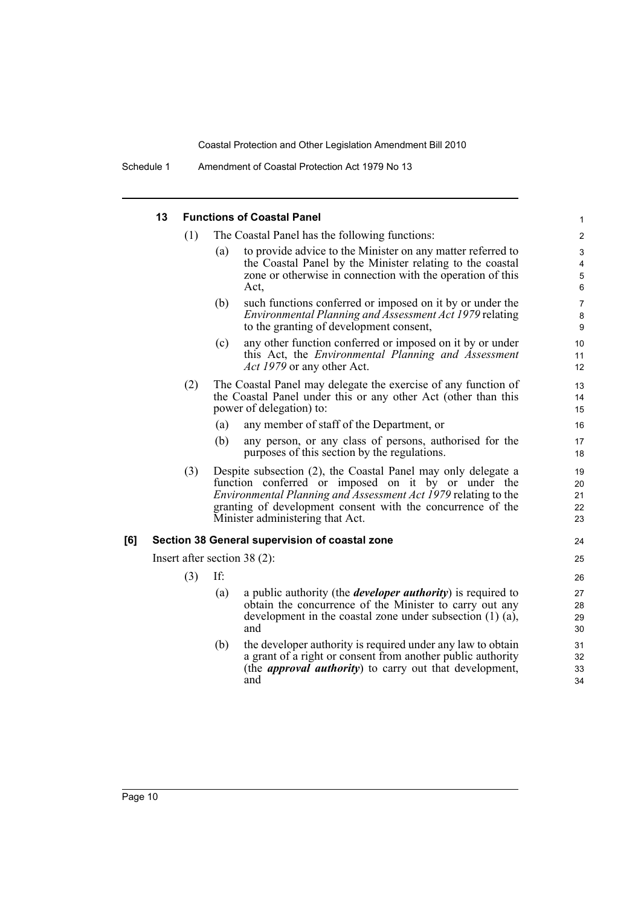Schedule 1 Amendment of Coastal Protection Act 1979 No 13

|     | 13 |     |     | <b>Functions of Coastal Panel</b>                                                                                                                                                                                                                                                                | $\mathbf{1}$                   |
|-----|----|-----|-----|--------------------------------------------------------------------------------------------------------------------------------------------------------------------------------------------------------------------------------------------------------------------------------------------------|--------------------------------|
|     |    | (1) |     | The Coastal Panel has the following functions:                                                                                                                                                                                                                                                   | 2                              |
|     |    |     | (a) | to provide advice to the Minister on any matter referred to<br>the Coastal Panel by the Minister relating to the coastal<br>zone or otherwise in connection with the operation of this<br>Act,                                                                                                   | 3<br>4<br>$\overline{5}$<br>6  |
|     |    |     | (b) | such functions conferred or imposed on it by or under the<br>Environmental Planning and Assessment Act 1979 relating<br>to the granting of development consent,                                                                                                                                  | $\overline{7}$<br>$\bf 8$<br>9 |
|     |    |     | (c) | any other function conferred or imposed on it by or under<br>this Act, the <i>Environmental Planning and Assessment</i><br>Act 1979 or any other Act.                                                                                                                                            | 10<br>11<br>12                 |
|     |    | (2) |     | The Coastal Panel may delegate the exercise of any function of<br>the Coastal Panel under this or any other Act (other than this<br>power of delegation) to:                                                                                                                                     | 13<br>14<br>15                 |
|     |    |     | (a) | any member of staff of the Department, or                                                                                                                                                                                                                                                        | 16                             |
|     |    |     | (b) | any person, or any class of persons, authorised for the<br>purposes of this section by the regulations.                                                                                                                                                                                          | 17<br>18                       |
|     |    | (3) |     | Despite subsection (2), the Coastal Panel may only delegate a<br>function conferred or imposed on it by or under the<br><i>Environmental Planning and Assessment Act 1979</i> relating to the<br>granting of development consent with the concurrence of the<br>Minister administering that Act. | 19<br>20<br>21<br>22<br>23     |
| [6] |    |     |     | Section 38 General supervision of coastal zone                                                                                                                                                                                                                                                   | 24                             |
|     |    |     |     | Insert after section $38(2)$ :                                                                                                                                                                                                                                                                   | 25                             |
|     |    | (3) | If: |                                                                                                                                                                                                                                                                                                  | 26                             |
|     |    |     | (a) | a public authority (the <i>developer authority</i> ) is required to<br>obtain the concurrence of the Minister to carry out any<br>development in the coastal zone under subsection $(1)$ $(a)$ ,<br>and                                                                                          | 27<br>28<br>29<br>30           |
|     |    |     | (b) | the developer authority is required under any law to obtain<br>a grant of a right or consent from another public authority<br>(the <i>approval authority</i> ) to carry out that development,<br>and                                                                                             | 31<br>32<br>33<br>34           |
|     |    |     |     |                                                                                                                                                                                                                                                                                                  |                                |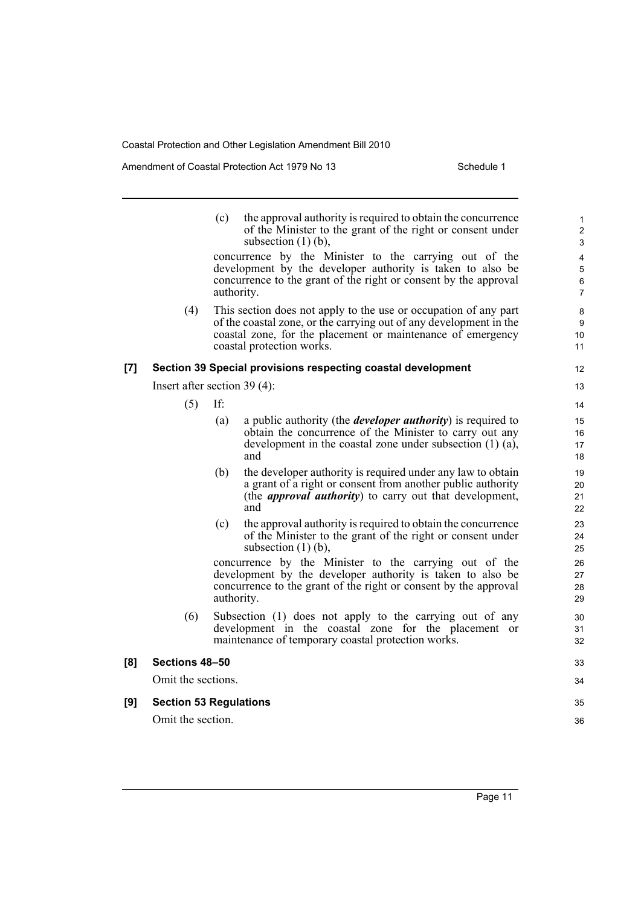Amendment of Coastal Protection Act 1979 No 13 Schedule 1

|     |                                | (c) | the approval authority is required to obtain the concurrence<br>of the Minister to the grant of the right or consent under<br>subsection $(1)$ (b),<br>concurrence by the Minister to the carrying out of the<br>development by the developer authority is taken to also be | $\mathbf{1}$<br>$\overline{c}$<br>3<br>4<br>$\mathbf 5$ |
|-----|--------------------------------|-----|-----------------------------------------------------------------------------------------------------------------------------------------------------------------------------------------------------------------------------------------------------------------------------|---------------------------------------------------------|
|     |                                |     | concurrence to the grant of the right or consent by the approval<br>authority.                                                                                                                                                                                              | $\,6$<br>$\overline{7}$                                 |
|     | (4)                            |     | This section does not apply to the use or occupation of any part<br>of the coastal zone, or the carrying out of any development in the<br>coastal zone, for the placement or maintenance of emergency<br>coastal protection works.                                          | 8<br>9<br>10<br>11                                      |
| [7] |                                |     | Section 39 Special provisions respecting coastal development                                                                                                                                                                                                                | 12                                                      |
|     | Insert after section $39(4)$ : |     |                                                                                                                                                                                                                                                                             | 13                                                      |
|     | (5)                            | If: |                                                                                                                                                                                                                                                                             | 14                                                      |
|     |                                | (a) | a public authority (the <i>developer authority</i> ) is required to<br>obtain the concurrence of the Minister to carry out any<br>development in the coastal zone under subsection $(1)$ $(a)$ ,<br>and                                                                     | 15<br>16<br>17<br>18                                    |
|     |                                | (b) | the developer authority is required under any law to obtain<br>a grant of a right or consent from another public authority<br>(the <i>approval authority</i> ) to carry out that development,<br>and                                                                        | 19<br>20<br>21<br>22                                    |
|     |                                | (c) | the approval authority is required to obtain the concurrence<br>of the Minister to the grant of the right or consent under<br>subsection $(1)$ (b),                                                                                                                         | 23<br>24<br>25                                          |
|     |                                |     | concurrence by the Minister to the carrying out of the<br>development by the developer authority is taken to also be<br>concurrence to the grant of the right or consent by the approval<br>authority.                                                                      | 26<br>27<br>28<br>29                                    |
|     | (6)                            |     | Subsection (1) does not apply to the carrying out of any<br>development in the coastal zone for the placement or<br>maintenance of temporary coastal protection works.                                                                                                      | 30<br>31<br>32                                          |
| [8] | Sections 48-50                 |     |                                                                                                                                                                                                                                                                             | 33                                                      |
|     | Omit the sections.             |     |                                                                                                                                                                                                                                                                             | 34                                                      |
| [9] | <b>Section 53 Regulations</b>  |     |                                                                                                                                                                                                                                                                             | 35                                                      |

### **[9] Section 53 Regulations**

Omit the section.

**[8]** 

Page 11

36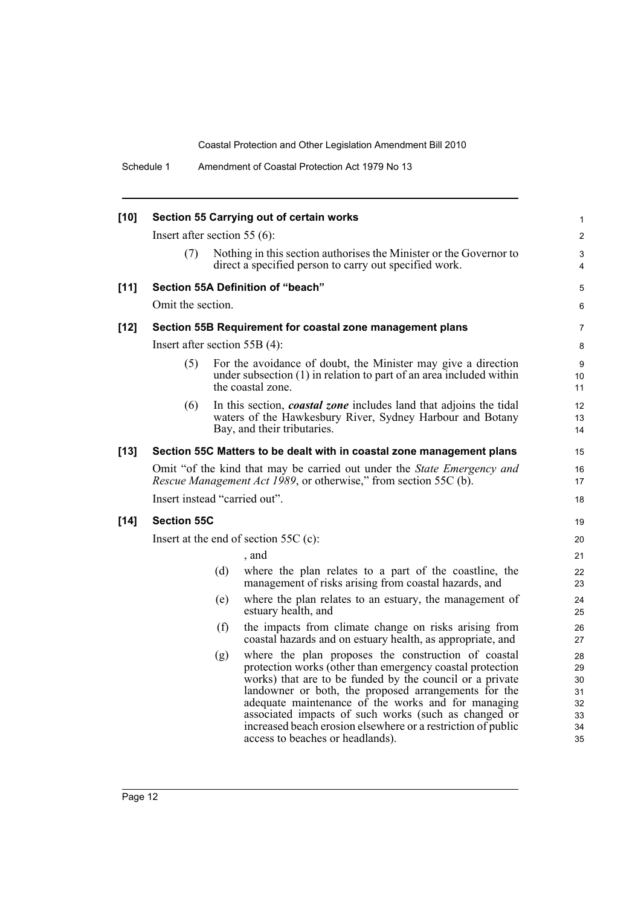| $[10]$ |                                 |     | Section 55 Carrying out of certain works                                                                                                                                                                                                                                                                                                                                                                                                               | 1                                            |
|--------|---------------------------------|-----|--------------------------------------------------------------------------------------------------------------------------------------------------------------------------------------------------------------------------------------------------------------------------------------------------------------------------------------------------------------------------------------------------------------------------------------------------------|----------------------------------------------|
|        | Insert after section 55 $(6)$ : |     |                                                                                                                                                                                                                                                                                                                                                                                                                                                        | $\overline{2}$                               |
|        | (7)                             |     | Nothing in this section authorises the Minister or the Governor to<br>direct a specified person to carry out specified work.                                                                                                                                                                                                                                                                                                                           | 3<br>4                                       |
| $[11]$ |                                 |     | Section 55A Definition of "beach"                                                                                                                                                                                                                                                                                                                                                                                                                      | 5                                            |
|        | Omit the section.               |     |                                                                                                                                                                                                                                                                                                                                                                                                                                                        | 6                                            |
| $[12]$ |                                 |     | Section 55B Requirement for coastal zone management plans                                                                                                                                                                                                                                                                                                                                                                                              | 7                                            |
|        | Insert after section $55B(4)$ : |     |                                                                                                                                                                                                                                                                                                                                                                                                                                                        | 8                                            |
|        | (5)                             |     | For the avoidance of doubt, the Minister may give a direction<br>under subsection (1) in relation to part of an area included within<br>the coastal zone.                                                                                                                                                                                                                                                                                              | 9<br>10<br>11                                |
|        | (6)                             |     | In this section, <i>coastal zone</i> includes land that adjoins the tidal<br>waters of the Hawkesbury River, Sydney Harbour and Botany<br>Bay, and their tributaries.                                                                                                                                                                                                                                                                                  | 12<br>13<br>14                               |
| $[13]$ |                                 |     | Section 55C Matters to be dealt with in coastal zone management plans                                                                                                                                                                                                                                                                                                                                                                                  | 15                                           |
|        |                                 |     | Omit "of the kind that may be carried out under the State Emergency and<br><i>Rescue Management Act 1989</i> , or otherwise," from section 55C (b).                                                                                                                                                                                                                                                                                                    | 16<br>17                                     |
|        | Insert instead "carried out".   |     |                                                                                                                                                                                                                                                                                                                                                                                                                                                        | 18                                           |
| $[14]$ | <b>Section 55C</b>              |     |                                                                                                                                                                                                                                                                                                                                                                                                                                                        | 19                                           |
|        |                                 |     | Insert at the end of section $55C$ (c):                                                                                                                                                                                                                                                                                                                                                                                                                | 20                                           |
|        |                                 |     | , and                                                                                                                                                                                                                                                                                                                                                                                                                                                  | 21                                           |
|        |                                 | (d) | where the plan relates to a part of the coastline, the<br>management of risks arising from coastal hazards, and                                                                                                                                                                                                                                                                                                                                        | 22<br>23                                     |
|        |                                 | (e) | where the plan relates to an estuary, the management of<br>estuary health, and                                                                                                                                                                                                                                                                                                                                                                         | 24<br>25                                     |
|        |                                 | (f) | the impacts from climate change on risks arising from<br>coastal hazards and on estuary health, as appropriate, and                                                                                                                                                                                                                                                                                                                                    | 26<br>27                                     |
|        |                                 | (g) | where the plan proposes the construction of coastal<br>protection works (other than emergency coastal protection<br>works) that are to be funded by the council or a private<br>landowner or both, the proposed arrangements for the<br>adequate maintenance of the works and for managing<br>associated impacts of such works (such as changed or<br>increased beach erosion elsewhere or a restriction of public<br>access to beaches or headlands). | 28<br>29<br>30<br>31<br>32<br>33<br>34<br>35 |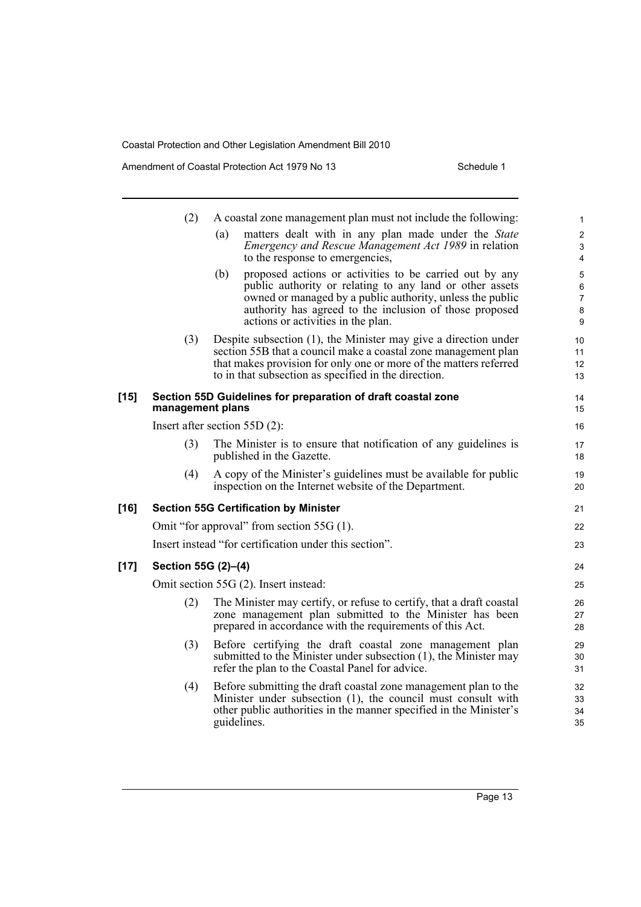Amendment of Coastal Protection Act 1979 No 13 Schedule 1

|        | (2)                 | A coastal zone management plan must not include the following:                                                                                                                                                                                                                           | $\mathbf{1}$                       |
|--------|---------------------|------------------------------------------------------------------------------------------------------------------------------------------------------------------------------------------------------------------------------------------------------------------------------------------|------------------------------------|
|        |                     | matters dealt with in any plan made under the State<br>(a)<br><i>Emergency and Rescue Management Act 1989</i> in relation<br>to the response to emergencies,                                                                                                                             | $\overline{c}$<br>3<br>4           |
|        |                     | proposed actions or activities to be carried out by any<br>(b)<br>public authority or relating to any land or other assets<br>owned or managed by a public authority, unless the public<br>authority has agreed to the inclusion of those proposed<br>actions or activities in the plan. | 5<br>6<br>$\overline{7}$<br>8<br>9 |
|        | (3)                 | Despite subsection (1), the Minister may give a direction under<br>section 55B that a council make a coastal zone management plan<br>that makes provision for only one or more of the matters referred<br>to in that subsection as specified in the direction.                           | 10<br>11<br>12<br>13               |
| $[15]$ | management plans    | Section 55D Guidelines for preparation of draft coastal zone                                                                                                                                                                                                                             | 14<br>15                           |
|        |                     | Insert after section $55D(2)$ :                                                                                                                                                                                                                                                          | 16                                 |
|        | (3)                 | The Minister is to ensure that notification of any guidelines is<br>published in the Gazette.                                                                                                                                                                                            | 17<br>18                           |
|        | (4)                 | A copy of the Minister's guidelines must be available for public<br>inspection on the Internet website of the Department.                                                                                                                                                                | 19<br>20                           |
| $[16]$ |                     | <b>Section 55G Certification by Minister</b>                                                                                                                                                                                                                                             | 21                                 |
|        |                     | Omit "for approval" from section 55G (1).                                                                                                                                                                                                                                                | 22                                 |
|        |                     | Insert instead "for certification under this section".                                                                                                                                                                                                                                   | 23                                 |
| $[17]$ | Section 55G (2)-(4) |                                                                                                                                                                                                                                                                                          | 24                                 |
|        |                     | Omit section 55G (2). Insert instead:                                                                                                                                                                                                                                                    | 25                                 |
|        | (2)                 | The Minister may certify, or refuse to certify, that a draft coastal<br>zone management plan submitted to the Minister has been<br>prepared in accordance with the requirements of this Act.                                                                                             | 26<br>27<br>28                     |
|        | (3)                 | Before certifying the draft coastal zone management plan<br>submitted to the Minister under subsection (1), the Minister may<br>refer the plan to the Coastal Panel for advice.                                                                                                          | 29<br>30<br>31                     |
|        | (4)                 | Before submitting the draft coastal zone management plan to the<br>Minister under subsection (1), the council must consult with<br>other public authorities in the manner specified in the Minister's<br>guidelines.                                                                     | 32<br>33<br>34<br>35               |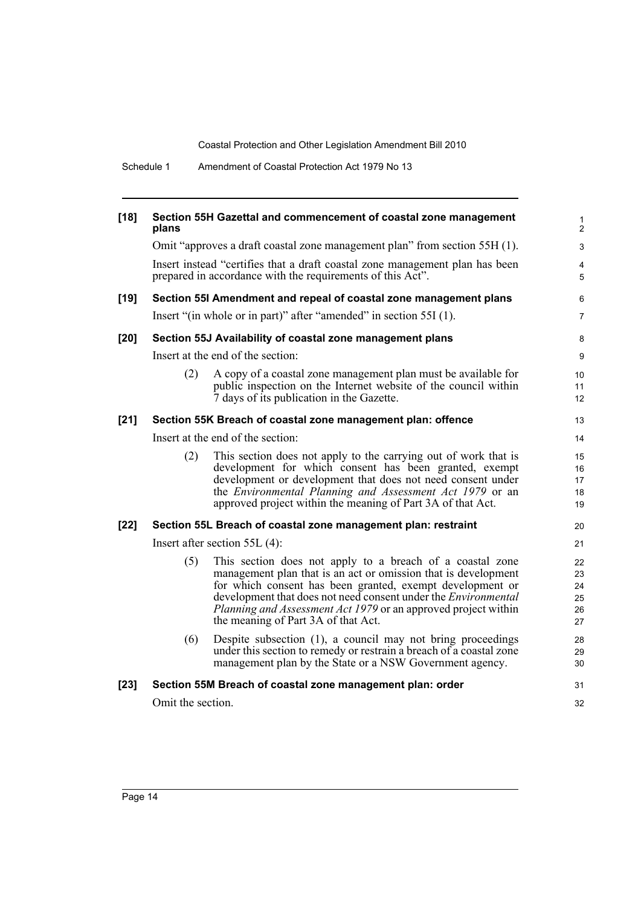Schedule 1 Amendment of Coastal Protection Act 1979 No 13

| $[18]$ | plans             | Section 55H Gazettal and commencement of coastal zone management                                                                                                                                                                                                                                                                                                                  | $\mathbf{1}$<br>2                |
|--------|-------------------|-----------------------------------------------------------------------------------------------------------------------------------------------------------------------------------------------------------------------------------------------------------------------------------------------------------------------------------------------------------------------------------|----------------------------------|
|        |                   | Omit "approves a draft coastal zone management plan" from section 55H (1).                                                                                                                                                                                                                                                                                                        | 3                                |
|        |                   | Insert instead "certifies that a draft coastal zone management plan has been<br>prepared in accordance with the requirements of this Act".                                                                                                                                                                                                                                        | 4<br>5                           |
| $[19]$ |                   | Section 55I Amendment and repeal of coastal zone management plans                                                                                                                                                                                                                                                                                                                 | 6                                |
|        |                   | Insert "(in whole or in part)" after "amended" in section 55I (1).                                                                                                                                                                                                                                                                                                                | $\overline{7}$                   |
| $[20]$ |                   | Section 55J Availability of coastal zone management plans                                                                                                                                                                                                                                                                                                                         | 8                                |
|        |                   | Insert at the end of the section:                                                                                                                                                                                                                                                                                                                                                 | $\boldsymbol{9}$                 |
|        | (2)               | A copy of a coastal zone management plan must be available for<br>public inspection on the Internet website of the council within<br>7 days of its publication in the Gazette.                                                                                                                                                                                                    | 10<br>11<br>12                   |
| $[21]$ |                   | Section 55K Breach of coastal zone management plan: offence                                                                                                                                                                                                                                                                                                                       | 13                               |
|        |                   | Insert at the end of the section:                                                                                                                                                                                                                                                                                                                                                 | 14                               |
|        | (2)               | This section does not apply to the carrying out of work that is<br>development for which consent has been granted, exempt<br>development or development that does not need consent under<br>the Environmental Planning and Assessment Act 1979 or an<br>approved project within the meaning of Part 3A of that Act.                                                               | 15<br>16<br>17<br>18<br>19       |
| $[22]$ |                   | Section 55L Breach of coastal zone management plan: restraint                                                                                                                                                                                                                                                                                                                     | 20                               |
|        |                   | Insert after section $55L(4)$ :                                                                                                                                                                                                                                                                                                                                                   | 21                               |
|        | (5)               | This section does not apply to a breach of a coastal zone<br>management plan that is an act or omission that is development<br>for which consent has been granted, exempt development or<br>development that does not need consent under the <i>Environmental</i><br><i>Planning and Assessment Act 1979</i> or an approved project within<br>the meaning of Part 3A of that Act. | 22<br>23<br>24<br>25<br>26<br>27 |
|        | (6)               | Despite subsection (1), a council may not bring proceedings<br>under this section to remedy or restrain a breach of a coastal zone<br>management plan by the State or a NSW Government agency.                                                                                                                                                                                    | 28<br>29<br>30                   |
| $[23]$ |                   | Section 55M Breach of coastal zone management plan: order                                                                                                                                                                                                                                                                                                                         | 31                               |
|        | Omit the section. |                                                                                                                                                                                                                                                                                                                                                                                   | 32                               |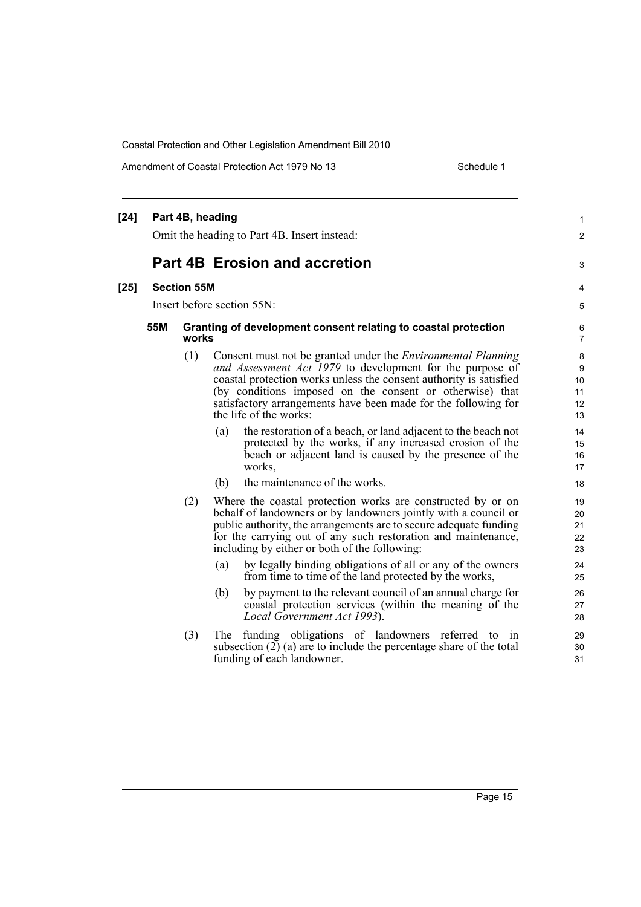Amendment of Coastal Protection Act 1979 No 13 Schedule 1

#### **[24] Part 4B, heading** Omit the heading to Part 4B. Insert instead: **Part 4B Erosion and accretion [25] Section 55M** Insert before section 55N: **55M Granting of development consent relating to coastal protection works** (1) Consent must not be granted under the *Environmental Planning and Assessment Act 1979* to development for the purpose of coastal protection works unless the consent authority is satisfied (by conditions imposed on the consent or otherwise) that satisfactory arrangements have been made for the following for the life of the works: (a) the restoration of a beach, or land adjacent to the beach not protected by the works, if any increased erosion of the beach or adjacent land is caused by the presence of the works, (b) the maintenance of the works. (2) Where the coastal protection works are constructed by or on behalf of landowners or by landowners jointly with a council or public authority, the arrangements are to secure adequate funding for the carrying out of any such restoration and maintenance, including by either or both of the following: (a) by legally binding obligations of all or any of the owners from time to time of the land protected by the works, (b) by payment to the relevant council of an annual charge for coastal protection services (within the meaning of the *Local Government Act 1993*). (3) The funding obligations of landowners referred to in subsection  $(2)$  (a) are to include the percentage share of the total funding of each landowner. 1 2 3 4 5 6 7 8 9 10 11 12 13 14 15 16 17 18 19 20 21 22 23 24 25 26 27 28 29 30 31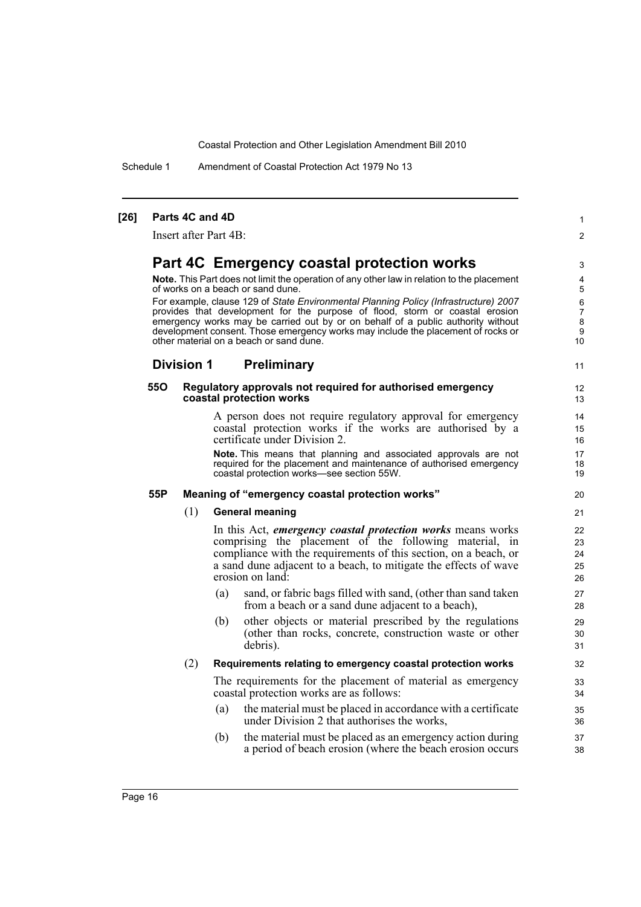Schedule 1 Amendment of Coastal Protection Act 1979 No 13

#### **[26] Parts 4C and 4D** Insert after Part 4B: **Part 4C Emergency coastal protection works Note.** This Part does not limit the operation of any other law in relation to the placement of works on a beach or sand dune. For example, clause 129 of *State Environmental Planning Policy (Infrastructure) 2007* provides that development for the purpose of flood, storm or coastal erosion emergency works may be carried out by or on behalf of a public authority without development consent. Those emergency works may include the placement of rocks or other material on a beach or sand dune. **Division 1 Preliminary 55O Regulatory approvals not required for authorised emergency coastal protection works** A person does not require regulatory approval for emergency coastal protection works if the works are authorised by a certificate under Division 2. **Note.** This means that planning and associated approvals are not required for the placement and maintenance of authorised emergency coastal protection works—see section 55W. **55P Meaning of "emergency coastal protection works"** (1) **General meaning** In this Act, *emergency coastal protection works* means works comprising the placement of the following material, in compliance with the requirements of this section, on a beach, or a sand dune adjacent to a beach, to mitigate the effects of wave erosion on land: (a) sand, or fabric bags filled with sand, (other than sand taken from a beach or a sand dune adjacent to a beach), (b) other objects or material prescribed by the regulations (other than rocks, concrete, construction waste or other debris). (2) **Requirements relating to emergency coastal protection works** The requirements for the placement of material as emergency coastal protection works are as follows: (a) the material must be placed in accordance with a certificate under Division 2 that authorises the works, (b) the material must be placed as an emergency action during a period of beach erosion (where the beach erosion occurs 1  $\mathfrak{p}$ 3 4 5 6 7 8  $\Omega$ 10 11 12 13 14 15 16 17 18 19 20 21  $22$ 23 24 25 26 27 28 29 30 31 32 33 34 35 36 37 38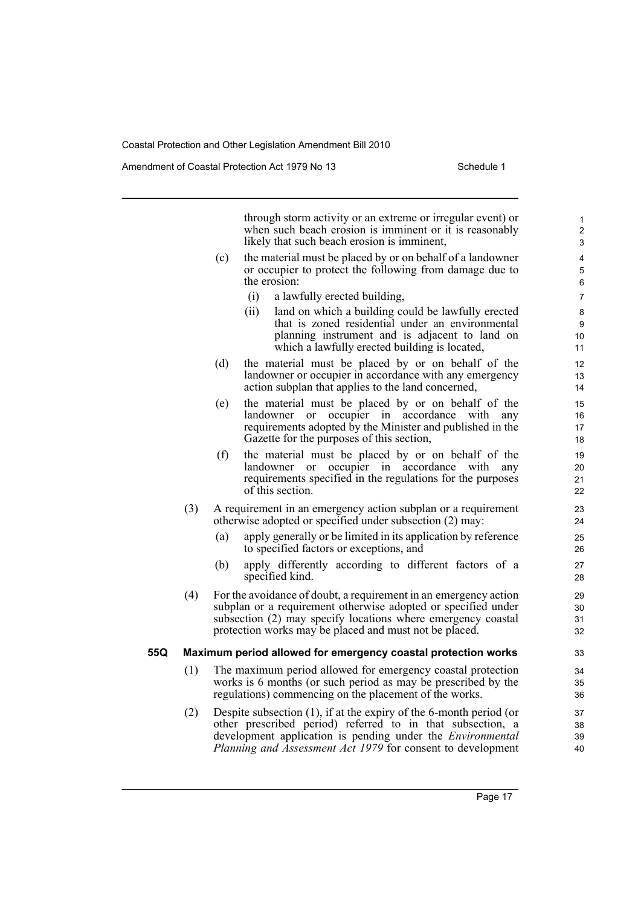Amendment of Coastal Protection Act 1979 No 13 Schedule 1

through storm activity or an extreme or irregular event) or when such beach erosion is imminent or it is reasonably likely that such beach erosion is imminent,

- (c) the material must be placed by or on behalf of a landowner or occupier to protect the following from damage due to the erosion:
	- (i) a lawfully erected building,
	- (ii) land on which a building could be lawfully erected that is zoned residential under an environmental planning instrument and is adjacent to land on which a lawfully erected building is located,
- (d) the material must be placed by or on behalf of the landowner or occupier in accordance with any emergency action subplan that applies to the land concerned,
- (e) the material must be placed by or on behalf of the landowner or occupier in accordance with any requirements adopted by the Minister and published in the Gazette for the purposes of this section,
- (f) the material must be placed by or on behalf of the landowner or occupier in accordance with any requirements specified in the regulations for the purposes of this section.
- (3) A requirement in an emergency action subplan or a requirement otherwise adopted or specified under subsection (2) may:
	- (a) apply generally or be limited in its application by reference to specified factors or exceptions, and
	- (b) apply differently according to different factors of a specified kind.
- (4) For the avoidance of doubt, a requirement in an emergency action subplan or a requirement otherwise adopted or specified under subsection (2) may specify locations where emergency coastal protection works may be placed and must not be placed.

#### **55Q Maximum period allowed for emergency coastal protection works**

- (1) The maximum period allowed for emergency coastal protection works is 6 months (or such period as may be prescribed by the regulations) commencing on the placement of the works.
- (2) Despite subsection (1), if at the expiry of the 6-month period (or other prescribed period) referred to in that subsection, a development application is pending under the *Environmental Planning and Assessment Act 1979* for consent to development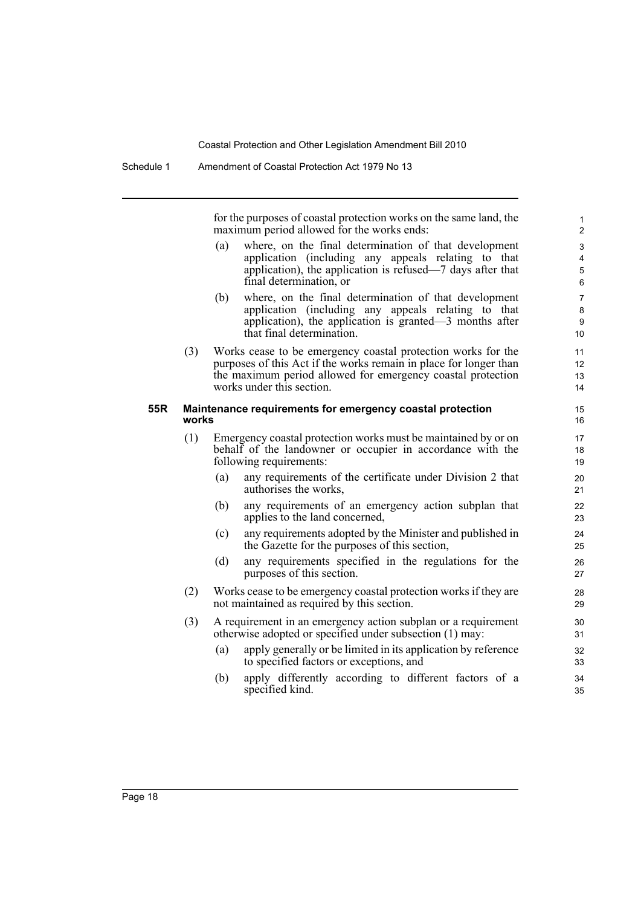for the purposes of coastal protection works on the same land, the maximum period allowed for the works ends:

- (a) where, on the final determination of that development application (including any appeals relating to that application), the application is refused—7 days after that final determination, or
- (b) where, on the final determination of that development application (including any appeals relating to that application), the application is granted—3 months after that final determination.
- (3) Works cease to be emergency coastal protection works for the purposes of this Act if the works remain in place for longer than the maximum period allowed for emergency coastal protection works under this section.

#### **55R Maintenance requirements for emergency coastal protection works**

- (1) Emergency coastal protection works must be maintained by or on behalf of the landowner or occupier in accordance with the following requirements:
	- (a) any requirements of the certificate under Division 2 that authorises the works,
	- (b) any requirements of an emergency action subplan that applies to the land concerned,
	- (c) any requirements adopted by the Minister and published in the Gazette for the purposes of this section,
	- (d) any requirements specified in the regulations for the purposes of this section.
- (2) Works cease to be emergency coastal protection works if they are not maintained as required by this section.
- (3) A requirement in an emergency action subplan or a requirement otherwise adopted or specified under subsection (1) may:
	- (a) apply generally or be limited in its application by reference to specified factors or exceptions, and
	- (b) apply differently according to different factors of a specified kind.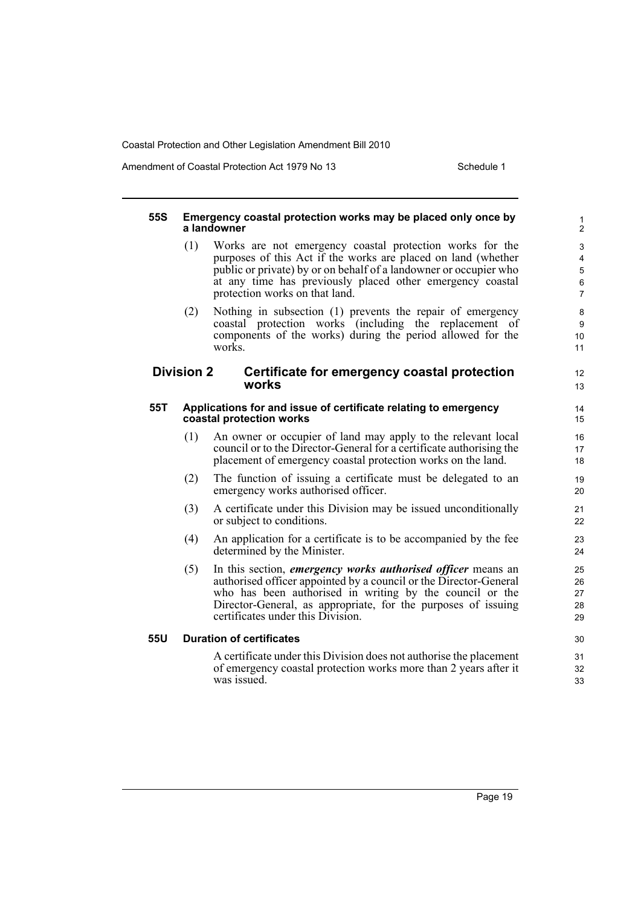Amendment of Coastal Protection Act 1979 No 13 Schedule 1

12 13

### **55S Emergency coastal protection works may be placed only once by a landowner**

- (1) Works are not emergency coastal protection works for the purposes of this Act if the works are placed on land (whether public or private) by or on behalf of a landowner or occupier who at any time has previously placed other emergency coastal protection works on that land.
- (2) Nothing in subsection (1) prevents the repair of emergency coastal protection works (including the replacement of components of the works) during the period allowed for the works.

### **Division 2 Certificate for emergency coastal protection works**

#### **55T Applications for and issue of certificate relating to emergency coastal protection works**

- (1) An owner or occupier of land may apply to the relevant local council or to the Director-General for a certificate authorising the placement of emergency coastal protection works on the land.
- (2) The function of issuing a certificate must be delegated to an emergency works authorised officer.
- (3) A certificate under this Division may be issued unconditionally or subject to conditions.
- (4) An application for a certificate is to be accompanied by the fee determined by the Minister.
- (5) In this section, *emergency works authorised officer* means an authorised officer appointed by a council or the Director-General who has been authorised in writing by the council or the Director-General, as appropriate, for the purposes of issuing certificates under this Division.

### **55U Duration of certificates**

A certificate under this Division does not authorise the placement of emergency coastal protection works more than 2 years after it was issued.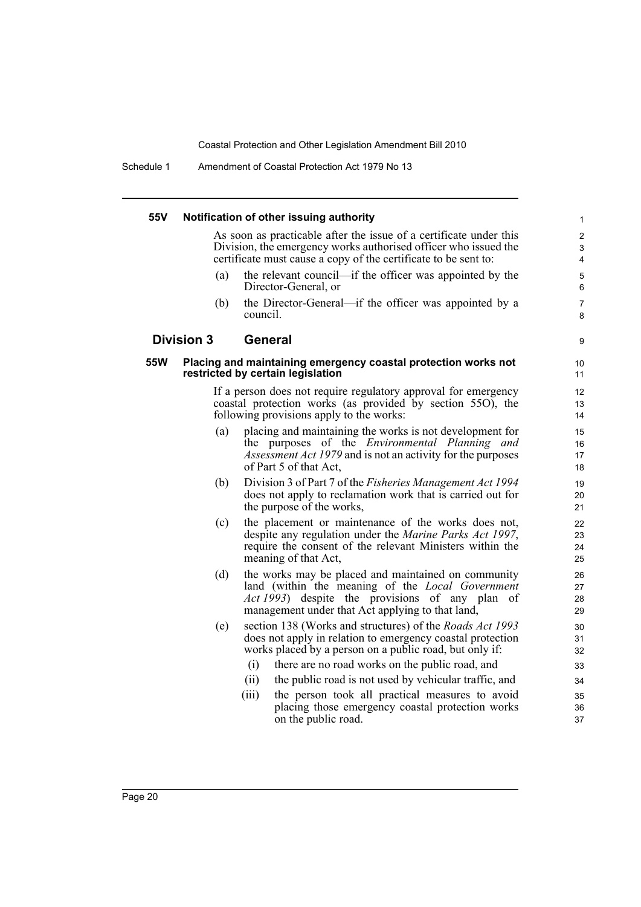Schedule 1 Amendment of Coastal Protection Act 1979 No 13

| 55V        |                   | Notification of other issuing authority                                                                                                                                                                                | $\mathbf{1}$                  |
|------------|-------------------|------------------------------------------------------------------------------------------------------------------------------------------------------------------------------------------------------------------------|-------------------------------|
|            |                   | As soon as practicable after the issue of a certificate under this<br>Division, the emergency works authorised officer who issued the<br>certificate must cause a copy of the certificate to be sent to:               | $\overline{2}$<br>3<br>4      |
|            | (a)               | the relevant council—if the officer was appointed by the<br>Director-General, or                                                                                                                                       | $\mathbf 5$<br>6              |
|            | (b)               | the Director-General—if the officer was appointed by a<br>council.                                                                                                                                                     | 7<br>8                        |
|            | <b>Division 3</b> | General                                                                                                                                                                                                                | 9                             |
| <b>55W</b> |                   | Placing and maintaining emergency coastal protection works not<br>restricted by certain legislation                                                                                                                    | 10<br>11                      |
|            |                   | If a person does not require regulatory approval for emergency<br>coastal protection works (as provided by section 55O), the<br>following provisions apply to the works:                                               | $12 \overline{ }$<br>13<br>14 |
|            | (a)               | placing and maintaining the works is not development for<br>the purposes of the Environmental Planning and<br><i>Assessment Act 1979</i> and is not an activity for the purposes<br>of Part 5 of that Act,             | 15<br>16<br>17<br>18          |
|            | (b)               | Division 3 of Part 7 of the <i>Fisheries Management Act 1994</i><br>does not apply to reclamation work that is carried out for<br>the purpose of the works,                                                            | 19<br>20<br>21                |
|            | (c)               | the placement or maintenance of the works does not,<br>despite any regulation under the <i>Marine Parks Act 1997</i> ,<br>require the consent of the relevant Ministers within the<br>meaning of that Act,             | 22<br>23<br>24<br>25          |
|            | (d)               | the works may be placed and maintained on community<br>land (within the meaning of the Local Government<br><i>Act 1993</i> ) despite the provisions of any plan of<br>management under that Act applying to that land, | 26<br>27<br>28<br>29          |
|            | (e)               | section 138 (Works and structures) of the <i>Roads Act 1993</i><br>does not apply in relation to emergency coastal protection<br>works placed by a person on a public road, but only if:                               | 30<br>31<br>32                |
|            |                   | there are no road works on the public road, and<br>(i)                                                                                                                                                                 | 33                            |
|            |                   | (ii)<br>the public road is not used by vehicular traffic, and                                                                                                                                                          | 34                            |
|            |                   | the person took all practical measures to avoid<br>(iii)<br>placing those emergency coastal protection works<br>on the public road.                                                                                    | 35<br>36<br>37                |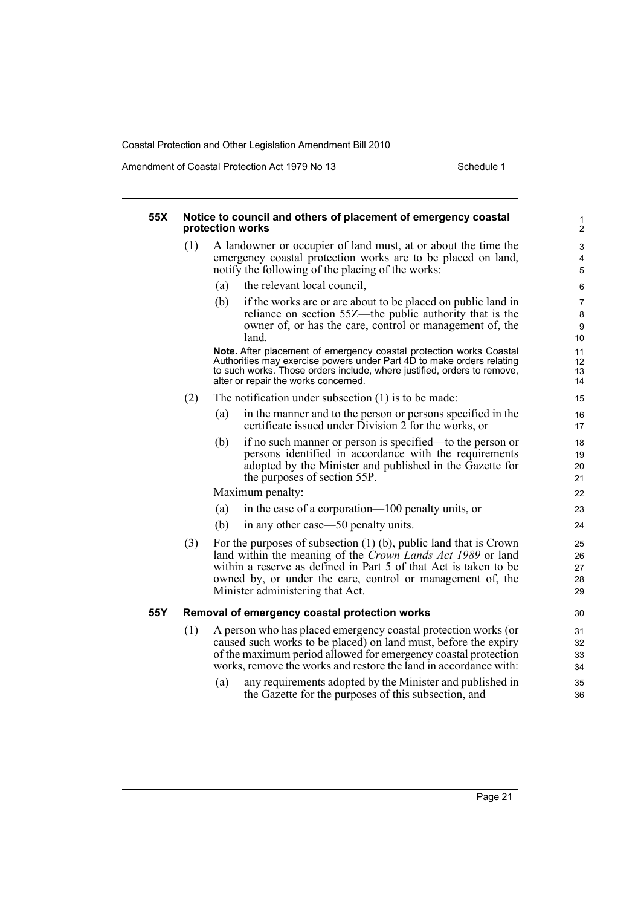Amendment of Coastal Protection Act 1979 No 13 Schedule 1

#### **55X Notice to council and others of placement of emergency coastal protection works** (1) A landowner or occupier of land must, at or about the time the emergency coastal protection works are to be placed on land, notify the following of the placing of the works: (a) the relevant local council, (b) if the works are or are about to be placed on public land in reliance on section 55Z—the public authority that is the owner of, or has the care, control or management of, the land. **Note.** After placement of emergency coastal protection works Coastal Authorities may exercise powers under Part 4D to make orders relating to such works. Those orders include, where justified, orders to remove, alter or repair the works concerned. (2) The notification under subsection (1) is to be made: (a) in the manner and to the person or persons specified in the certificate issued under Division 2 for the works, or (b) if no such manner or person is specified—to the person or persons identified in accordance with the requirements adopted by the Minister and published in the Gazette for the purposes of section 55P. Maximum penalty: (a) in the case of a corporation—100 penalty units, or (b) in any other case—50 penalty units. (3) For the purposes of subsection (1) (b), public land that is Crown land within the meaning of the *Crown Lands Act 1989* or land within a reserve as defined in Part 5 of that Act is taken to be owned by, or under the care, control or management of, the Minister administering that Act. **55Y Removal of emergency coastal protection works** (1) A person who has placed emergency coastal protection works (or caused such works to be placed) on land must, before the expiry of the maximum period allowed for emergency coastal protection works, remove the works and restore the land in accordance with: (a) any requirements adopted by the Minister and published in the Gazette for the purposes of this subsection, and 1 2 3 4 5 6 7 8 9 10 11 12 13 14 15 16 17 18 19  $20$ 21 22 23 24 25 26 27 28 29 30 31 32 33 34 35 36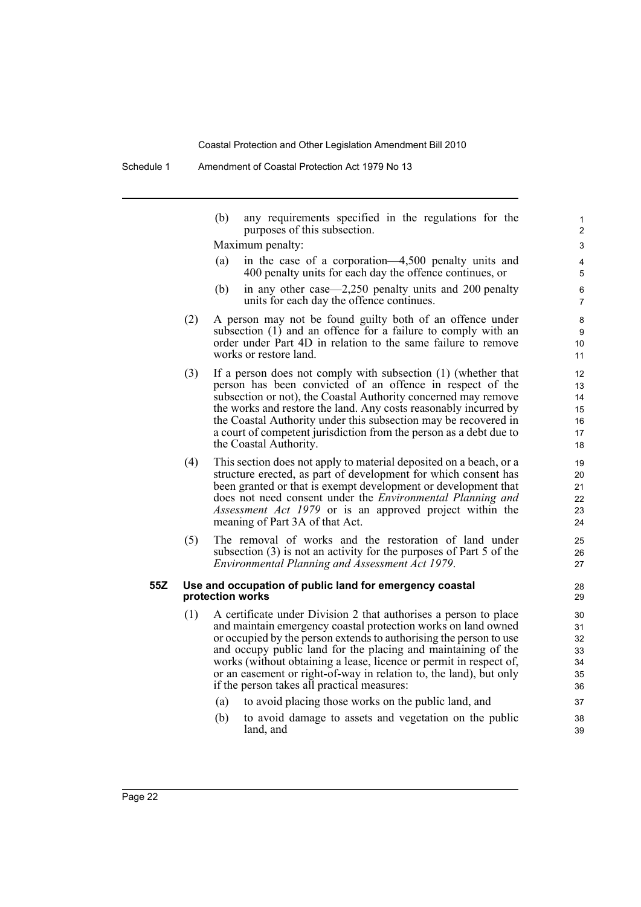(b) any requirements specified in the regulations for the purposes of this subsection.

Maximum penalty:

- (a) in the case of a corporation—4,500 penalty units and 400 penalty units for each day the offence continues, or
- (b) in any other case—2,250 penalty units and 200 penalty units for each day the offence continues.
- (2) A person may not be found guilty both of an offence under subsection (1) and an offence for a failure to comply with an order under Part 4D in relation to the same failure to remove works or restore land.
- (3) If a person does not comply with subsection (1) (whether that person has been convicted of an offence in respect of the subsection or not), the Coastal Authority concerned may remove the works and restore the land. Any costs reasonably incurred by the Coastal Authority under this subsection may be recovered in a court of competent jurisdiction from the person as a debt due to the Coastal Authority.
- (4) This section does not apply to material deposited on a beach, or a structure erected, as part of development for which consent has been granted or that is exempt development or development that does not need consent under the *Environmental Planning and Assessment Act 1979* or is an approved project within the meaning of Part 3A of that Act.
- (5) The removal of works and the restoration of land under subsection (3) is not an activity for the purposes of Part 5 of the *Environmental Planning and Assessment Act 1979*.

#### **55Z Use and occupation of public land for emergency coastal protection works**

- (1) A certificate under Division 2 that authorises a person to place and maintain emergency coastal protection works on land owned or occupied by the person extends to authorising the person to use and occupy public land for the placing and maintaining of the works (without obtaining a lease, licence or permit in respect of, or an easement or right-of-way in relation to, the land), but only if the person takes all practical measures:
	- (a) to avoid placing those works on the public land, and
	- (b) to avoid damage to assets and vegetation on the public land, and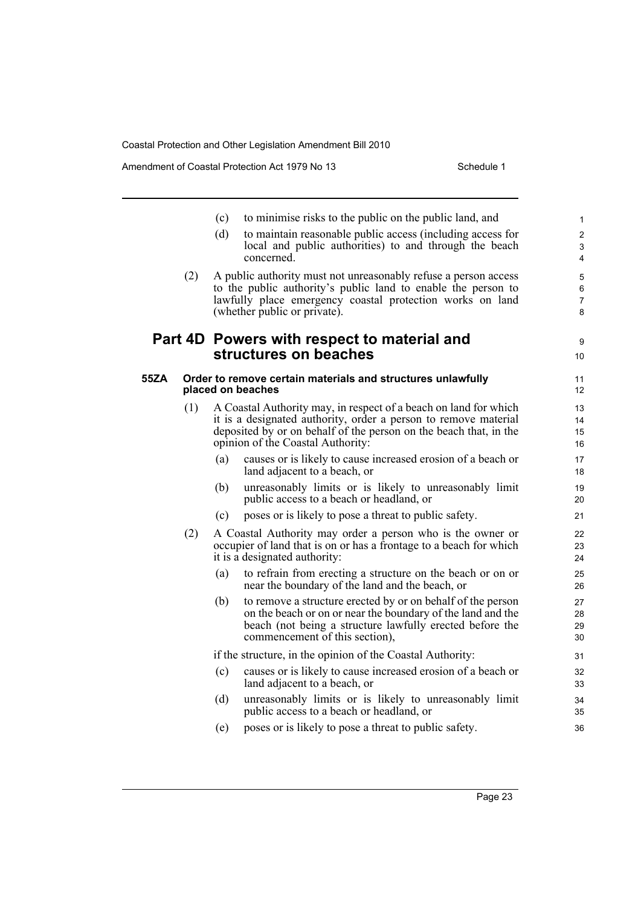Amendment of Coastal Protection Act 1979 No 13 Schedule 1

|      |     | (c)<br>(d) | to minimise risks to the public on the public land, and<br>to maintain reasonable public access (including access for                                                                                                                         | $\mathbf{1}$<br>$\overline{2}$ |
|------|-----|------------|-----------------------------------------------------------------------------------------------------------------------------------------------------------------------------------------------------------------------------------------------|--------------------------------|
|      |     |            | local and public authorities) to and through the beach<br>concerned.                                                                                                                                                                          | $\mathfrak{S}$<br>4            |
|      | (2) |            | A public authority must not unreasonably refuse a person access<br>to the public authority's public land to enable the person to<br>lawfully place emergency coastal protection works on land<br>(whether public or private).                 | 5<br>6<br>$\overline{7}$<br>8  |
|      |     |            | Part 4D Powers with respect to material and<br>structures on beaches                                                                                                                                                                          | 9<br>10                        |
| 55ZA |     |            | Order to remove certain materials and structures unlawfully<br>placed on beaches                                                                                                                                                              | 11<br>12                       |
|      | (1) |            | A Coastal Authority may, in respect of a beach on land for which<br>it is a designated authority, order a person to remove material<br>deposited by or on behalf of the person on the beach that, in the<br>opinion of the Coastal Authority: | 13<br>14<br>15<br>16           |
|      |     | (a)        | causes or is likely to cause increased erosion of a beach or<br>land adjacent to a beach, or                                                                                                                                                  | 17<br>18                       |
|      |     | (b)        | unreasonably limits or is likely to unreasonably limit<br>public access to a beach or headland, or                                                                                                                                            | 19<br>20                       |
|      |     | (c)        | poses or is likely to pose a threat to public safety.                                                                                                                                                                                         | 21                             |
|      | (2) |            | A Coastal Authority may order a person who is the owner or<br>occupier of land that is on or has a frontage to a beach for which<br>it is a designated authority:                                                                             | 22<br>23<br>24                 |
|      |     | (a)        | to refrain from erecting a structure on the beach or on or<br>near the boundary of the land and the beach, or                                                                                                                                 | 25<br>26                       |
|      |     | (b)        | to remove a structure erected by or on behalf of the person<br>on the beach or on or near the boundary of the land and the<br>beach (not being a structure lawfully erected before the<br>commencement of this section).                      | 27<br>28<br>29<br>30           |
|      |     |            | if the structure, in the opinion of the Coastal Authority:                                                                                                                                                                                    | 31                             |
|      |     | (c)        | causes or is likely to cause increased erosion of a beach or<br>land adjacent to a beach, or                                                                                                                                                  | 32<br>33                       |
|      |     | (d)        | unreasonably limits or is likely to unreasonably limit<br>public access to a beach or headland, or                                                                                                                                            | 34<br>35                       |
|      |     | (e)        | poses or is likely to pose a threat to public safety.                                                                                                                                                                                         | 36                             |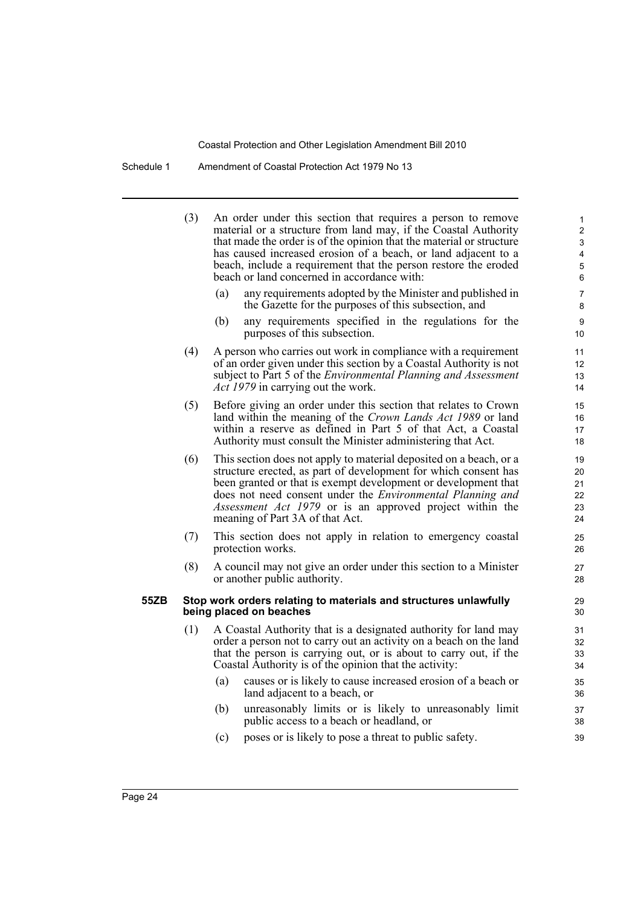Schedule 1 Amendment of Coastal Protection Act 1979 No 13

(3) An order under this section that requires a person to remove material or a structure from land may, if the Coastal Authority that made the order is of the opinion that the material or structure has caused increased erosion of a beach, or land adjacent to a beach, include a requirement that the person restore the eroded beach or land concerned in accordance with: (a) any requirements adopted by the Minister and published in the Gazette for the purposes of this subsection, and (b) any requirements specified in the regulations for the purposes of this subsection. (4) A person who carries out work in compliance with a requirement of an order given under this section by a Coastal Authority is not subject to Part 5 of the *Environmental Planning and Assessment Act 1979* in carrying out the work. (5) Before giving an order under this section that relates to Crown land within the meaning of the *Crown Lands Act 1989* or land within a reserve as defined in Part 5 of that Act, a Coastal Authority must consult the Minister administering that Act. (6) This section does not apply to material deposited on a beach, or a structure erected, as part of development for which consent has been granted or that is exempt development or development that does not need consent under the *Environmental Planning and Assessment Act 1979* or is an approved project within the meaning of Part 3A of that Act. (7) This section does not apply in relation to emergency coastal protection works. (8) A council may not give an order under this section to a Minister or another public authority. **55ZB Stop work orders relating to materials and structures unlawfully being placed on beaches** (1) A Coastal Authority that is a designated authority for land may order a person not to carry out an activity on a beach on the land that the person is carrying out, or is about to carry out, if the Coastal Authority is of the opinion that the activity: (a) causes or is likely to cause increased erosion of a beach or land adjacent to a beach, or (b) unreasonably limits or is likely to unreasonably limit public access to a beach or headland, or (c) poses or is likely to pose a threat to public safety. 1 2 3 4 5 6 7 8  $\alpha$ 10 11 12 13 14 15 16 17 18 19 20 21 22 23 24 25 26 27 28 29  $30$ 31 32 33 34 35 36 37 38 39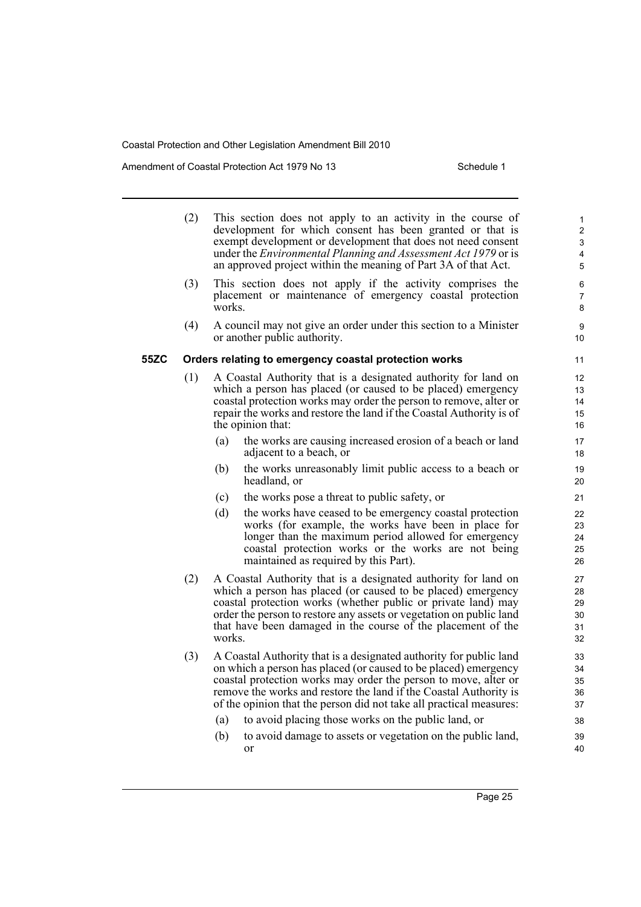Amendment of Coastal Protection Act 1979 No 13 Schedule 1

|      | (2) |        | This section does not apply to an activity in the course of<br>development for which consent has been granted or that is<br>exempt development or development that does not need consent<br>under the <i>Environmental Planning and Assessment Act 1979</i> or is<br>an approved project within the meaning of Part 3A of that Act.                  | 1<br>$\overline{\mathbf{c}}$<br>3<br>4<br>5 |
|------|-----|--------|------------------------------------------------------------------------------------------------------------------------------------------------------------------------------------------------------------------------------------------------------------------------------------------------------------------------------------------------------|---------------------------------------------|
|      | (3) | works. | This section does not apply if the activity comprises the<br>placement or maintenance of emergency coastal protection                                                                                                                                                                                                                                | 6<br>7<br>8                                 |
|      | (4) |        | A council may not give an order under this section to a Minister<br>or another public authority.                                                                                                                                                                                                                                                     | 9<br>10                                     |
| 55ZC |     |        | Orders relating to emergency coastal protection works                                                                                                                                                                                                                                                                                                | 11                                          |
|      | (1) |        | A Coastal Authority that is a designated authority for land on<br>which a person has placed (or caused to be placed) emergency<br>coastal protection works may order the person to remove, alter or<br>repair the works and restore the land if the Coastal Authority is of<br>the opinion that:                                                     | 12<br>13<br>14<br>15<br>16                  |
|      |     | (a)    | the works are causing increased erosion of a beach or land<br>adjacent to a beach, or                                                                                                                                                                                                                                                                | 17<br>18                                    |
|      |     | (b)    | the works unreasonably limit public access to a beach or<br>headland, or                                                                                                                                                                                                                                                                             | 19<br>20                                    |
|      |     | (c)    | the works pose a threat to public safety, or                                                                                                                                                                                                                                                                                                         | 21                                          |
|      |     | (d)    | the works have ceased to be emergency coastal protection<br>works (for example, the works have been in place for<br>longer than the maximum period allowed for emergency<br>coastal protection works or the works are not being<br>maintained as required by this Part).                                                                             | 22<br>23<br>24<br>25<br>26                  |
|      | (2) | works. | A Coastal Authority that is a designated authority for land on<br>which a person has placed (or caused to be placed) emergency<br>coastal protection works (whether public or private land) may<br>order the person to restore any assets or vegetation on public land<br>that have been damaged in the course of the placement of the               | 27<br>28<br>29<br>30<br>31<br>32            |
|      | (3) |        | A Coastal Authority that is a designated authority for public land<br>on which a person has placed (or caused to be placed) emergency<br>coastal protection works may order the person to move, alter or<br>remove the works and restore the land if the Coastal Authority is<br>of the opinion that the person did not take all practical measures: | 33<br>34<br>35<br>36<br>37                  |
|      |     | (a)    | to avoid placing those works on the public land, or                                                                                                                                                                                                                                                                                                  | 38                                          |
|      |     | (b)    | to avoid damage to assets or vegetation on the public land,<br><sub>or</sub>                                                                                                                                                                                                                                                                         | 39<br>40                                    |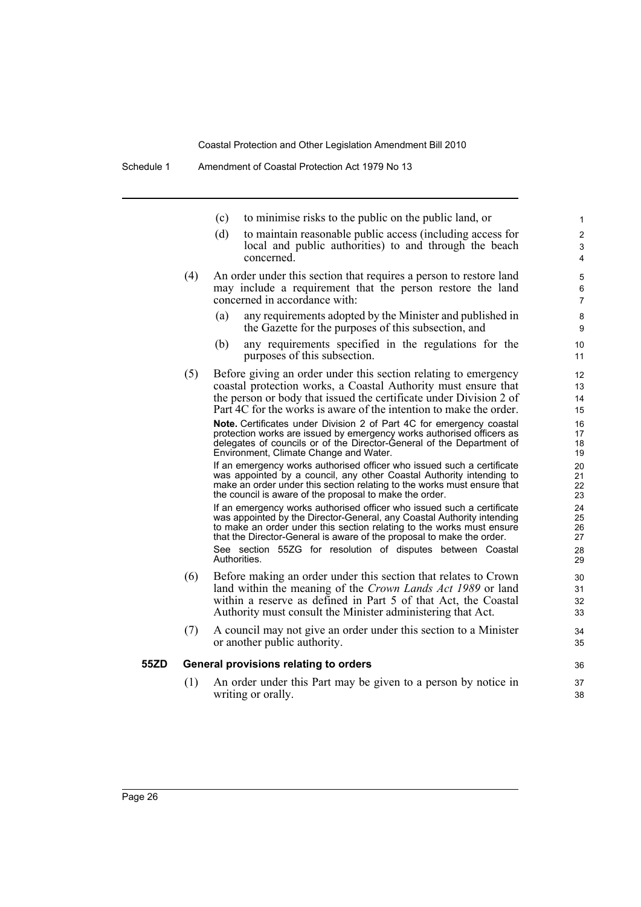|     | to minimise risks to the public on the public land, or<br>(c)                                                                                                                            | 1                   |
|-----|------------------------------------------------------------------------------------------------------------------------------------------------------------------------------------------|---------------------|
|     | (d)<br>to maintain reasonable public access (including access for                                                                                                                        | $\overline{c}$      |
|     | local and public authorities) to and through the beach<br>concerned.                                                                                                                     | 3<br>$\overline{4}$ |
| (4) | An order under this section that requires a person to restore land                                                                                                                       | 5                   |
|     | may include a requirement that the person restore the land<br>concerned in accordance with:                                                                                              | 6<br>$\overline{7}$ |
|     | any requirements adopted by the Minister and published in<br>(a)<br>the Gazette for the purposes of this subsection, and                                                                 | 8<br>9              |
|     | any requirements specified in the regulations for the<br>(b)<br>purposes of this subsection.                                                                                             | 10<br>11            |
| (5) | Before giving an order under this section relating to emergency                                                                                                                          | 12                  |
|     | coastal protection works, a Coastal Authority must ensure that<br>the person or body that issued the certificate under Division 2 of                                                     | 13<br>14            |
|     | Part 4C for the works is aware of the intention to make the order.                                                                                                                       | 15                  |
|     | Note. Certificates under Division 2 of Part 4C for emergency coastal                                                                                                                     | 16                  |
|     | protection works are issued by emergency works authorised officers as<br>delegates of councils or of the Director-General of the Department of<br>Environment, Climate Change and Water. | 17<br>18<br>19      |
|     | If an emergency works authorised officer who issued such a certificate<br>was appointed by a council, any other Coastal Authority intending to                                           | 20<br>21            |
|     | make an order under this section relating to the works must ensure that<br>the council is aware of the proposal to make the order.                                                       | 22<br>23            |
|     | If an emergency works authorised officer who issued such a certificate                                                                                                                   | 24                  |
|     | was appointed by the Director-General, any Coastal Authority intending<br>to make an order under this section relating to the works must ensure                                          | 25<br>26            |
|     | that the Director-General is aware of the proposal to make the order.                                                                                                                    | 27                  |
|     | See section 55ZG for resolution of disputes between Coastal<br>Authorities.                                                                                                              | 28<br>29            |
| (6) | Before making an order under this section that relates to Crown                                                                                                                          | 30                  |
|     | land within the meaning of the Crown Lands Act 1989 or land<br>within a reserve as defined in Part 5 of that Act, the Coastal                                                            | 31<br>32            |
|     | Authority must consult the Minister administering that Act.                                                                                                                              | 33                  |
| (7) | A council may not give an order under this section to a Minister<br>or another public authority.                                                                                         | 34<br>35            |
|     | General provisions relating to orders                                                                                                                                                    | 36                  |
| (1) | An order under this Part may be given to a person by notice in                                                                                                                           | 37                  |
|     | writing or orally.                                                                                                                                                                       | 38                  |

**55ZD General provisions relating to orders**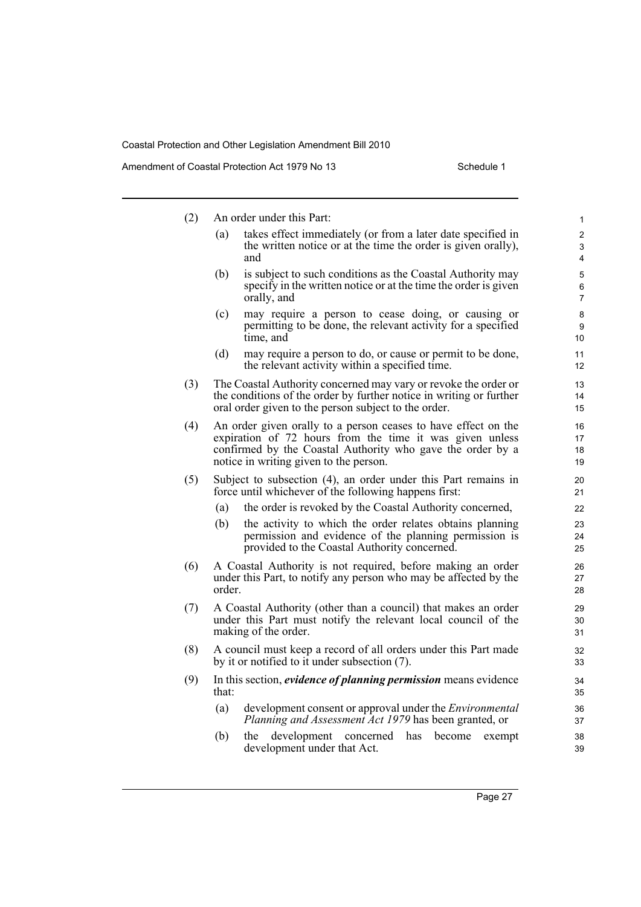Amendment of Coastal Protection Act 1979 No 13 Schedule 1

| (2) |        | An order under this Part:                                                                                                                                                                                                          | $\mathbf{1}$             |
|-----|--------|------------------------------------------------------------------------------------------------------------------------------------------------------------------------------------------------------------------------------------|--------------------------|
|     | (a)    | takes effect immediately (or from a later date specified in<br>the written notice or at the time the order is given orally),<br>and                                                                                                | 2<br>3<br>4              |
|     | (b)    | is subject to such conditions as the Coastal Authority may<br>specify in the written notice or at the time the order is given<br>orally, and                                                                                       | 5<br>6<br>$\overline{7}$ |
|     | (c)    | may require a person to cease doing, or causing or<br>permitting to be done, the relevant activity for a specified<br>time, and                                                                                                    | 8<br>9<br>10             |
|     | (d)    | may require a person to do, or cause or permit to be done,<br>the relevant activity within a specified time.                                                                                                                       | 11<br>12                 |
| (3) |        | The Coastal Authority concerned may vary or revoke the order or<br>the conditions of the order by further notice in writing or further<br>oral order given to the person subject to the order.                                     | 13<br>14<br>15           |
| (4) |        | An order given orally to a person ceases to have effect on the<br>expiration of 72 hours from the time it was given unless<br>confirmed by the Coastal Authority who gave the order by a<br>notice in writing given to the person. | 16<br>17<br>18<br>19     |
| (5) |        | Subject to subsection (4), an order under this Part remains in<br>force until whichever of the following happens first:                                                                                                            | 20<br>21                 |
|     | (a)    | the order is revoked by the Coastal Authority concerned,                                                                                                                                                                           | 22                       |
|     | (b)    | the activity to which the order relates obtains planning<br>permission and evidence of the planning permission is<br>provided to the Coastal Authority concerned.                                                                  | 23<br>24<br>25           |
| (6) | order. | A Coastal Authority is not required, before making an order<br>under this Part, to notify any person who may be affected by the                                                                                                    | 26<br>27<br>28           |
| (7) |        | A Coastal Authority (other than a council) that makes an order<br>under this Part must notify the relevant local council of the<br>making of the order.                                                                            | 29<br>30<br>31           |
| (8) |        | A council must keep a record of all orders under this Part made<br>by it or notified to it under subsection (7).                                                                                                                   | 32<br>33                 |
| (9) | that:  | In this section, <i>evidence of planning permission</i> means evidence                                                                                                                                                             | 34<br>35                 |
|     | (a)    | development consent or approval under the <i>Environmental</i><br>Planning and Assessment Act 1979 has been granted, or                                                                                                            | 36<br>37                 |
|     | (b)    | the<br>development<br>concerned<br>has<br>become<br>exempt<br>development under that Act.                                                                                                                                          | 38<br>39                 |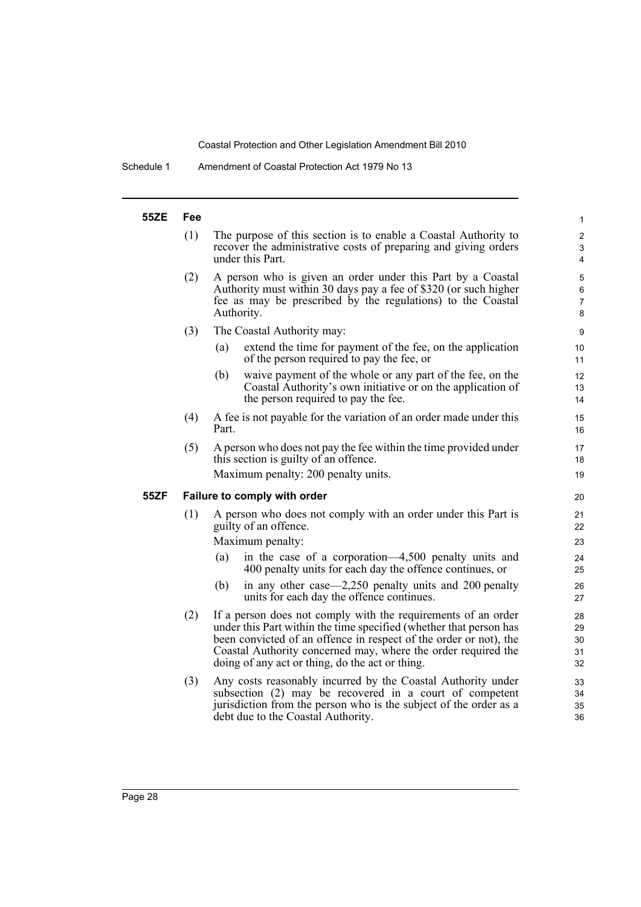Schedule 1 Amendment of Coastal Protection Act 1979 No 13

#### **55ZE Fee** (1) The purpose of this section is to enable a Coastal Authority to recover the administrative costs of preparing and giving orders under this Part. (2) A person who is given an order under this Part by a Coastal Authority must within 30 days pay a fee of \$320 (or such higher fee as may be prescribed by the regulations) to the Coastal Authority. (3) The Coastal Authority may: (a) extend the time for payment of the fee, on the application of the person required to pay the fee, or (b) waive payment of the whole or any part of the fee, on the Coastal Authority's own initiative or on the application of the person required to pay the fee. (4) A fee is not payable for the variation of an order made under this Part. (5) A person who does not pay the fee within the time provided under this section is guilty of an offence. Maximum penalty: 200 penalty units. **55ZF Failure to comply with order** (1) A person who does not comply with an order under this Part is guilty of an offence. Maximum penalty: (a) in the case of a corporation—4,500 penalty units and 400 penalty units for each day the offence continues, or (b) in any other case—2,250 penalty units and 200 penalty units for each day the offence continues. (2) If a person does not comply with the requirements of an order under this Part within the time specified (whether that person has been convicted of an offence in respect of the order or not), the Coastal Authority concerned may, where the order required the doing of any act or thing, do the act or thing. (3) Any costs reasonably incurred by the Coastal Authority under subsection (2) may be recovered in a court of competent jurisdiction from the person who is the subject of the order as a debt due to the Coastal Authority. 1 2 3 4 5 6 7 8 9 10 11 12 13 14 15 16 17 18 19 20 21 22 23 24 25 26 27 28 29 30 31 32 33  $34$ 35 36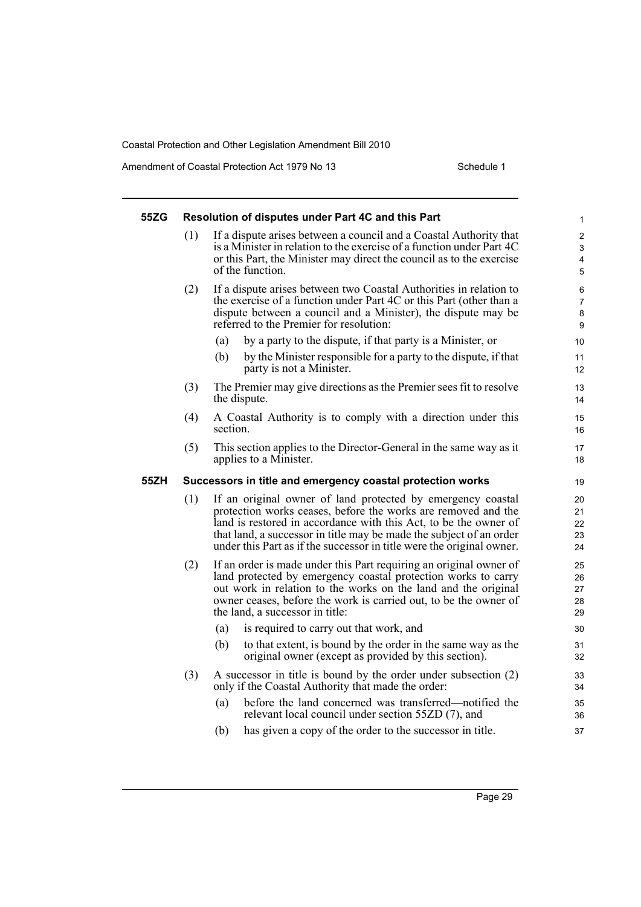Amendment of Coastal Protection Act 1979 No 13 Schedule 1

| 55ZG |     | Resolution of disputes under Part 4C and this Part                                                                                                                                                                                                                                                                                               | 1                                                   |
|------|-----|--------------------------------------------------------------------------------------------------------------------------------------------------------------------------------------------------------------------------------------------------------------------------------------------------------------------------------------------------|-----------------------------------------------------|
|      | (1) | If a dispute arises between a council and a Coastal Authority that<br>is a Minister in relation to the exercise of a function under Part 4C<br>or this Part, the Minister may direct the council as to the exercise<br>of the function.                                                                                                          | $\overline{c}$<br>3<br>$\overline{\mathbf{4}}$<br>5 |
|      | (2) | If a dispute arises between two Coastal Authorities in relation to<br>the exercise of a function under Part 4C or this Part (other than a<br>dispute between a council and a Minister), the dispute may be<br>referred to the Premier for resolution:                                                                                            | 6<br>$\overline{7}$<br>8<br>9                       |
|      |     | by a party to the dispute, if that party is a Minister, or<br>(a)                                                                                                                                                                                                                                                                                | 10                                                  |
|      |     | by the Minister responsible for a party to the dispute, if that<br>(b)<br>party is not a Minister.                                                                                                                                                                                                                                               | 11<br>12                                            |
|      | (3) | The Premier may give directions as the Premier sees fit to resolve<br>the dispute.                                                                                                                                                                                                                                                               | 13<br>14                                            |
|      | (4) | A Coastal Authority is to comply with a direction under this<br>section.                                                                                                                                                                                                                                                                         | 15<br>16                                            |
|      | (5) | This section applies to the Director-General in the same way as it<br>applies to a Minister.                                                                                                                                                                                                                                                     | 17<br>18                                            |
| 55ZH |     | Successors in title and emergency coastal protection works                                                                                                                                                                                                                                                                                       | 19                                                  |
|      | (1) | If an original owner of land protected by emergency coastal<br>protection works ceases, before the works are removed and the<br>land is restored in accordance with this Act, to be the owner of<br>that land, a successor in title may be made the subject of an order<br>under this Part as if the successor in title were the original owner. | 20<br>21<br>22<br>23<br>24                          |
|      | (2) | If an order is made under this Part requiring an original owner of<br>land protected by emergency coastal protection works to carry<br>out work in relation to the works on the land and the original<br>owner ceases, before the work is carried out, to be the owner of<br>the land, a successor in title:                                     | 25<br>26<br>27<br>28<br>29                          |
|      |     | is required to carry out that work, and<br>(a)                                                                                                                                                                                                                                                                                                   | 30                                                  |
|      |     | to that extent, is bound by the order in the same way as the<br>(b)<br>original owner (except as provided by this section).                                                                                                                                                                                                                      | 31<br>32                                            |
|      | (3) | A successor in title is bound by the order under subsection (2)<br>only if the Coastal Authority that made the order:                                                                                                                                                                                                                            | 33<br>34                                            |
|      |     | before the land concerned was transferred—notified the<br>(a)<br>relevant local council under section 55ZD (7), and                                                                                                                                                                                                                              | 35<br>36                                            |
|      |     | has given a copy of the order to the successor in title.<br>(b)                                                                                                                                                                                                                                                                                  | 37                                                  |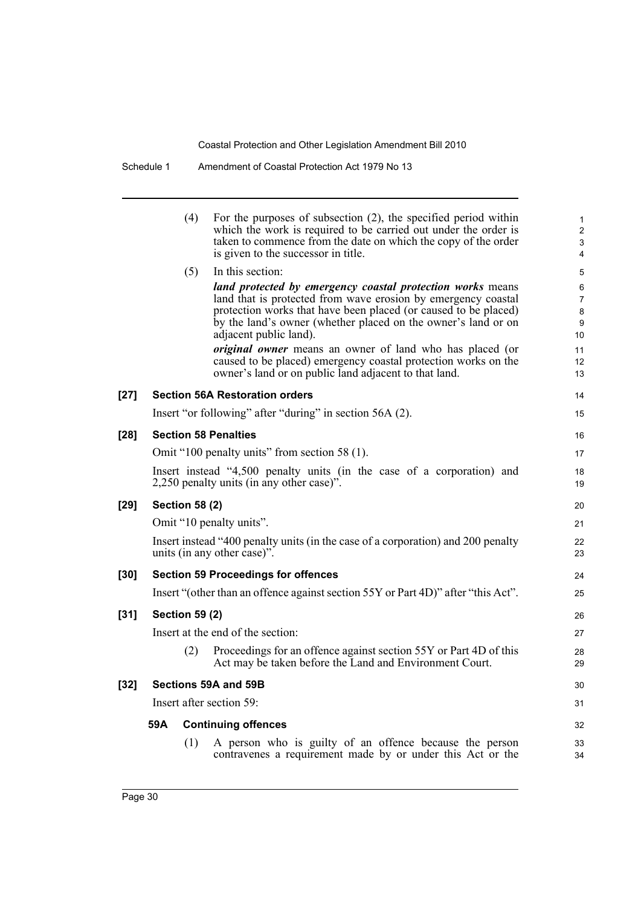Schedule 1 Amendment of Coastal Protection Act 1979 No 13

|        |     | (4)                   | For the purposes of subsection $(2)$ , the specified period within<br>which the work is required to be carried out under the order is                                                                                                                                                     | $\mathbf{1}$<br>$\overline{2}$      |
|--------|-----|-----------------------|-------------------------------------------------------------------------------------------------------------------------------------------------------------------------------------------------------------------------------------------------------------------------------------------|-------------------------------------|
|        |     |                       | taken to commence from the date on which the copy of the order<br>is given to the successor in title.                                                                                                                                                                                     | 3<br>4                              |
|        |     | (5)                   | In this section:                                                                                                                                                                                                                                                                          | 5                                   |
|        |     |                       | land protected by emergency coastal protection works means<br>land that is protected from wave erosion by emergency coastal<br>protection works that have been placed (or caused to be placed)<br>by the land's owner (whether placed on the owner's land or on<br>adjacent public land). | 6<br>$\overline{7}$<br>8<br>9<br>10 |
|        |     |                       | <i>original owner</i> means an owner of land who has placed (or<br>caused to be placed) emergency coastal protection works on the<br>owner's land or on public land adjacent to that land.                                                                                                | 11<br>12<br>13                      |
| $[27]$ |     |                       | <b>Section 56A Restoration orders</b>                                                                                                                                                                                                                                                     | 14                                  |
|        |     |                       | Insert "or following" after "during" in section 56A (2).                                                                                                                                                                                                                                  | 15                                  |
| $[28]$ |     |                       | <b>Section 58 Penalties</b>                                                                                                                                                                                                                                                               | 16                                  |
|        |     |                       | Omit "100 penalty units" from section 58 (1).                                                                                                                                                                                                                                             | 17                                  |
|        |     |                       | Insert instead "4,500 penalty units (in the case of a corporation) and<br>2,250 penalty units (in any other case)".                                                                                                                                                                       | 18<br>19                            |
| $[29]$ |     | <b>Section 58 (2)</b> |                                                                                                                                                                                                                                                                                           | 20                                  |
|        |     |                       | Omit "10 penalty units".                                                                                                                                                                                                                                                                  | 21                                  |
|        |     |                       | Insert instead "400 penalty units (in the case of a corporation) and 200 penalty<br>units (in any other case)".                                                                                                                                                                           | 22<br>23                            |
| [30]   |     |                       | <b>Section 59 Proceedings for offences</b>                                                                                                                                                                                                                                                | 24                                  |
|        |     |                       | Insert "(other than an offence against section 55Y or Part 4D)" after "this Act".                                                                                                                                                                                                         | 25                                  |
| $[31]$ |     | <b>Section 59 (2)</b> |                                                                                                                                                                                                                                                                                           | 26                                  |
|        |     |                       | Insert at the end of the section:                                                                                                                                                                                                                                                         | 27                                  |
|        |     | (2)                   | Proceedings for an offence against section 55Y or Part 4D of this<br>Act may be taken before the Land and Environment Court.                                                                                                                                                              | 28<br>29                            |
| $[32]$ |     |                       | Sections 59A and 59B                                                                                                                                                                                                                                                                      | 30                                  |
|        |     |                       | Insert after section 59:                                                                                                                                                                                                                                                                  | 31                                  |
|        | 59A |                       | <b>Continuing offences</b>                                                                                                                                                                                                                                                                | 32                                  |
|        |     | (1)                   | A person who is guilty of an offence because the person<br>contravenes a requirement made by or under this Act or the                                                                                                                                                                     | 33<br>34                            |
|        |     |                       |                                                                                                                                                                                                                                                                                           |                                     |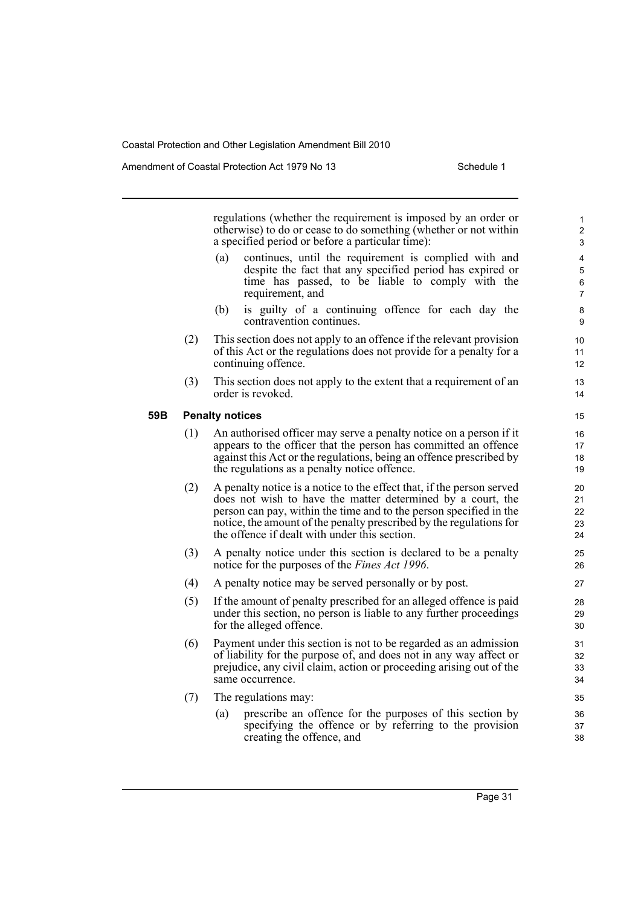Amendment of Coastal Protection Act 1979 No 13 Schedule 1

regulations (whether the requirement is imposed by an order or otherwise) to do or cease to do something (whether or not within a specified period or before a particular time):

- (a) continues, until the requirement is complied with and despite the fact that any specified period has expired or time has passed, to be liable to comply with the requirement, and
- (b) is guilty of a continuing offence for each day the contravention continues.
- (2) This section does not apply to an offence if the relevant provision of this Act or the regulations does not provide for a penalty for a continuing offence.
- (3) This section does not apply to the extent that a requirement of an order is revoked.

#### **59B Penalty notices**

- (1) An authorised officer may serve a penalty notice on a person if it appears to the officer that the person has committed an offence against this Act or the regulations, being an offence prescribed by the regulations as a penalty notice offence.
- (2) A penalty notice is a notice to the effect that, if the person served does not wish to have the matter determined by a court, the person can pay, within the time and to the person specified in the notice, the amount of the penalty prescribed by the regulations for the offence if dealt with under this section.
- (3) A penalty notice under this section is declared to be a penalty notice for the purposes of the *Fines Act 1996*.
- (4) A penalty notice may be served personally or by post.
- (5) If the amount of penalty prescribed for an alleged offence is paid under this section, no person is liable to any further proceedings for the alleged offence.
- (6) Payment under this section is not to be regarded as an admission of liability for the purpose of, and does not in any way affect or prejudice, any civil claim, action or proceeding arising out of the same occurrence.
- (7) The regulations may:
	- (a) prescribe an offence for the purposes of this section by specifying the offence or by referring to the provision creating the offence, and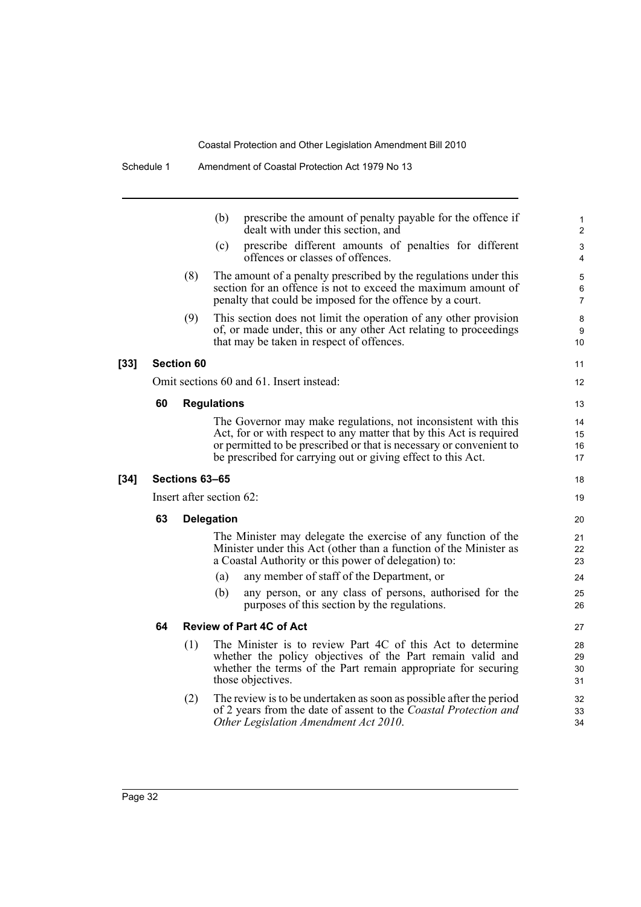|        |    |                   | prescribe the amount of penalty payable for the offence if<br>(b)<br>dealt with under this section, and                                                                                                                                                                     | 1<br>2                   |
|--------|----|-------------------|-----------------------------------------------------------------------------------------------------------------------------------------------------------------------------------------------------------------------------------------------------------------------------|--------------------------|
|        |    |                   | (c)<br>prescribe different amounts of penalties for different<br>offences or classes of offences.                                                                                                                                                                           | 3<br>$\overline{4}$      |
|        |    | (8)               | The amount of a penalty prescribed by the regulations under this<br>section for an offence is not to exceed the maximum amount of<br>penalty that could be imposed for the offence by a court.                                                                              | 5<br>6<br>$\overline{7}$ |
|        |    | (9)               | This section does not limit the operation of any other provision<br>of, or made under, this or any other Act relating to proceedings<br>that may be taken in respect of offences.                                                                                           | 8<br>9<br>10             |
| $[33]$ |    | <b>Section 60</b> |                                                                                                                                                                                                                                                                             | 11                       |
|        |    |                   | Omit sections 60 and 61. Insert instead:                                                                                                                                                                                                                                    | 12                       |
|        | 60 |                   | <b>Regulations</b>                                                                                                                                                                                                                                                          | 13                       |
|        |    |                   | The Governor may make regulations, not inconsistent with this<br>Act, for or with respect to any matter that by this Act is required<br>or permitted to be prescribed or that is necessary or convenient to<br>be prescribed for carrying out or giving effect to this Act. | 14<br>15<br>16<br>17     |
| $[34]$ |    | Sections 63-65    |                                                                                                                                                                                                                                                                             | 18                       |
|        |    |                   | Insert after section 62:                                                                                                                                                                                                                                                    | 19                       |
|        | 63 |                   | <b>Delegation</b>                                                                                                                                                                                                                                                           | 20                       |
|        |    |                   | The Minister may delegate the exercise of any function of the<br>Minister under this Act (other than a function of the Minister as<br>a Coastal Authority or this power of delegation) to:                                                                                  | 21<br>22<br>23           |
|        |    |                   | any member of staff of the Department, or<br>(a)                                                                                                                                                                                                                            | 24                       |
|        |    |                   | any person, or any class of persons, authorised for the<br>(b)<br>purposes of this section by the regulations.                                                                                                                                                              | 25<br>26                 |
|        | 64 |                   | <b>Review of Part 4C of Act</b>                                                                                                                                                                                                                                             | 27                       |
|        |    | (1)               | The Minister is to review Part 4C of this Act to determine<br>whether the policy objectives of the Part remain valid and<br>whether the terms of the Part remain appropriate for securing<br>those objectives.                                                              | 28<br>29<br>30<br>31     |
|        |    | (2)               | The review is to be undertaken as soon as possible after the period<br>of 2 years from the date of assent to the <i>Coastal Protection and</i><br>Other Legislation Amendment Act 2010.                                                                                     | 32<br>33<br>34           |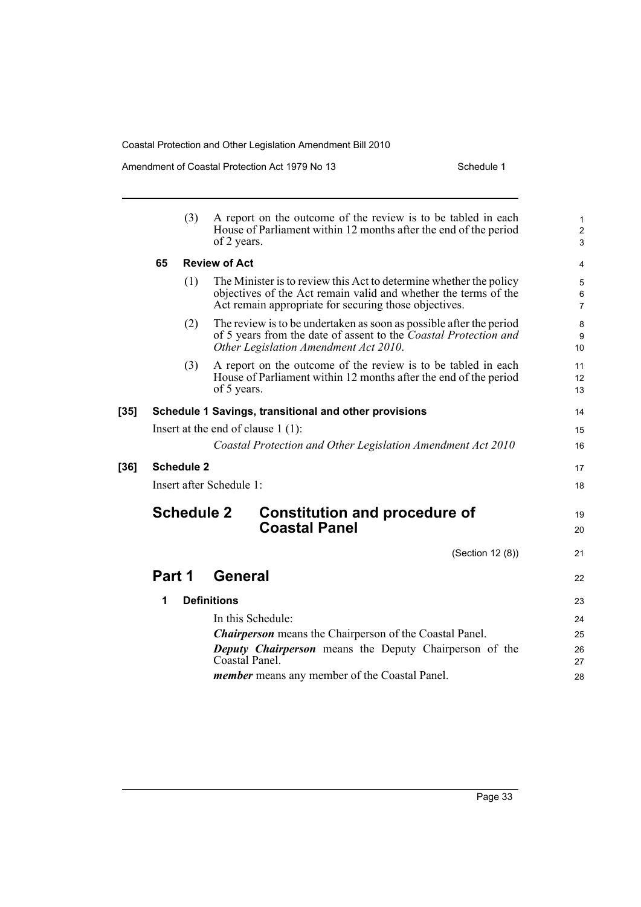Amendment of Coastal Protection Act 1979 No 13 Schedule 1

|        | (3)               | A report on the outcome of the review is to be tabled in each<br>House of Parliament within 12 months after the end of the period<br>of 2 years.                                               | $\mathbf{1}$<br>$\overline{2}$<br>3 |
|--------|-------------------|------------------------------------------------------------------------------------------------------------------------------------------------------------------------------------------------|-------------------------------------|
|        | 65                | <b>Review of Act</b>                                                                                                                                                                           | 4                                   |
|        | (1)               | The Minister is to review this Act to determine whether the policy<br>objectives of the Act remain valid and whether the terms of the<br>Act remain appropriate for securing those objectives. | 5<br>$\,6\,$<br>$\overline{7}$      |
|        | (2)               | The review is to be undertaken as soon as possible after the period<br>of 5 years from the date of assent to the <i>Coastal Protection and</i><br>Other Legislation Amendment Act 2010.        | 8<br>9<br>10                        |
|        | (3)               | A report on the outcome of the review is to be tabled in each<br>House of Parliament within 12 months after the end of the period<br>of 5 years.                                               | 11<br>12<br>13                      |
| $[35]$ |                   | Schedule 1 Savings, transitional and other provisions                                                                                                                                          | 14                                  |
|        |                   | Insert at the end of clause $1(1)$ :                                                                                                                                                           | 15                                  |
|        |                   | Coastal Protection and Other Legislation Amendment Act 2010                                                                                                                                    | 16                                  |
| $[36]$ | <b>Schedule 2</b> |                                                                                                                                                                                                | 17                                  |
|        |                   | Insert after Schedule 1:                                                                                                                                                                       | 18                                  |
|        | <b>Schedule 2</b> | <b>Constitution and procedure of</b><br><b>Coastal Panel</b>                                                                                                                                   | 19<br>20                            |
|        |                   | (Section 12 (8))                                                                                                                                                                               | 21                                  |
|        | Part 1            | <b>General</b>                                                                                                                                                                                 | 22                                  |
|        | 1                 | <b>Definitions</b>                                                                                                                                                                             | 23                                  |
|        |                   | In this Schedule:                                                                                                                                                                              | 24                                  |
|        |                   | <b>Chairperson</b> means the Chairperson of the Coastal Panel.                                                                                                                                 | 25                                  |
|        |                   | <b>Deputy Chairperson</b> means the Deputy Chairperson of the<br>Coastal Panel.                                                                                                                | 26<br>27                            |
|        |                   | <i>member</i> means any member of the Coastal Panel.                                                                                                                                           | 28                                  |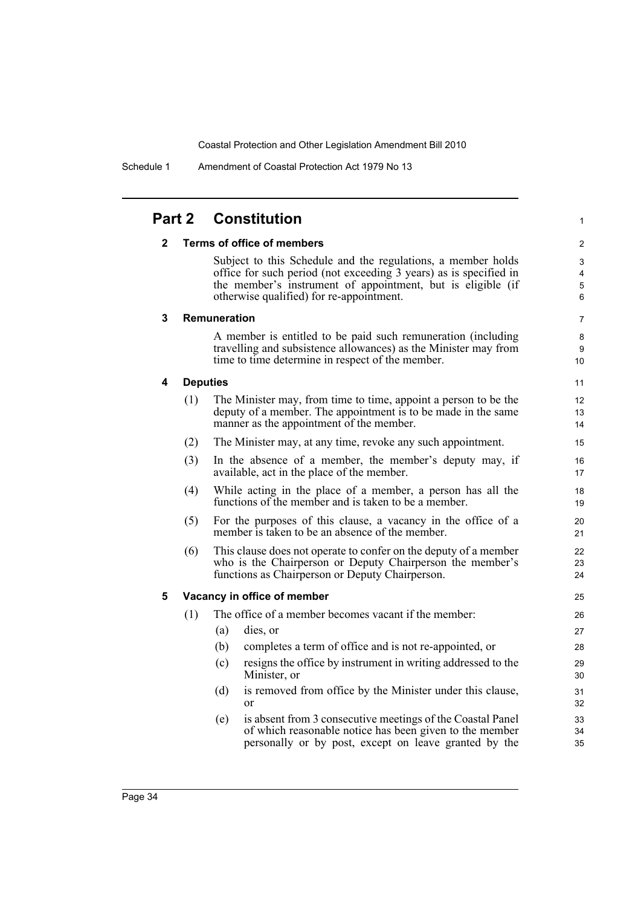|              |     | <b>Part 2 Constitution</b>                                                                                                                                                                                                                   | 1                                      |
|--------------|-----|----------------------------------------------------------------------------------------------------------------------------------------------------------------------------------------------------------------------------------------------|----------------------------------------|
| $\mathbf{2}$ |     | <b>Terms of office of members</b>                                                                                                                                                                                                            | $\overline{2}$                         |
|              |     | Subject to this Schedule and the regulations, a member holds<br>office for such period (not exceeding 3 years) as is specified in<br>the member's instrument of appointment, but is eligible (if<br>otherwise qualified) for re-appointment. | 3<br>$\overline{4}$<br>$\sqrt{5}$<br>6 |
| 3            |     | Remuneration                                                                                                                                                                                                                                 | 7                                      |
|              |     | A member is entitled to be paid such remuneration (including<br>travelling and subsistence allowances) as the Minister may from<br>time to time determine in respect of the member.                                                          | 8<br>9<br>10                           |
| 4            |     | <b>Deputies</b>                                                                                                                                                                                                                              | 11                                     |
|              | (1) | The Minister may, from time to time, appoint a person to be the<br>deputy of a member. The appointment is to be made in the same<br>manner as the appointment of the member.                                                                 | 12<br>13<br>14                         |
|              | (2) | The Minister may, at any time, revoke any such appointment.                                                                                                                                                                                  | 15                                     |
|              | (3) | In the absence of a member, the member's deputy may, if<br>available, act in the place of the member.                                                                                                                                        | 16<br>17                               |
|              | (4) | While acting in the place of a member, a person has all the<br>functions of the member and is taken to be a member.                                                                                                                          | 18<br>19                               |
|              | (5) | For the purposes of this clause, a vacancy in the office of a<br>member is taken to be an absence of the member.                                                                                                                             | 20<br>21                               |
|              | (6) | This clause does not operate to confer on the deputy of a member<br>who is the Chairperson or Deputy Chairperson the member's<br>functions as Chairperson or Deputy Chairperson.                                                             | 22<br>23<br>24                         |
| 5            |     | Vacancy in office of member                                                                                                                                                                                                                  | 25                                     |
|              | (1) | The office of a member becomes vacant if the member:                                                                                                                                                                                         | 26                                     |
|              |     | (a)<br>dies, or                                                                                                                                                                                                                              | 27                                     |
|              |     | (b)<br>completes a term of office and is not re-appointed, or                                                                                                                                                                                | 28                                     |
|              |     | resigns the office by instrument in writing addressed to the<br>(c)<br>Minister, or                                                                                                                                                          | 29<br>30                               |
|              |     | is removed from office by the Minister under this clause,<br>(d)<br><sub>or</sub>                                                                                                                                                            | 31<br>32                               |
|              |     | is absent from 3 consecutive meetings of the Coastal Panel<br>(e)<br>of which reasonable notice has been given to the member<br>personally or by post, except on leave granted by the                                                        | 33<br>34<br>35                         |
|              |     |                                                                                                                                                                                                                                              |                                        |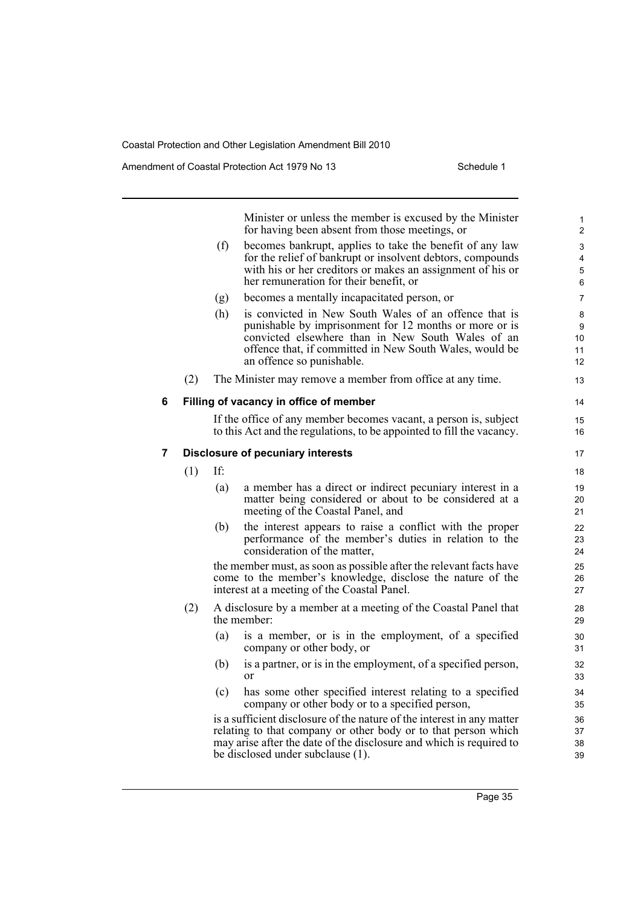Amendment of Coastal Protection Act 1979 No 13 Schedule 1

1

Minister or unless the member is excused by the Minister for having been absent from those meetings, or (f) becomes bankrupt, applies to take the benefit of any law for the relief of bankrupt or insolvent debtors, compounds with his or her creditors or makes an assignment of his or her remuneration for their benefit, or (g) becomes a mentally incapacitated person, or (h) is convicted in New South Wales of an offence that is punishable by imprisonment for 12 months or more or is convicted elsewhere than in New South Wales of an offence that, if committed in New South Wales, would be an offence so punishable. (2) The Minister may remove a member from office at any time. **6 Filling of vacancy in office of member** If the office of any member becomes vacant, a person is, subject to this Act and the regulations, to be appointed to fill the vacancy. **7 Disclosure of pecuniary interests** (1) If: (a) a member has a direct or indirect pecuniary interest in a matter being considered or about to be considered at a meeting of the Coastal Panel, and (b) the interest appears to raise a conflict with the proper performance of the member's duties in relation to the consideration of the matter, the member must, as soon as possible after the relevant facts have come to the member's knowledge, disclose the nature of the interest at a meeting of the Coastal Panel. (2) A disclosure by a member at a meeting of the Coastal Panel that the member: (a) is a member, or is in the employment, of a specified company or other body, or (b) is a partner, or is in the employment, of a specified person, or (c) has some other specified interest relating to a specified company or other body or to a specified person, is a sufficient disclosure of the nature of the interest in any matter relating to that company or other body or to that person which may arise after the date of the disclosure and which is required to be disclosed under subclause (1). 2 3 4 5 6 7 8 9 10 11 12 13 14 15 16 17 18 19 20 21  $22$ 23  $24$ 25 26 27 28 29  $30$ 31 32 33 34 35 36 37 38 39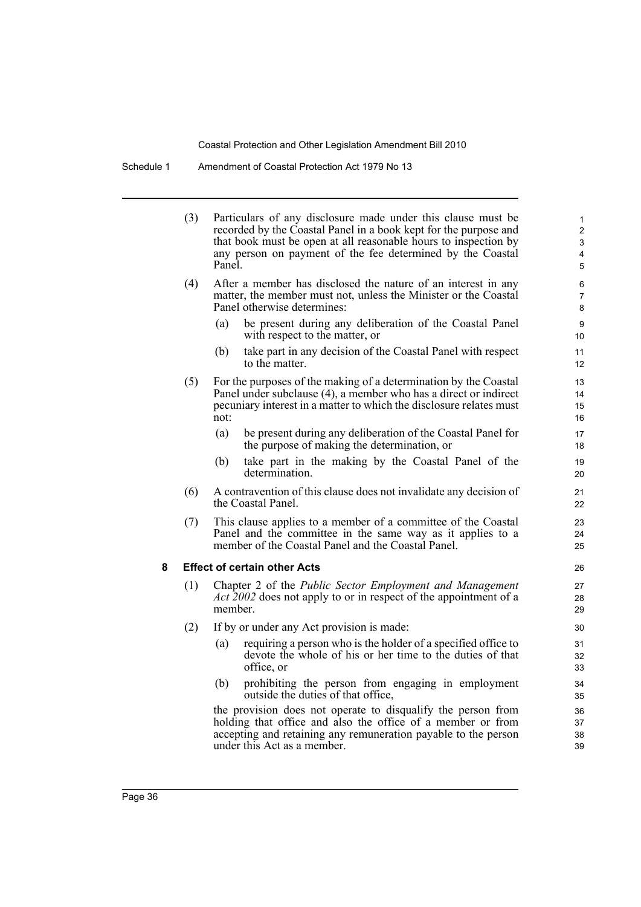Schedule 1 Amendment of Coastal Protection Act 1979 No 13

|   | (3) | Panel.  | Particulars of any disclosure made under this clause must be<br>recorded by the Coastal Panel in a book kept for the purpose and<br>that book must be open at all reasonable hours to inspection by<br>any person on payment of the fee determined by the Coastal | 1<br>$\overline{2}$<br>3<br>4<br>5 |
|---|-----|---------|-------------------------------------------------------------------------------------------------------------------------------------------------------------------------------------------------------------------------------------------------------------------|------------------------------------|
|   | (4) |         | After a member has disclosed the nature of an interest in any<br>matter, the member must not, unless the Minister or the Coastal<br>Panel otherwise determines:                                                                                                   | 6<br>$\overline{7}$<br>8           |
|   |     | (a)     | be present during any deliberation of the Coastal Panel<br>with respect to the matter, or                                                                                                                                                                         | 9<br>10 <sup>°</sup>               |
|   |     | (b)     | take part in any decision of the Coastal Panel with respect<br>to the matter.                                                                                                                                                                                     | 11<br>12 <sup>2</sup>              |
|   | (5) | not:    | For the purposes of the making of a determination by the Coastal<br>Panel under subclause (4), a member who has a direct or indirect<br>pecuniary interest in a matter to which the disclosure relates must                                                       | 13<br>14<br>15<br>16               |
|   |     | (a)     | be present during any deliberation of the Coastal Panel for<br>the purpose of making the determination, or                                                                                                                                                        | 17<br>18                           |
|   |     | (b)     | take part in the making by the Coastal Panel of the<br>determination.                                                                                                                                                                                             | 19<br>20                           |
|   | (6) |         | A contravention of this clause does not invalidate any decision of<br>the Coastal Panel.                                                                                                                                                                          | 21<br>22                           |
|   | (7) |         | This clause applies to a member of a committee of the Coastal<br>Panel and the committee in the same way as it applies to a<br>member of the Coastal Panel and the Coastal Panel.                                                                                 | 23<br>24<br>25                     |
| 8 |     |         | <b>Effect of certain other Acts</b>                                                                                                                                                                                                                               | 26                                 |
|   | (1) | member. | Chapter 2 of the Public Sector Employment and Management<br><i>Act</i> 2002 does not apply to or in respect of the appointment of a                                                                                                                               | 27<br>28<br>29                     |
|   | (2) |         | If by or under any Act provision is made:                                                                                                                                                                                                                         | 30                                 |
|   |     | (a)     | requiring a person who is the holder of a specified office to<br>devote the whole of his or her time to the duties of that<br>office, or                                                                                                                          | 31<br>32<br>33                     |
|   |     | (b)     | prohibiting the person from engaging in employment<br>outside the duties of that office,                                                                                                                                                                          | 34<br>35                           |
|   |     |         | the provision does not operate to disqualify the person from<br>holding that office and also the office of a member or from<br>accepting and retaining any remuneration payable to the person<br>under this Act as a member.                                      | 36<br>37<br>38<br>39               |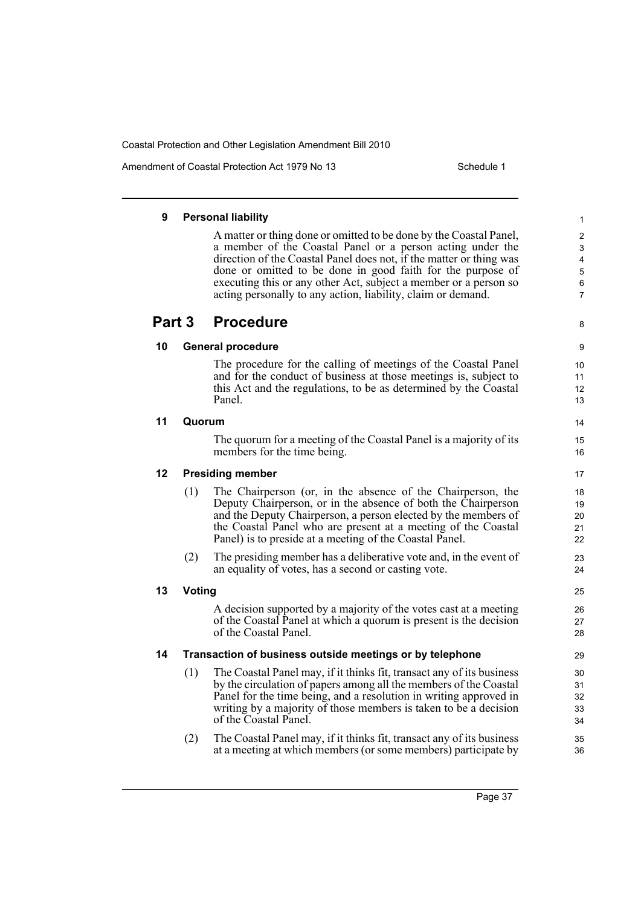Amendment of Coastal Protection Act 1979 No 13 Schedule 1

8

14 15 16

### **9 Personal liability**

A matter or thing done or omitted to be done by the Coastal Panel, a member of the Coastal Panel or a person acting under the direction of the Coastal Panel does not, if the matter or thing was done or omitted to be done in good faith for the purpose of executing this or any other Act, subject a member or a person so acting personally to any action, liability, claim or demand.

## **Part 3 Procedure**

### **10 General procedure**

The procedure for the calling of meetings of the Coastal Panel and for the conduct of business at those meetings is, subject to this Act and the regulations, to be as determined by the Coastal Panel.

### **11 Quorum**

The quorum for a meeting of the Coastal Panel is a majority of its members for the time being.

**12 Presiding member**

- (1) The Chairperson (or, in the absence of the Chairperson, the Deputy Chairperson, or in the absence of both the Chairperson and the Deputy Chairperson, a person elected by the members of the Coastal Panel who are present at a meeting of the Coastal Panel) is to preside at a meeting of the Coastal Panel.
- (2) The presiding member has a deliberative vote and, in the event of an equality of votes, has a second or casting vote.

### **13 Voting**

A decision supported by a majority of the votes cast at a meeting of the Coastal Panel at which a quorum is present is the decision of the Coastal Panel.

### **14 Transaction of business outside meetings or by telephone**

- (1) The Coastal Panel may, if it thinks fit, transact any of its business by the circulation of papers among all the members of the Coastal Panel for the time being, and a resolution in writing approved in writing by a majority of those members is taken to be a decision of the Coastal Panel.
- (2) The Coastal Panel may, if it thinks fit, transact any of its business at a meeting at which members (or some members) participate by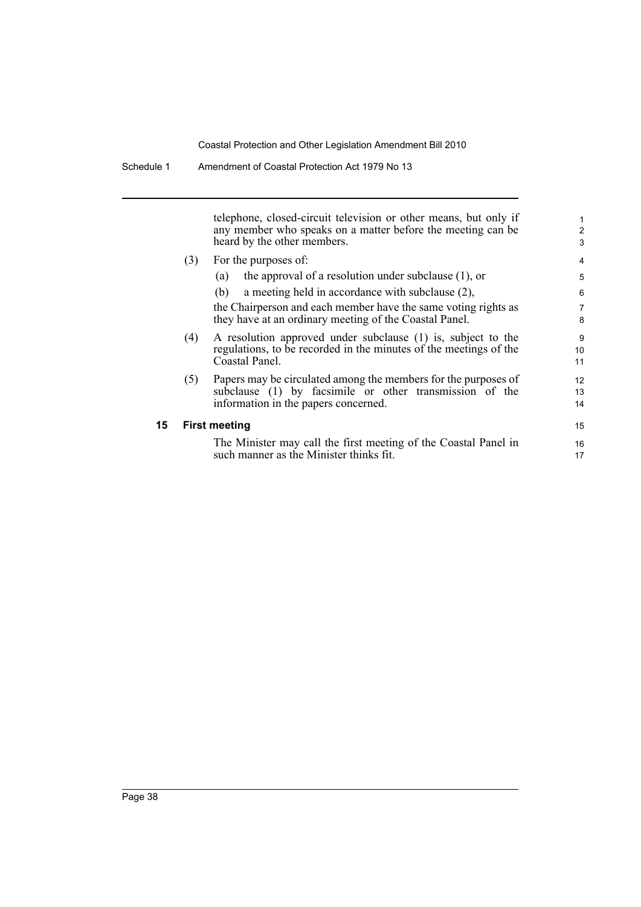telephone, closed-circuit television or other means, but only if any member who speaks on a matter before the meeting can be heard by the other members.

(3) For the purposes of:

| (3) | For the purposes of:                                              |    |  |  |  |
|-----|-------------------------------------------------------------------|----|--|--|--|
|     | the approval of a resolution under subclause $(1)$ , or<br>(a)    | 5  |  |  |  |
|     | a meeting held in accordance with subclause $(2)$ ,<br>(b)        | 6  |  |  |  |
|     | the Chairperson and each member have the same voting rights as    | 7  |  |  |  |
|     | they have at an ordinary meeting of the Coastal Panel.            |    |  |  |  |
| (4) | A resolution approved under subclause (1) is, subject to the      |    |  |  |  |
|     | regulations, to be recorded in the minutes of the meetings of the |    |  |  |  |
|     | Coastal Panel.                                                    | 11 |  |  |  |
| (5) | Papers may be circulated among the members for the purposes of    |    |  |  |  |
|     | subclause (1) by facsimile or other transmission of the           | 13 |  |  |  |

1 2 3

14

15 16 17

subclause (1) by facsimile or other transmission of the information in the papers concerned.

#### **15 First meeting**

The Minister may call the first meeting of the Coastal Panel in such manner as the Minister thinks fit.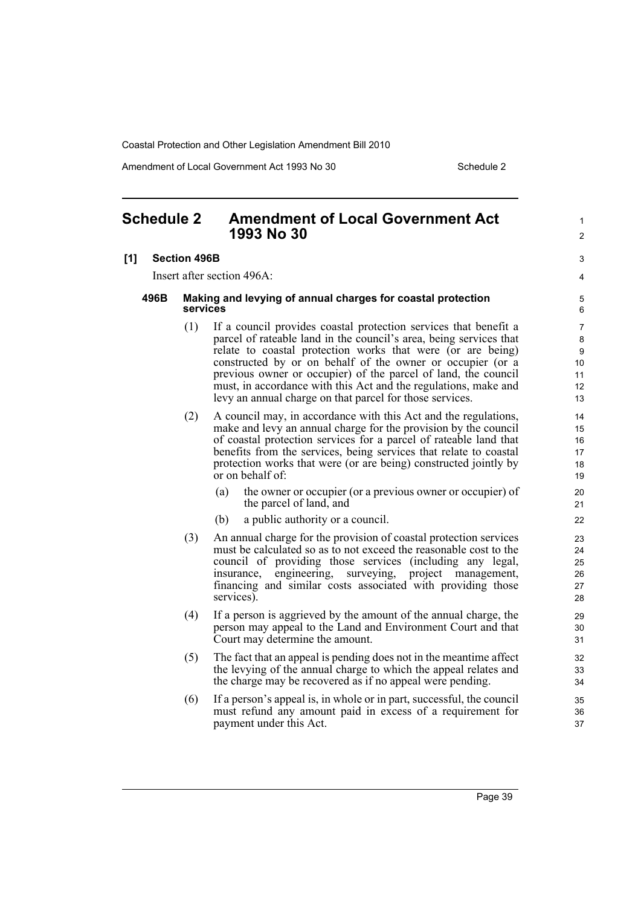Amendment of Local Government Act 1993 No 30 Schedule 2

1  $\mathfrak{p}$ 

## <span id="page-54-0"></span>**Schedule 2 Amendment of Local Government Act 1993 No 30**

#### **[1] Section 496B**

Insert after section 496A:

#### **496B Making and levying of annual charges for coastal protection services**

- (1) If a council provides coastal protection services that benefit a parcel of rateable land in the council's area, being services that relate to coastal protection works that were (or are being) constructed by or on behalf of the owner or occupier (or a previous owner or occupier) of the parcel of land, the council must, in accordance with this Act and the regulations, make and levy an annual charge on that parcel for those services.
- (2) A council may, in accordance with this Act and the regulations, make and levy an annual charge for the provision by the council of coastal protection services for a parcel of rateable land that benefits from the services, being services that relate to coastal protection works that were (or are being) constructed jointly by or on behalf of:
	- (a) the owner or occupier (or a previous owner or occupier) of the parcel of land, and
	- (b) a public authority or a council.
- (3) An annual charge for the provision of coastal protection services must be calculated so as to not exceed the reasonable cost to the council of providing those services (including any legal, insurance, engineering, surveying, project management, financing and similar costs associated with providing those services).
- (4) If a person is aggrieved by the amount of the annual charge, the person may appeal to the Land and Environment Court and that Court may determine the amount.
- (5) The fact that an appeal is pending does not in the meantime affect the levying of the annual charge to which the appeal relates and the charge may be recovered as if no appeal were pending.
- (6) If a person's appeal is, in whole or in part, successful, the council must refund any amount paid in excess of a requirement for payment under this Act.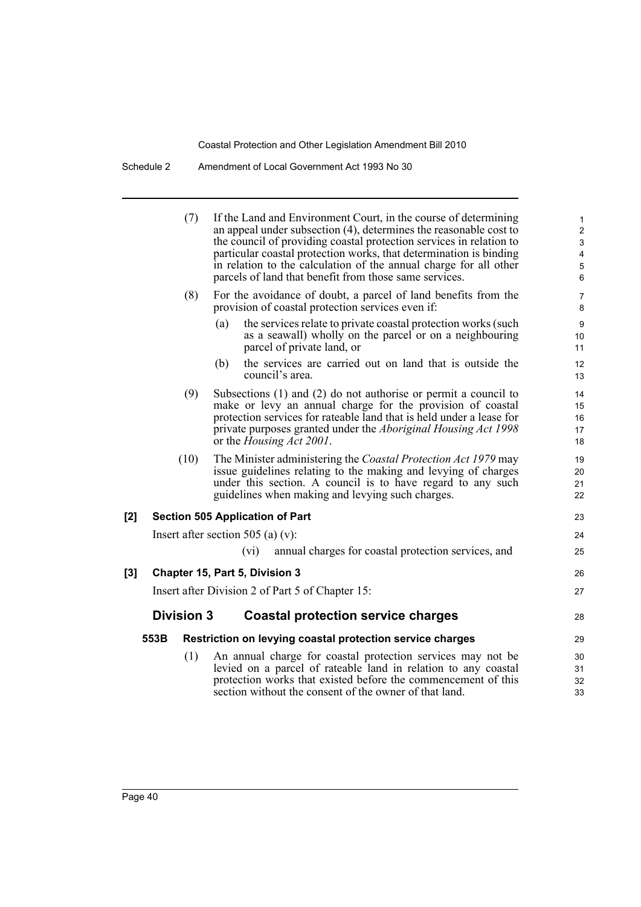Schedule 2 Amendment of Local Government Act 1993 No 30

| (7)               | If the Land and Environment Court, in the course of determining<br>an appeal under subsection $(4)$ , determines the reasonable cost to<br>the council of providing coastal protection services in relation to<br>particular coastal protection works, that determination is binding<br>in relation to the calculation of the annual charge for all other<br>parcels of land that benefit from those same services. | 1<br>$\overline{c}$<br>$\ensuremath{\mathsf{3}}$<br>$\overline{\mathbf{4}}$<br>5<br>$\,6$ |
|-------------------|---------------------------------------------------------------------------------------------------------------------------------------------------------------------------------------------------------------------------------------------------------------------------------------------------------------------------------------------------------------------------------------------------------------------|-------------------------------------------------------------------------------------------|
| (8)               | For the avoidance of doubt, a parcel of land benefits from the<br>provision of coastal protection services even if:                                                                                                                                                                                                                                                                                                 | $\boldsymbol{7}$<br>8                                                                     |
|                   | the services relate to private coastal protection works (such<br>(a)<br>as a seawall) wholly on the parcel or on a neighbouring<br>parcel of private land, or                                                                                                                                                                                                                                                       | 9<br>10<br>11                                                                             |
|                   | the services are carried out on land that is outside the<br>(b)<br>council's area.                                                                                                                                                                                                                                                                                                                                  | 12<br>13                                                                                  |
| (9)               | Subsections $(1)$ and $(2)$ do not authorise or permit a council to<br>make or levy an annual charge for the provision of coastal<br>protection services for rateable land that is held under a lease for<br>private purposes granted under the <i>Aboriginal Housing Act 1998</i><br>or the <i>Housing Act 2001</i> .                                                                                              | 14<br>15<br>16<br>17<br>18                                                                |
| (10)              | The Minister administering the Coastal Protection Act 1979 may<br>issue guidelines relating to the making and levying of charges<br>under this section. A council is to have regard to any such<br>guidelines when making and levying such charges.                                                                                                                                                                 | 19<br>20<br>21<br>22                                                                      |
| [2]               | <b>Section 505 Application of Part</b>                                                                                                                                                                                                                                                                                                                                                                              | 23                                                                                        |
|                   | Insert after section 505 (a) $(v)$ :                                                                                                                                                                                                                                                                                                                                                                                | 24                                                                                        |
|                   | (vi)<br>annual charges for coastal protection services, and                                                                                                                                                                                                                                                                                                                                                         | 25                                                                                        |
| $[3]$             | Chapter 15, Part 5, Division 3                                                                                                                                                                                                                                                                                                                                                                                      | 26                                                                                        |
|                   | Insert after Division 2 of Part 5 of Chapter 15:                                                                                                                                                                                                                                                                                                                                                                    | 27                                                                                        |
| <b>Division 3</b> | <b>Coastal protection service charges</b>                                                                                                                                                                                                                                                                                                                                                                           | 28                                                                                        |
| 553B              | Restriction on levying coastal protection service charges                                                                                                                                                                                                                                                                                                                                                           | 29                                                                                        |
| (1)               | An annual charge for coastal protection services may not be<br>levied on a parcel of rateable land in relation to any coastal<br>protection works that existed before the commencement of this<br>section without the consent of the owner of that land.                                                                                                                                                            | 30<br>31<br>32<br>33                                                                      |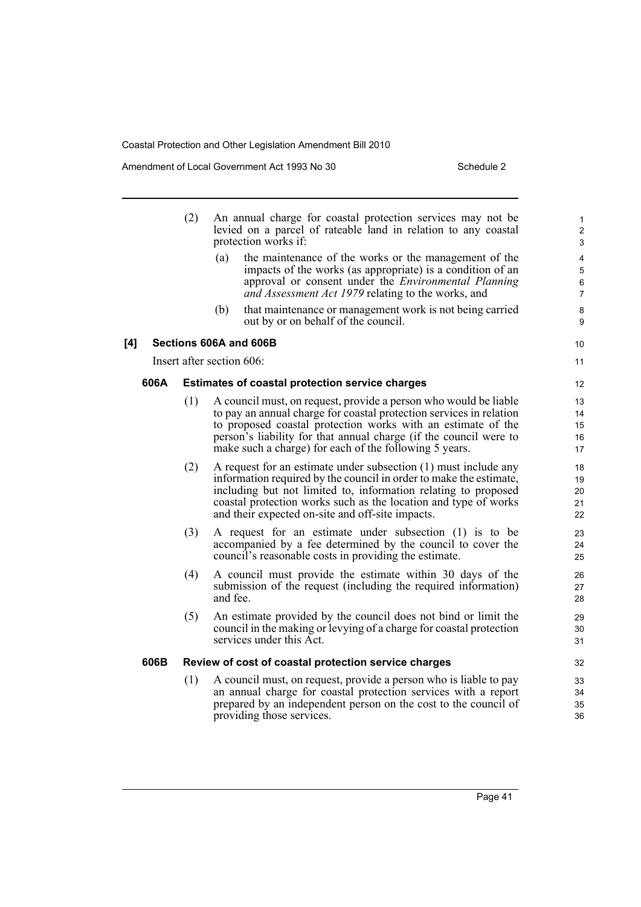Amendment of Local Government Act 1993 No 30 Schedule 2

 $[4]$ 

|      | (2)                                                    |                           | An annual charge for coastal protection services may not be<br>levied on a parcel of rateable land in relation to any coastal<br>protection works if:                                                                                                                                                                                  | 1<br>$\overline{\mathbf{c}}$<br>3          |  |
|------|--------------------------------------------------------|---------------------------|----------------------------------------------------------------------------------------------------------------------------------------------------------------------------------------------------------------------------------------------------------------------------------------------------------------------------------------|--------------------------------------------|--|
|      |                                                        | (a)                       | the maintenance of the works or the management of the<br>impacts of the works (as appropriate) is a condition of an<br>approval or consent under the <i>Environmental Planning</i><br>and Assessment Act 1979 relating to the works, and                                                                                               | 4<br>5<br>$6\phantom{a}$<br>$\overline{7}$ |  |
|      |                                                        | (b)                       | that maintenance or management work is not being carried<br>out by or on behalf of the council.                                                                                                                                                                                                                                        | 8<br>9                                     |  |
|      |                                                        |                           | Sections 606A and 606B                                                                                                                                                                                                                                                                                                                 | 10                                         |  |
|      |                                                        | Insert after section 606: |                                                                                                                                                                                                                                                                                                                                        | 11                                         |  |
| 606A | <b>Estimates of coastal protection service charges</b> |                           |                                                                                                                                                                                                                                                                                                                                        |                                            |  |
|      | (1)                                                    |                           | A council must, on request, provide a person who would be liable<br>to pay an annual charge for coastal protection services in relation<br>to proposed coastal protection works with an estimate of the<br>person's liability for that annual charge (if the council were to<br>make such a charge) for each of the following 5 years. | 13<br>14<br>15<br>16<br>17                 |  |
|      | (2)                                                    |                           | A request for an estimate under subsection (1) must include any<br>information required by the council in order to make the estimate,<br>including but not limited to, information relating to proposed<br>coastal protection works such as the location and type of works<br>and their expected on-site and off-site impacts.         | 18<br>19<br>20<br>21<br>22                 |  |
|      | (3)                                                    |                           | A request for an estimate under subsection (1) is to be<br>accompanied by a fee determined by the council to cover the<br>council's reasonable costs in providing the estimate.                                                                                                                                                        | 23<br>24<br>25                             |  |
|      | (4)                                                    | and fee.                  | A council must provide the estimate within 30 days of the<br>submission of the request (including the required information)                                                                                                                                                                                                            | 26<br>27<br>28                             |  |
|      | (5)                                                    |                           | An estimate provided by the council does not bind or limit the<br>council in the making or levying of a charge for coastal protection<br>services under this Act.                                                                                                                                                                      | 29<br>30<br>31                             |  |
| 606B |                                                        |                           | Review of cost of coastal protection service charges                                                                                                                                                                                                                                                                                   | 32                                         |  |
|      | (1)                                                    |                           | A council must, on request, provide a person who is liable to pay<br>an annual charge for coastal protection services with a report<br>prepared by an independent person on the cost to the council of<br>providing those services.                                                                                                    | 33<br>34<br>35<br>36                       |  |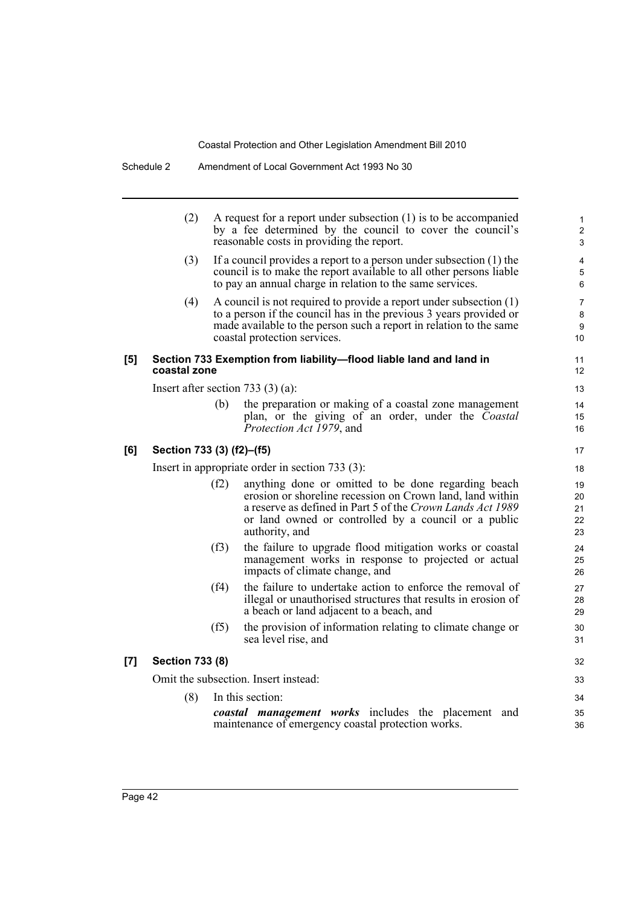|     | (2)                                                                                |      | A request for a report under subsection $(1)$ is to be accompanied<br>by a fee determined by the council to cover the council's<br>reasonable costs in providing the report.                                                                             | 1<br>$\overline{2}$<br>3   |
|-----|------------------------------------------------------------------------------------|------|----------------------------------------------------------------------------------------------------------------------------------------------------------------------------------------------------------------------------------------------------------|----------------------------|
|     | (3)                                                                                |      | If a council provides a report to a person under subsection (1) the<br>council is to make the report available to all other persons liable<br>to pay an annual charge in relation to the same services.                                                  | 4<br>5<br>6                |
|     | (4)                                                                                |      | A council is not required to provide a report under subsection (1)<br>to a person if the council has in the previous 3 years provided or<br>made available to the person such a report in relation to the same<br>coastal protection services.           | 7<br>8<br>9<br>10          |
| [5] | Section 733 Exemption from liability-flood liable land and land in<br>coastal zone |      |                                                                                                                                                                                                                                                          |                            |
|     |                                                                                    |      | Insert after section 733 $(3)$ (a):                                                                                                                                                                                                                      | 13                         |
|     |                                                                                    | (b)  | the preparation or making of a coastal zone management<br>plan, or the giving of an order, under the Coastal<br>Protection Act 1979, and                                                                                                                 | 14<br>15<br>16             |
| [6] | Section 733 (3) (f2)-(f5)                                                          |      |                                                                                                                                                                                                                                                          | 17                         |
|     |                                                                                    |      | Insert in appropriate order in section $733(3)$ :                                                                                                                                                                                                        | 18                         |
|     |                                                                                    | (f2) | anything done or omitted to be done regarding beach<br>erosion or shoreline recession on Crown land, land within<br>a reserve as defined in Part 5 of the Crown Lands Act 1989<br>or land owned or controlled by a council or a public<br>authority, and | 19<br>20<br>21<br>22<br>23 |
|     |                                                                                    | (f3) | the failure to upgrade flood mitigation works or coastal<br>management works in response to projected or actual<br>impacts of climate change, and                                                                                                        | 24<br>25<br>26             |
|     |                                                                                    | (f4) | the failure to undertake action to enforce the removal of<br>illegal or unauthorised structures that results in erosion of<br>a beach or land adjacent to a beach, and                                                                                   | 27<br>28<br>29             |
|     |                                                                                    | (f5) | the provision of information relating to climate change or<br>sea level rise, and                                                                                                                                                                        | 30<br>31                   |
| [7] | <b>Section 733 (8)</b>                                                             |      |                                                                                                                                                                                                                                                          |                            |
|     |                                                                                    |      | Omit the subsection. Insert instead:                                                                                                                                                                                                                     | 33                         |
|     | (8)                                                                                |      | In this section:                                                                                                                                                                                                                                         | 34                         |
|     |                                                                                    |      | coastal management works includes the placement and<br>maintenance of emergency coastal protection works.                                                                                                                                                | 35<br>36                   |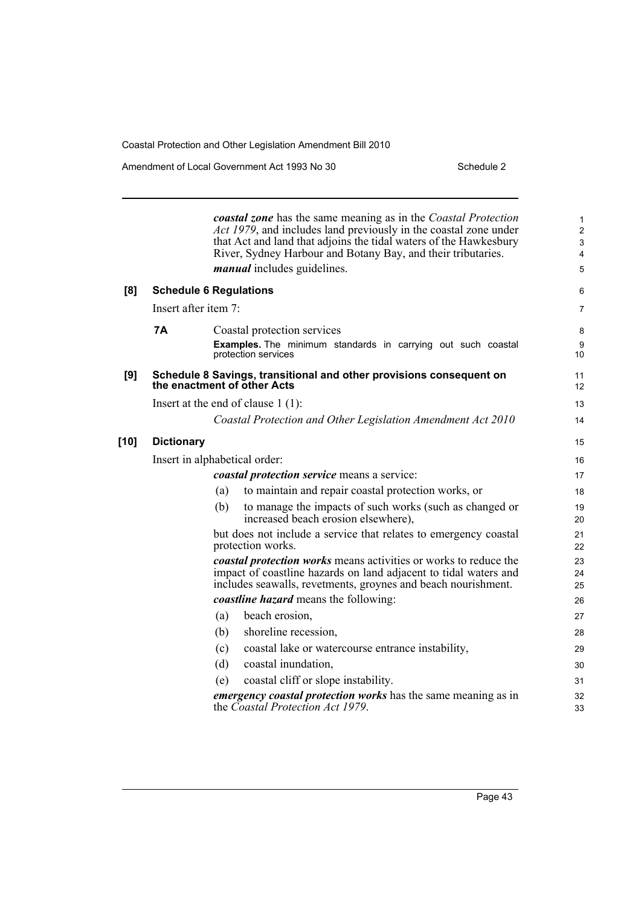Amendment of Local Government Act 1993 No 30 Schedule 2

|        |                                                                                                    | <b>coastal zone</b> has the same meaning as in the Coastal Protection<br>Act 1979, and includes land previously in the coastal zone under<br>that Act and land that adjoins the tidal waters of the Hawkesbury<br>River, Sydney Harbour and Botany Bay, and their tributaries.<br><i>manual</i> includes guidelines. | $\mathbf{1}$<br>$\overline{c}$<br>3<br>$\overline{4}$<br>5 |
|--------|----------------------------------------------------------------------------------------------------|----------------------------------------------------------------------------------------------------------------------------------------------------------------------------------------------------------------------------------------------------------------------------------------------------------------------|------------------------------------------------------------|
| [8]    | <b>Schedule 6 Regulations</b>                                                                      |                                                                                                                                                                                                                                                                                                                      | 6                                                          |
|        | Insert after item 7:                                                                               |                                                                                                                                                                                                                                                                                                                      | $\overline{7}$                                             |
|        | <b>7A</b>                                                                                          | Coastal protection services                                                                                                                                                                                                                                                                                          | 8                                                          |
|        |                                                                                                    | Examples. The minimum standards in carrying out such coastal<br>protection services                                                                                                                                                                                                                                  | 9<br>10                                                    |
| [9]    | Schedule 8 Savings, transitional and other provisions consequent on<br>the enactment of other Acts |                                                                                                                                                                                                                                                                                                                      |                                                            |
|        |                                                                                                    | Insert at the end of clause $1(1)$ :                                                                                                                                                                                                                                                                                 | 13                                                         |
|        |                                                                                                    | Coastal Protection and Other Legislation Amendment Act 2010                                                                                                                                                                                                                                                          | 14                                                         |
| $[10]$ | <b>Dictionary</b>                                                                                  |                                                                                                                                                                                                                                                                                                                      |                                                            |
|        | Insert in alphabetical order:                                                                      |                                                                                                                                                                                                                                                                                                                      | 16                                                         |
|        |                                                                                                    | coastal protection service means a service:                                                                                                                                                                                                                                                                          | 17                                                         |
|        |                                                                                                    | to maintain and repair coastal protection works, or<br>(a)                                                                                                                                                                                                                                                           | 18                                                         |
|        |                                                                                                    | (b)<br>to manage the impacts of such works (such as changed or<br>increased beach erosion elsewhere),                                                                                                                                                                                                                | 19<br>20                                                   |
|        |                                                                                                    | but does not include a service that relates to emergency coastal<br>protection works.                                                                                                                                                                                                                                | 21<br>22                                                   |
|        |                                                                                                    | <i>coastal protection works</i> means activities or works to reduce the<br>impact of coastline hazards on land adjacent to tidal waters and<br>includes seawalls, revetments, groynes and beach nourishment.                                                                                                         | 23<br>24<br>25                                             |
|        |                                                                                                    | <i>coastline hazard</i> means the following:                                                                                                                                                                                                                                                                         | 26                                                         |
|        |                                                                                                    | beach erosion,<br>(a)                                                                                                                                                                                                                                                                                                | 27                                                         |
|        |                                                                                                    | shoreline recession,<br>(b)                                                                                                                                                                                                                                                                                          | 28                                                         |
|        |                                                                                                    | (c)<br>coastal lake or watercourse entrance instability,                                                                                                                                                                                                                                                             | 29                                                         |
|        |                                                                                                    | (d)<br>coastal inundation,                                                                                                                                                                                                                                                                                           | 30                                                         |
|        |                                                                                                    | coastal cliff or slope instability.<br>(e)                                                                                                                                                                                                                                                                           | 31                                                         |
|        |                                                                                                    | emergency coastal protection works has the same meaning as in<br>the Coastal Protection Act 1979.                                                                                                                                                                                                                    | 32<br>33                                                   |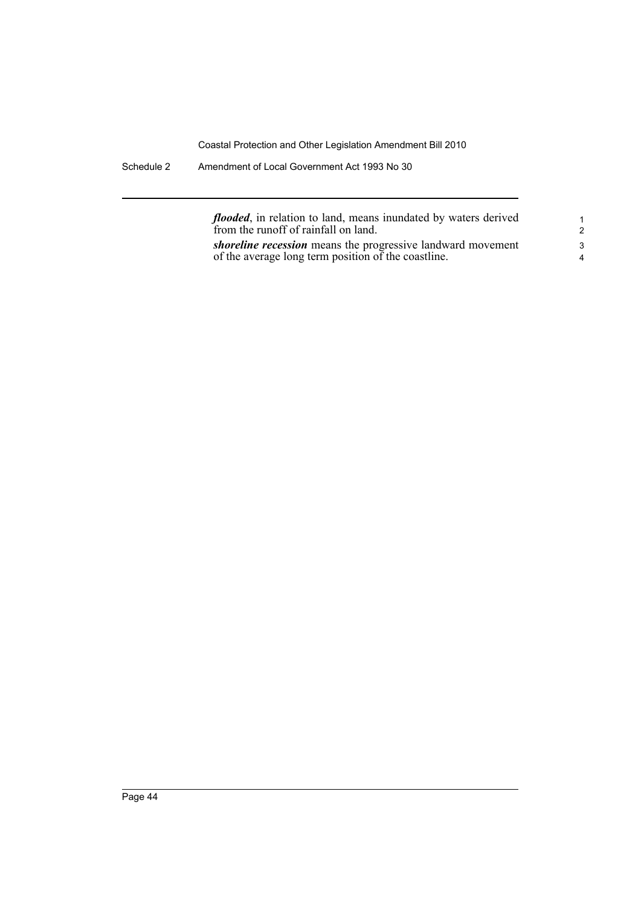Schedule 2 Amendment of Local Government Act 1993 No 30

*flooded*, in relation to land, means inundated by waters derived from the runoff of rainfall on land.

*shoreline recession* means the progressive landward movement of the average long term position of the coastline.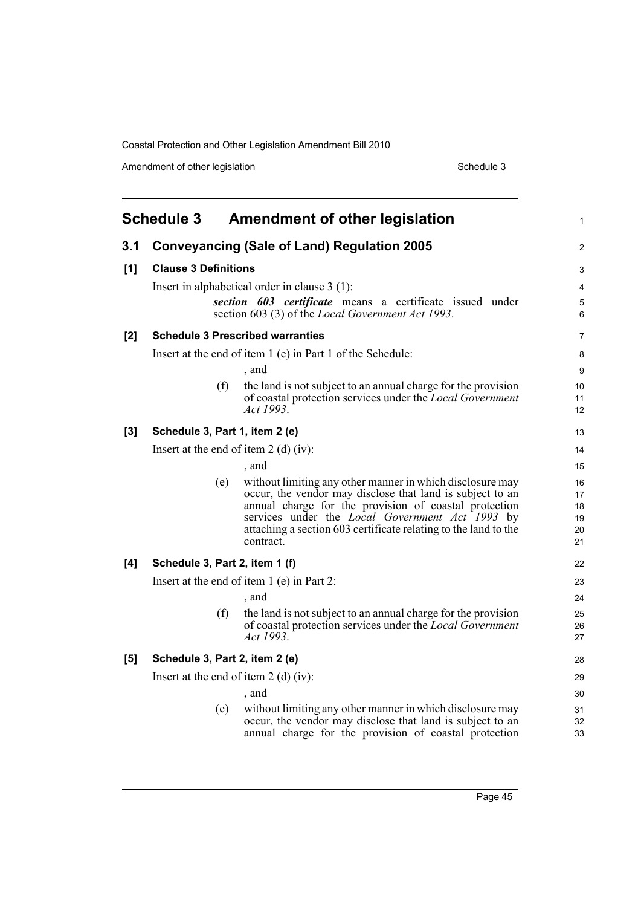Amendment of other legislation Schedule 3

<span id="page-60-0"></span>

|       | <b>Schedule 3</b>                       | <b>Amendment of other legislation</b>                                                                                                   | 1                |
|-------|-----------------------------------------|-----------------------------------------------------------------------------------------------------------------------------------------|------------------|
| 3.1   |                                         | <b>Conveyancing (Sale of Land) Regulation 2005</b>                                                                                      | 2                |
| [1]   | <b>Clause 3 Definitions</b>             |                                                                                                                                         | 3                |
|       |                                         | Insert in alphabetical order in clause $3(1)$ :                                                                                         | 4                |
|       |                                         | section 603 certificate means a certificate issued under<br>section 603 (3) of the <i>Local Government Act 1993</i> .                   | $\mathbf 5$<br>6 |
| [2]   |                                         | <b>Schedule 3 Prescribed warranties</b>                                                                                                 | $\overline{7}$   |
|       |                                         | Insert at the end of item 1 (e) in Part 1 of the Schedule:                                                                              | 8                |
|       |                                         | , and                                                                                                                                   | 9                |
|       | (f)                                     | the land is not subject to an annual charge for the provision<br>of coastal protection services under the Local Government<br>Act 1993. | 10<br>11<br>12   |
| $[3]$ | Schedule 3, Part 1, item 2 (e)          |                                                                                                                                         | 13               |
|       | Insert at the end of item $2$ (d) (iv): |                                                                                                                                         | 14               |
|       |                                         | , and                                                                                                                                   | 15               |
|       | (e)                                     | without limiting any other manner in which disclosure may                                                                               | 16               |
|       |                                         | occur, the vendor may disclose that land is subject to an<br>annual charge for the provision of coastal protection                      | 17<br>18         |
|       |                                         | services under the <i>Local Government Act 1993</i> by                                                                                  | 19               |
|       |                                         | attaching a section 603 certificate relating to the land to the<br>contract.                                                            | 20<br>21         |
| [4]   | Schedule 3, Part 2, item 1 (f)          |                                                                                                                                         | 22               |
|       |                                         | Insert at the end of item $1(e)$ in Part 2:                                                                                             | 23               |
|       |                                         | , and                                                                                                                                   | 24               |
|       | (f)                                     | the land is not subject to an annual charge for the provision                                                                           | 25               |
|       |                                         | of coastal protection services under the <i>Local Government</i><br>Act 1993.                                                           | 26<br>27         |
| [5]   | Schedule 3, Part 2, item 2 (e)          |                                                                                                                                         | 28               |
|       | Insert at the end of item $2$ (d) (iv): |                                                                                                                                         | 29               |
|       |                                         | , and                                                                                                                                   | 30               |
|       | (e)                                     | without limiting any other manner in which disclosure may<br>occur, the vendor may disclose that land is subject to an                  | 31<br>32         |
|       |                                         | annual charge for the provision of coastal protection                                                                                   | 33               |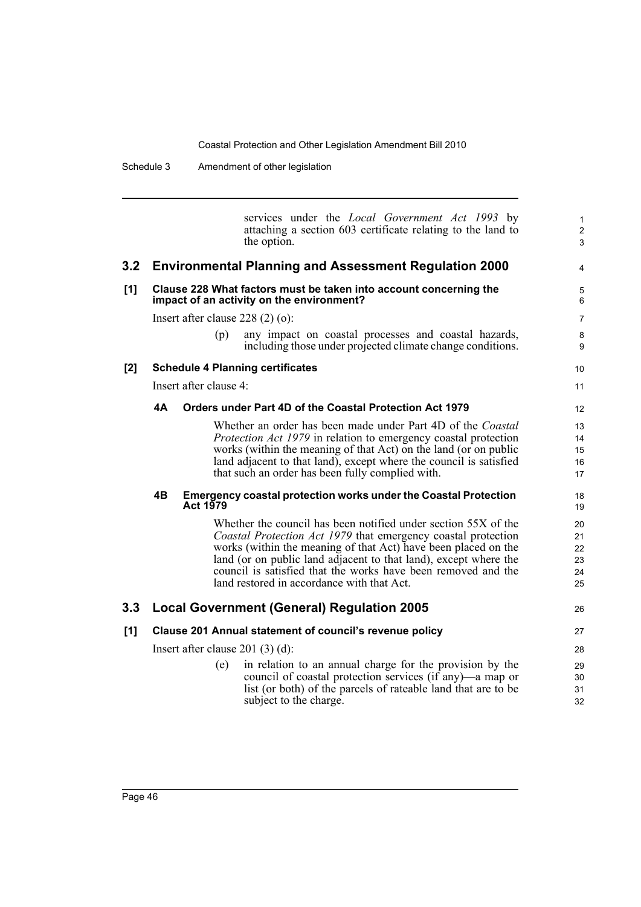services under the *Local Government Act 1993* by attaching a section 603 certificate relating to the land to the option. **3.2 Environmental Planning and Assessment Regulation 2000 [1] Clause 228 What factors must be taken into account concerning the impact of an activity on the environment?** Insert after clause 228 (2) (o): (p) any impact on coastal processes and coastal hazards, including those under projected climate change conditions. **[2] Schedule 4 Planning certificates** Insert after clause 4: **4A Orders under Part 4D of the Coastal Protection Act 1979** Whether an order has been made under Part 4D of the *Coastal Protection Act 1979* in relation to emergency coastal protection works (within the meaning of that Act) on the land (or on public land adjacent to that land), except where the council is satisfied that such an order has been fully complied with. **4B Emergency coastal protection works under the Coastal Protection Act 1979** Whether the council has been notified under section 55X of the *Coastal Protection Act 1979* that emergency coastal protection works (within the meaning of that Act) have been placed on the land (or on public land adjacent to that land), except where the council is satisfied that the works have been removed and the land restored in accordance with that Act. **3.3 Local Government (General) Regulation 2005 [1] Clause 201 Annual statement of council's revenue policy** Insert after clause 201 (3) (d): (e) in relation to an annual charge for the provision by the council of coastal protection services (if any)—a map or list (or both) of the parcels of rateable land that are to be subject to the charge. 1 2 3 4 5 6 7 8 **9** 10 11 12 13 14 15 16 17 18 19 20 21 22 23 24 25 26 27 28 29 30 31 32